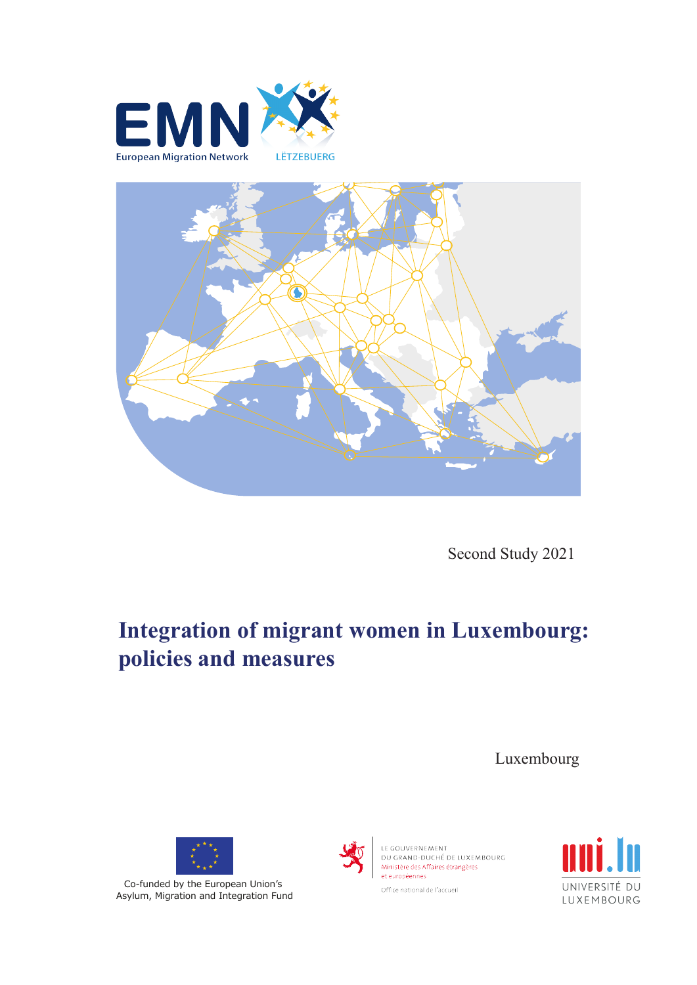



Second Study 2021

# **Integration of migrant women in Luxembourg: policies and measures**

Luxembourg



Co-funded by the European Union's Asylum, Migration and Integration Fund



LE GOUVERNEMENT DU GRAND-DUCHÉ DE LUXEMBOURG Ministère des Affaires étrangères et européennes



Office national de l'accueil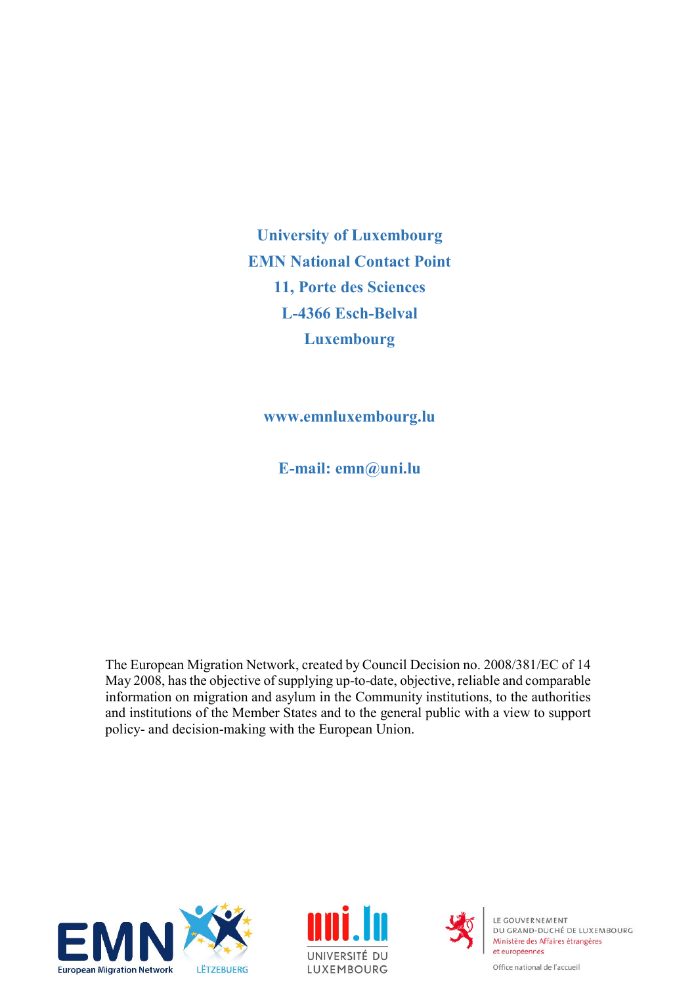**University of Luxembourg EMN National Contact Point 11, Porte des Sciences L-4366 Esch-Belval Luxembourg**

**www.emnluxembourg.lu**

**E-mail: emn@uni.lu** 

The European Migration Network, created by Council Decision no. 2008/381/EC of 14 May 2008, has the objective of supplying up-to-date, objective, reliable and comparable information on migration and asylum in the Community institutions, to the authorities and institutions of the Member States and to the general public with a view to support policy- and decision-making with the European Union.







LE GOUVERNEMENT DU GRAND-DUCHÉ DE LUXEMBOURG Ministère des Affaires étrangères et européennes

Office national de l'accueil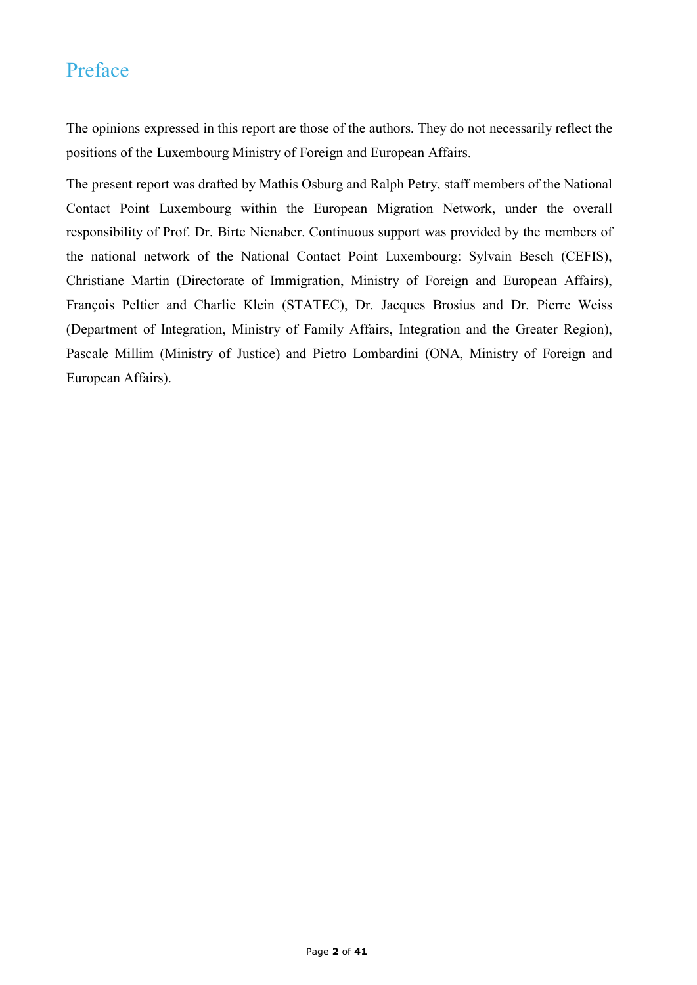## Preface

The opinions expressed in this report are those of the authors. They do not necessarily reflect the positions of the Luxembourg Ministry of Foreign and European Affairs.

The present report was drafted by Mathis Osburg and Ralph Petry, staff members of the National Contact Point Luxembourg within the European Migration Network, under the overall responsibility of Prof. Dr. Birte Nienaber. Continuous support was provided by the members of the national network of the National Contact Point Luxembourg: Sylvain Besch (CEFIS), Christiane Martin (Directorate of Immigration, Ministry of Foreign and European Affairs), François Peltier and Charlie Klein (STATEC), Dr. Jacques Brosius and Dr. Pierre Weiss (Department of Integration, Ministry of Family Affairs, Integration and the Greater Region), Pascale Millim (Ministry of Justice) and Pietro Lombardini (ONA, Ministry of Foreign and European Affairs).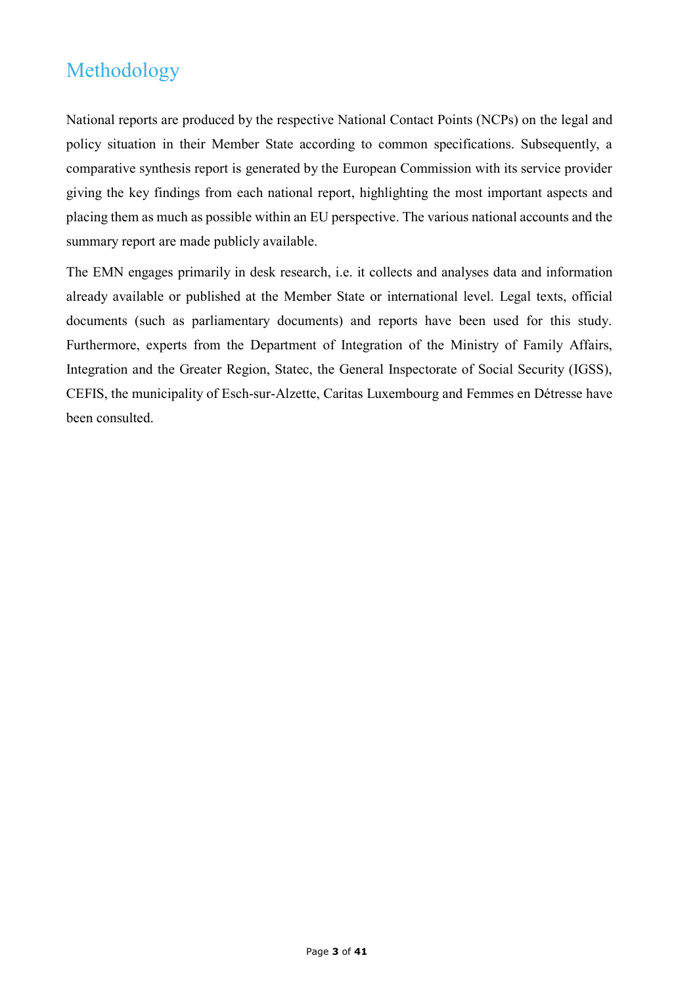## Methodology

National reports are produced by the respective National Contact Points (NCPs) on the legal and policy situation in their Member State according to common specifications. Subsequently, a comparative synthesis report is generated by the European Commission with its service provider giving the key findings from each national report, highlighting the most important aspects and placing them as much as possible within an EU perspective. The various national accounts and the summary report are made publicly available.

The EMN engages primarily in desk research, i.e. it collects and analyses data and information already available or published at the Member State or international level. Legal texts, official documents (such as parliamentary documents) and reports have been used for this study. Furthermore, experts from the Department of Integration of the Ministry of Family Affairs, Integration and the Greater Region, Statec, the General Inspectorate of Social Security (IGSS), CEFIS, the municipality of Esch-sur-Alzette, Caritas Luxembourg and Femmes en Détresse have been consulted.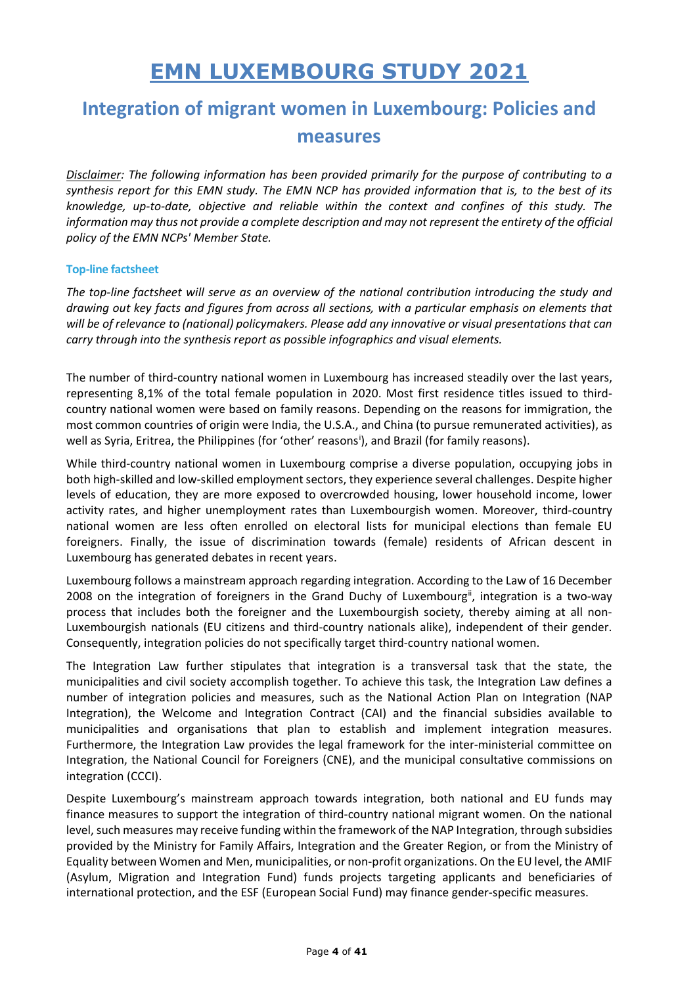# **EMN LUXEMBOURG STUDY 2021**

## **Integration of migrant women in Luxembourg: Policies and**

## **measures**

*Disclaimer: The following information has been provided primarily for the purpose of contributing to a synthesis report for this EMN study. The EMN NCP has provided information that is, to the best of its knowledge, up-to-date, objective and reliable within the context and confines of this study. The information may thus not provide a complete description and may not represent the entirety of the official policy of the EMN NCPs' Member State.*

#### **Top-line factsheet**

*The top-line factsheet will serve as an overview of the national contribution introducing the study and drawing out key facts and figures from across all sections, with a particular emphasis on elements that will be of relevance to (national) policymakers. Please add any innovative or visual presentations that can carry through into the synthesis report as possible infographics and visual elements.*

The number of third-country national women in Luxembourg has increased steadily over the last years, representing 8,1% of the total female population in 2020. Most first residence titles issued to thirdcountry national women were based on family reasons. Depending on the reasons for immigration, the most common countries of origin were India, the U.S.A., and China (to pursue remunerated activities), as well as Syr[i](#page-20-0)a, Eritrea, the Philippines (for 'other' reasons<sup>i</sup>), and Brazil (for family reasons).

While third-country national women in Luxembourg comprise a diverse population, occupying jobs in both high-skilled and low-skilled employment sectors, they experience several challenges. Despite higher levels of education, they are more exposed to overcrowded housing, lower household income, lower activity rates, and higher unemployment rates than Luxembourgish women. Moreover, third-country national women are less often enrolled on electoral lists for municipal elections than female EU foreigners. Finally, the issue of discrimination towards (female) residents of African descent in Luxembourg has generated debates in recent years.

Luxembourg follows a mainstream approach regarding integration. According to the Law of 16 December 2008 on the integration of foreigners in the Grand Duchy of Luxembourg<sup>[ii](#page-20-1)</sup>, integration is a two-way process that includes both the foreigner and the Luxembourgish society, thereby aiming at all non-Luxembourgish nationals (EU citizens and third-country nationals alike), independent of their gender. Consequently, integration policies do not specifically target third-country national women.

The Integration Law further stipulates that integration is a transversal task that the state, the municipalities and civil society accomplish together. To achieve this task, the Integration Law defines a number of integration policies and measures, such as the National Action Plan on Integration (NAP Integration), the Welcome and Integration Contract (CAI) and the financial subsidies available to municipalities and organisations that plan to establish and implement integration measures. Furthermore, the Integration Law provides the legal framework for the inter-ministerial committee on Integration, the National Council for Foreigners (CNE), and the municipal consultative commissions on integration (CCCI).

Despite Luxembourg's mainstream approach towards integration, both national and EU funds may finance measures to support the integration of third-country national migrant women. On the national level, such measures may receive funding within the framework of the NAP Integration, through subsidies provided by the Ministry for Family Affairs, Integration and the Greater Region, or from the Ministry of Equality between Women and Men, municipalities, or non-profit organizations. On the EU level, the AMIF (Asylum, Migration and Integration Fund) funds projects targeting applicants and beneficiaries of international protection, and the ESF (European Social Fund) may finance gender-specific measures.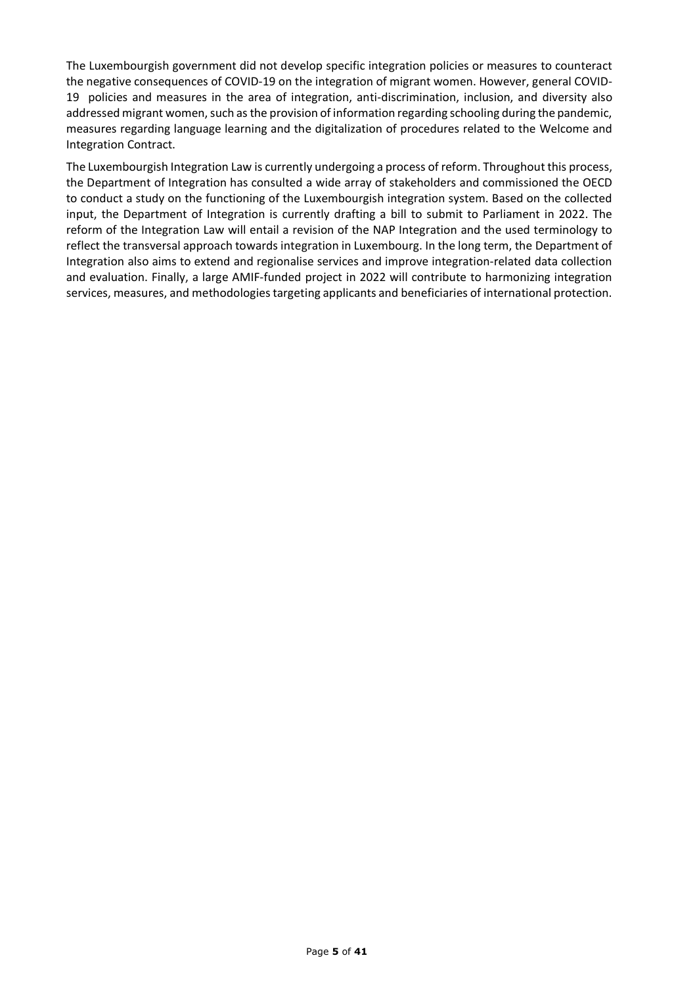The Luxembourgish government did not develop specific integration policies or measures to counteract the negative consequences of COVID-19 on the integration of migrant women. However, general COVID-19 policies and measures in the area of integration, anti-discrimination, inclusion, and diversity also addressed migrant women, such as the provision of information regarding schooling during the pandemic, measures regarding language learning and the digitalization of procedures related to the Welcome and Integration Contract.

The Luxembourgish Integration Law is currently undergoing a process of reform. Throughout this process, the Department of Integration has consulted a wide array of stakeholders and commissioned the OECD to conduct a study on the functioning of the Luxembourgish integration system. Based on the collected input, the Department of Integration is currently drafting a bill to submit to Parliament in 2022. The reform of the Integration Law will entail a revision of the NAP Integration and the used terminology to reflect the transversal approach towards integration in Luxembourg. In the long term, the Department of Integration also aims to extend and regionalise services and improve integration-related data collection and evaluation. Finally, a large AMIF-funded project in 2022 will contribute to harmonizing integration services, measures, and methodologies targeting applicants and beneficiaries of international protection.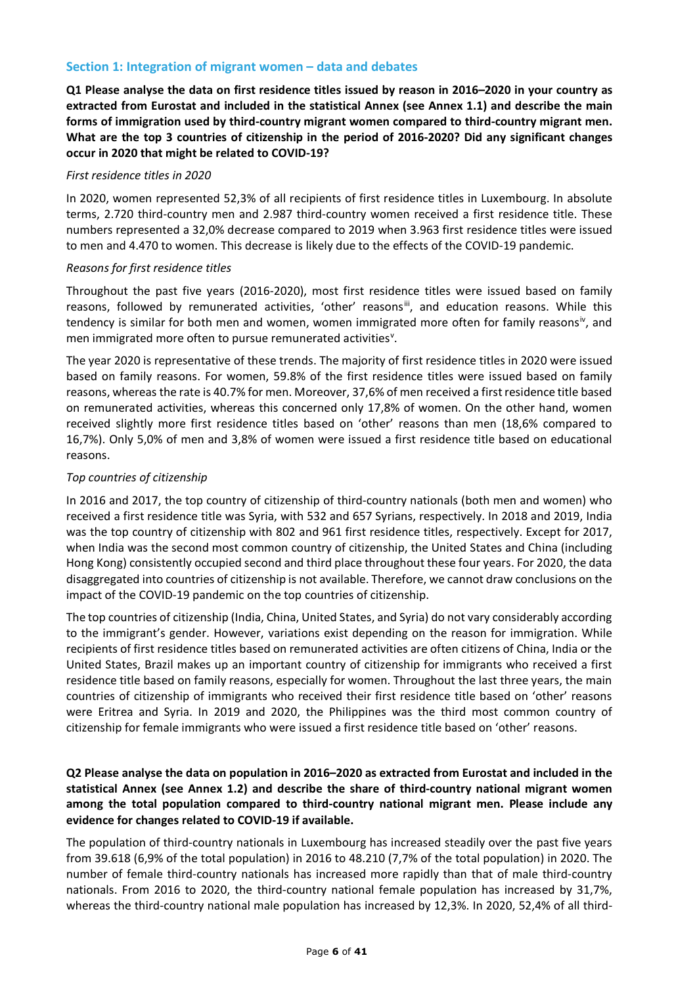#### **Section 1: Integration of migrant women – data and debates**

**Q1 Please analyse the data on first residence titles issued by reason in 2016–2020 in your country as extracted from Eurostat and included in the statistical Annex (see Annex 1.1) and describe the main forms of immigration used by third-country migrant women compared to third-country migrant men. What are the top 3 countries of citizenship in the period of 2016-2020? Did any significant changes occur in 2020 that might be related to COVID-19?**

#### *First residence titles in 2020*

In 2020, women represented 52,3% of all recipients of first residence titles in Luxembourg. In absolute terms, 2.720 third-country men and 2.987 third-country women received a first residence title. These numbers represented a 32,0% decrease compared to 2019 when 3.963 first residence titles were issued to men and 4.470 to women. This decrease is likely due to the effects of the COVID-19 pandemic.

#### *Reasons for first residence titles*

Throughout the past five years (2016-2020), most first residence titles were issued based on family reasons, followed by remunerated activities, 'other' reasons<sup>[iii](#page-20-2)</sup>, and education reasons. While this tendency is similar for both men and women, women immigrated more often for family reasons<sup>[iv](#page-20-3)</sup>, and men immigrated more often to pursue remunerated acti[v](#page-20-4)ities<sup>v</sup>.

The year 2020 is representative of these trends. The majority of first residence titles in 2020 were issued based on family reasons. For women, 59.8% of the first residence titles were issued based on family reasons, whereas the rate is 40.7% for men. Moreover, 37,6% of men received a first residence title based on remunerated activities, whereas this concerned only 17,8% of women. On the other hand, women received slightly more first residence titles based on 'other' reasons than men (18,6% compared to 16,7%). Only 5,0% of men and 3,8% of women were issued a first residence title based on educational reasons.

#### *Top countries of citizenship*

In 2016 and 2017, the top country of citizenship of third-country nationals (both men and women) who received a first residence title was Syria, with 532 and 657 Syrians, respectively. In 2018 and 2019, India was the top country of citizenship with 802 and 961 first residence titles, respectively. Except for 2017, when India was the second most common country of citizenship, the United States and China (including Hong Kong) consistently occupied second and third place throughout these four years. For 2020, the data disaggregated into countries of citizenship is not available. Therefore, we cannot draw conclusions on the impact of the COVID-19 pandemic on the top countries of citizenship.

The top countries of citizenship (India, China, United States, and Syria) do not vary considerably according to the immigrant's gender. However, variations exist depending on the reason for immigration. While recipients of first residence titles based on remunerated activities are often citizens of China, India or the United States, Brazil makes up an important country of citizenship for immigrants who received a first residence title based on family reasons, especially for women. Throughout the last three years, the main countries of citizenship of immigrants who received their first residence title based on 'other' reasons were Eritrea and Syria. In 2019 and 2020, the Philippines was the third most common country of citizenship for female immigrants who were issued a first residence title based on 'other' reasons.

## **Q2 Please analyse the data on population in 2016–2020 as extracted from Eurostat and included in the statistical Annex (see Annex 1.2) and describe the share of third-country national migrant women among the total population compared to third-country national migrant men. Please include any evidence for changes related to COVID-19 if available.**

The population of third-country nationals in Luxembourg has increased steadily over the past five years from 39.618 (6,9% of the total population) in 2016 to 48.210 (7,7% of the total population) in 2020. The number of female third-country nationals has increased more rapidly than that of male third-country nationals. From 2016 to 2020, the third-country national female population has increased by 31,7%, whereas the third-country national male population has increased by 12,3%. In 2020, 52,4% of all third-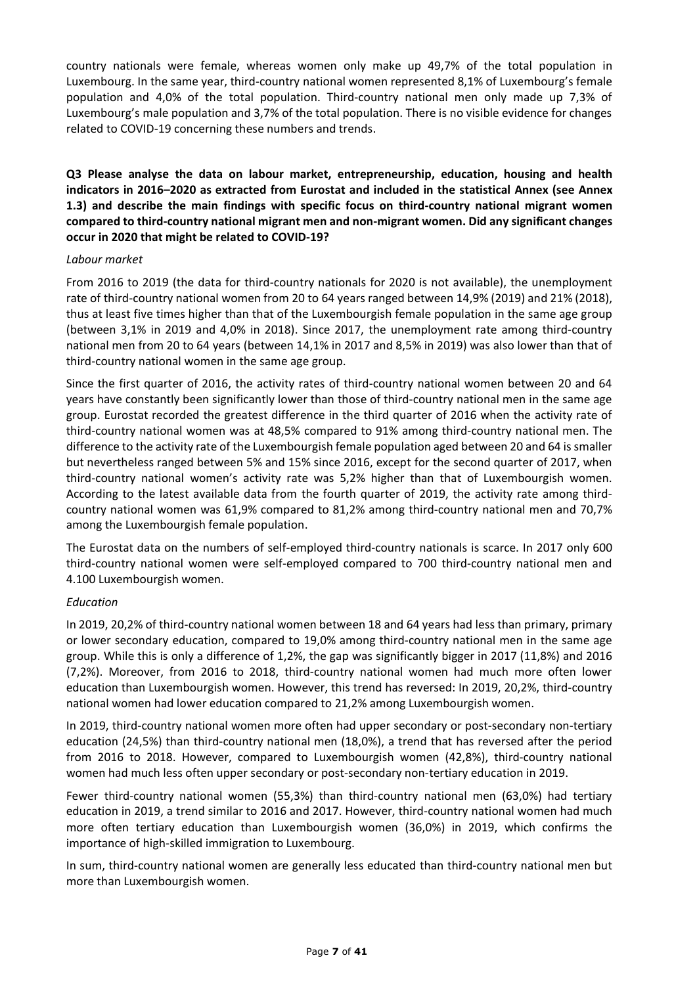country nationals were female, whereas women only make up 49,7% of the total population in Luxembourg. In the same year, third-country national women represented 8,1% of Luxembourg's female population and 4,0% of the total population. Third-country national men only made up 7,3% of Luxembourg's male population and 3,7% of the total population. There is no visible evidence for changes related to COVID-19 concerning these numbers and trends.

**Q3 Please analyse the data on labour market, entrepreneurship, education, housing and health indicators in 2016–2020 as extracted from Eurostat and included in the statistical Annex (see Annex 1.3) and describe the main findings with specific focus on third-country national migrant women compared to third-country national migrant men and non-migrant women. Did any significant changes occur in 2020 that might be related to COVID-19?** 

#### *Labour market*

From 2016 to 2019 (the data for third-country nationals for 2020 is not available), the unemployment rate of third-country national women from 20 to 64 years ranged between 14,9% (2019) and 21% (2018), thus at least five times higher than that of the Luxembourgish female population in the same age group (between 3,1% in 2019 and 4,0% in 2018). Since 2017, the unemployment rate among third-country national men from 20 to 64 years (between 14,1% in 2017 and 8,5% in 2019) was also lower than that of third-country national women in the same age group.

Since the first quarter of 2016, the activity rates of third-country national women between 20 and 64 years have constantly been significantly lower than those of third-country national men in the same age group. Eurostat recorded the greatest difference in the third quarter of 2016 when the activity rate of third-country national women was at 48,5% compared to 91% among third-country national men. The difference to the activity rate of the Luxembourgish female population aged between 20 and 64 is smaller but nevertheless ranged between 5% and 15% since 2016, except for the second quarter of 2017, when third-country national women's activity rate was 5,2% higher than that of Luxembourgish women. According to the latest available data from the fourth quarter of 2019, the activity rate among thirdcountry national women was 61,9% compared to 81,2% among third-country national men and 70,7% among the Luxembourgish female population.

The Eurostat data on the numbers of self-employed third-country nationals is scarce. In 2017 only 600 third-country national women were self-employed compared to 700 third-country national men and 4.100 Luxembourgish women.

## *Education*

In 2019, 20,2% of third-country national women between 18 and 64 years had less than primary, primary or lower secondary education, compared to 19,0% among third-country national men in the same age group. While this is only a difference of 1,2%, the gap was significantly bigger in 2017 (11,8%) and 2016 (7,2%). Moreover, from 2016 to 2018, third-country national women had much more often lower education than Luxembourgish women. However, this trend has reversed: In 2019, 20,2%, third-country national women had lower education compared to 21,2% among Luxembourgish women.

In 2019, third-country national women more often had upper secondary or post-secondary non-tertiary education (24,5%) than third-country national men (18,0%), a trend that has reversed after the period from 2016 to 2018. However, compared to Luxembourgish women (42,8%), third-country national women had much less often upper secondary or post-secondary non-tertiary education in 2019.

Fewer third-country national women (55,3%) than third-country national men (63,0%) had tertiary education in 2019, a trend similar to 2016 and 2017. However, third-country national women had much more often tertiary education than Luxembourgish women (36,0%) in 2019, which confirms the importance of high-skilled immigration to Luxembourg.

In sum, third-country national women are generally less educated than third-country national men but more than Luxembourgish women.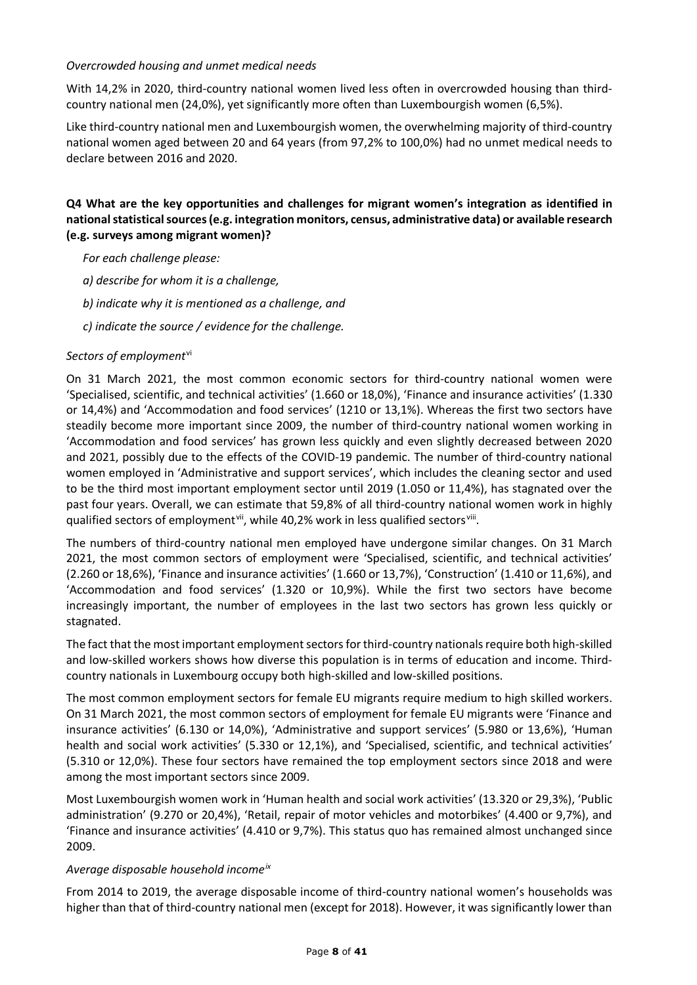#### *Overcrowded housing and unmet medical needs*

With 14,2% in 2020, third-country national women lived less often in overcrowded housing than thirdcountry national men (24,0%), yet significantly more often than Luxembourgish women (6,5%).

Like third-country national men and Luxembourgish women, the overwhelming majority of third-country national women aged between 20 and 64 years (from 97,2% to 100,0%) had no unmet medical needs to declare between 2016 and 2020.

## **Q4 What are the key opportunities and challenges for migrant women's integration as identified in national statistical sources (e.g. integration monitors, census, administrative data) or available research (e.g. surveys among migrant women)?**

- *For each challenge please:*
- *a) describe for whom it is a challenge,*
- *b) indicate why it is mentioned as a challenge, and*
- *c) indicate the source / evidence for the challenge.*

#### Sectors of employment<sup>[vi](#page-20-5)</sup>

On 31 March 2021, the most common economic sectors for third-country national women were 'Specialised, scientific, and technical activities' (1.660 or 18,0%), 'Finance and insurance activities' (1.330 or 14,4%) and 'Accommodation and food services' (1210 or 13,1%). Whereas the first two sectors have steadily become more important since 2009, the number of third-country national women working in 'Accommodation and food services' has grown less quickly and even slightly decreased between 2020 and 2021, possibly due to the effects of the COVID-19 pandemic. The number of third-country national women employed in 'Administrative and support services', which includes the cleaning sector and used to be the third most important employment sector until 2019 (1.050 or 11,4%), has stagnated over the past four years. Overall, we can estimate that 59,8% of all third-country national women work in highly qualified sectors of employment<sup>[vii](#page-20-6)</sup>, while 40,2% work in less qualified sectors<sup>[viii](#page-20-7)</sup>.

The numbers of third-country national men employed have undergone similar changes. On 31 March 2021, the most common sectors of employment were 'Specialised, scientific, and technical activities' (2.260 or 18,6%), 'Finance and insurance activities' (1.660 or 13,7%), 'Construction' (1.410 or 11,6%), and 'Accommodation and food services' (1.320 or 10,9%). While the first two sectors have become increasingly important, the number of employees in the last two sectors has grown less quickly or stagnated.

The fact that the most important employment sectors for third-country nationals require both high-skilled and low-skilled workers shows how diverse this population is in terms of education and income. Thirdcountry nationals in Luxembourg occupy both high-skilled and low-skilled positions.

The most common employment sectors for female EU migrants require medium to high skilled workers. On 31 March 2021, the most common sectors of employment for female EU migrants were 'Finance and insurance activities' (6.130 or 14,0%), 'Administrative and support services' (5.980 or 13,6%), 'Human health and social work activities' (5.330 or 12,1%), and 'Specialised, scientific, and technical activities' (5.310 or 12,0%). These four sectors have remained the top employment sectors since 2018 and were among the most important sectors since 2009.

Most Luxembourgish women work in 'Human health and social work activities' (13.320 or 29,3%), 'Public administration' (9.270 or 20,4%), 'Retail, repair of motor vehicles and motorbikes' (4.400 or 9,7%), and 'Finance and insurance activities' (4.410 or 9,7%). This status quo has remained almost unchanged since 2009.

#### *Average disposable household income[ix](#page-20-8)*

From 2014 to 2019, the average disposable income of third-country national women's households was higher than that of third-country national men (except for 2018). However, it was significantly lower than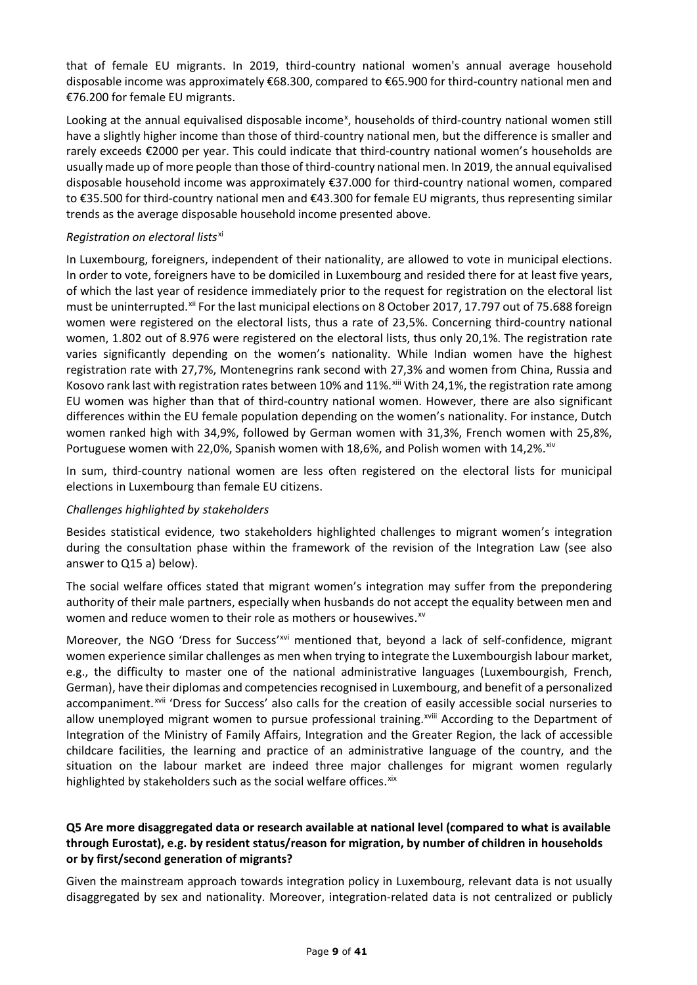that of female EU migrants. In 2019, third-country national women's annual average household disposable income was approximately €68.300, compared to €65.900 for third-country national men and €76.200 for female EU migrants.

Looking at the annual equivalised disposable income<sup>[x](#page-20-9)</sup>, households of third-country national women still have a slightly higher income than those of third-country national men, but the difference is smaller and rarely exceeds €2000 per year. This could indicate that third-country national women's households are usually made up of more people than those of third-country national men. In 2019, the annual equivalised disposable household income was approximately €37.000 for third-country national women, compared to €35.500 for third-country national men and €43.300 for female EU migrants, thus representing similar trends as the average disposable household income presented above.

### Registration on electoral lists<sup>[xi](#page-20-10)</sup>

In Luxembourg, foreigners, independent of their nationality, are allowed to vote in municipal elections. In order to vote, foreigners have to be domiciled in Luxembourg and resided there for at least five years, of which the last year of residence immediately prior to the request for registration on the electoral list must be uninterrupted.<sup>[xii](#page-20-11)</sup> For the last municipal elections on 8 October 2017, 17.797 out of 75.688 foreign women were registered on the electoral lists, thus a rate of 23,5%. Concerning third-country national women, 1.802 out of 8.976 were registered on the electoral lists, thus only 20,1%. The registration rate varies significantly depending on the women's nationality. While Indian women have the highest registration rate with 27,7%, Montenegrins rank second with 27,3% and women from China, Russia and Kosovo rank last with registration rates between 10% and 11%. Xiii With 24,1%, the registration rate among EU women was higher than that of third-country national women. However, there are also significant differences within the EU female population depending on the women's nationality. For instance, Dutch women ranked high with 34,9%, followed by German women with 31,3%, French women with 25,8%, Portuguese women with 22,0%, Spanish women with 18,6%, and Polish women with 14,2%. $x^{iv}$ 

In sum, third-country national women are less often registered on the electoral lists for municipal elections in Luxembourg than female EU citizens.

#### *Challenges highlighted by stakeholders*

Besides statistical evidence, two stakeholders highlighted challenges to migrant women's integration during the consultation phase within the framework of the revision of the Integration Law (see also answer to Q15 a) below).

The social welfare offices stated that migrant women's integration may suffer from the prepondering authority of their male partners, especially when husbands do not accept the equality between men and women and reduce women to their role as mothers or housewives.<sup>[xv](#page-20-14)</sup>

Moreover, the NGO 'Dress for Success'<sup>[xvi](#page-21-0)</sup> mentioned that, beyond a lack of self-confidence, migrant allow unemployed migrant women to pursue professional training.<sup>xviii</sup> According to the Department of women experience similar challenges as men when trying to integrate the Luxembourgish labour market, e.g., the difficulty to master one of the national administrative languages (Luxembourgish, French, German), have their diplomas and competencies recognised in Luxembourg, and benefit of a personalized accompaniment.<sup>[xvii](#page-21-1)</sup> 'Dress for Success' also calls for the creation of easily accessible social nurseries to Integration of the Ministry of Family Affairs, Integration and the Greater Region, the lack of accessible childcare facilities, the learning and practice of an administrative language of the country, and the situation on the labour market are indeed three major challenges for migrant women regularly highlighted by stakeholders such as the social welfare offices. [xix](#page-21-2)

## **Q5 Are more disaggregated data or research available at national level (compared to what is available through Eurostat), e.g. by resident status/reason for migration, by number of children in households or by first/second generation of migrants?**

Given the mainstream approach towards integration policy in Luxembourg, relevant data is not usually disaggregated by sex and nationality. Moreover, integration-related data is not centralized or publicly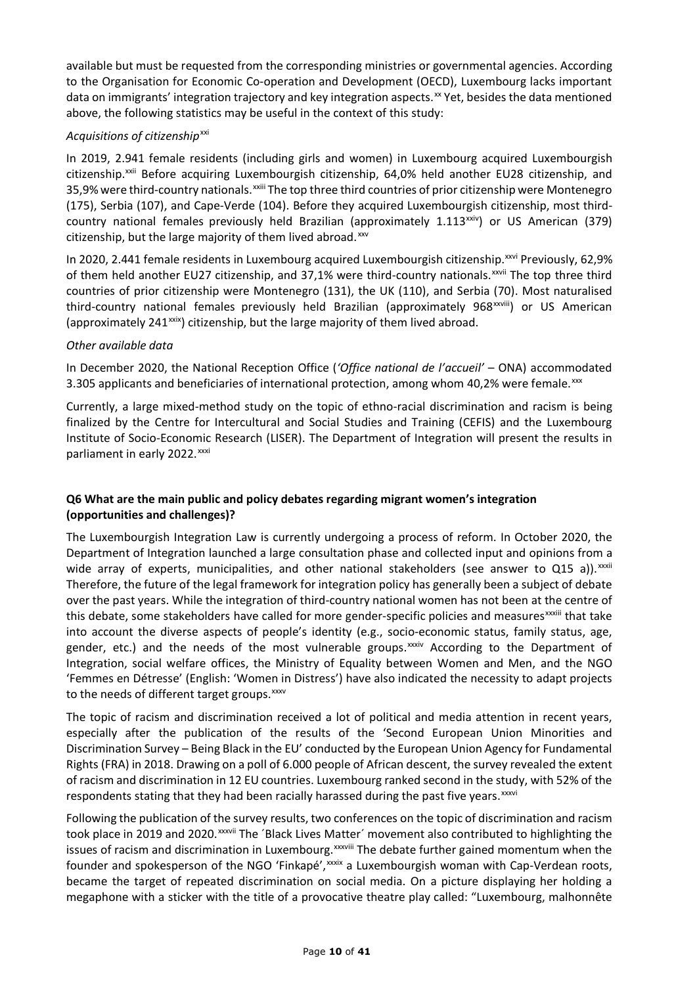available but must be requested from the corresponding ministries or governmental agencies. According to the Organisation for Economic Co-operation and Development (OECD), Luxembourg lacks important data on immigrants' integration trajectory and key integration aspects.<sup>[xx](#page-21-3)</sup> Yet, besides the data mentioned above, the following statistics may be useful in the context of this study:

## Acquisitions of citizenship<sup>[xxi](#page-21-4)</sup>

In 2019, 2.941 female residents (including girls and women) in Luxembourg acquired Luxembourgish citizenship.<sup>[xxii](#page-21-5)</sup> Before acquiring Luxembourgish citizenship, 64,0% held another EU28 citizenship, and 35,9% were third-country nationals. xxiii [T](#page-21-6)he top three third countries of prior citizenship were Montenegro (175), Serbia (107), and Cape-Verde (104). Before they acquired Luxembourgish citizenship, most thirdcountry national females previously held Brazilian (approximately 1.113<sup>[xxiv](#page-21-7)</sup>) or US American (379) citizenship, but the large majority of them lived abroad. [xxv](#page-21-8)

In 2020, 2.441 female residents in Luxembourg acquired Luxembourgish citizenship.<sup>[xxvi](#page-21-9)</sup> Previously, 62,9% of them held another EU27 citizenship, and 37,1% were third-country nationals.<sup>xxvii</sup> The top three third third-country national females previously held Brazilian (approximately 968<sup>xxviii</sup>) or US American (approximately 241<sup>[xxix](#page-21-10)</sup>) citizenship, but the large majority of them lived abroad. countries of prior citizenship were Montenegro (131), the UK (110), and Serbia (70). Most naturalised

#### *Other available data*

In December 2020, the National Reception Office (*'Office national de l'accueil'* – ONA) accommodated 3.305 applicants and beneficiaries of international protection, among whom 40.2% were female. [xxx](#page-21-11)

Currently, a large mixed-method study on the topic of ethno-racial discrimination and racism is being finalized by the Centre for Intercultural and Social Studies and Training (CEFIS) and the Luxembourg Institute of Socio-Economic Research (LISER). The Department of Integration will present the results in parliament in early 2022. [xxxi](#page-21-12)

## **Q6 What are the main public and policy debates regarding migrant women's integration (opportunities and challenges)?**

The Luxembourgish Integration Law is currently undergoing a process of reform. In October 2020, the Department of Integration launched a large consultation phase and collected input and opinions from a w[i](#page-21-13)de array of experts, municipalities, and other national stakeholders (see answer to Q15 a)).<sup>xxxii</sup> this debate, some stakeholders have called for more gender-specific policies and measures<sup>xxxiii</sup> that take gender, etc.) and the needs of the most vulnerable groups.<sup>xxxiv</sup> According to the Department of Therefore, the future of the legal framework for integration policy has generally been a subject of debate over the past years. While the integration of third-country national women has not been at the centre of into account the diverse aspects of people's identity (e.g., socio-economic status, family status, age, Integration, social welfare offices, the Ministry of Equality between Women and Men, and the NGO 'Femmes en Détresse' (English: 'Women in Distress') have also indicated the necessity to adapt projects to the needs of different target groups.<sup>[xxxv](#page-22-0)</sup>

The topic of racism and discrimination received a lot of political and media attention in recent years, especially after the publication of the results of the 'Second European Union Minorities and Discrimination Survey – Being Black in the EU' conducted by the European Union Agency for Fundamental Rights (FRA) in 2018. Drawing on a poll of 6.000 people of African descent, the survey revealed the extent of racism and discrimination in 12 EU countries. Luxembourg ranked second in the study, with 52% of the respondentsstating that they had been racially harassed during the past five years. xxxvi

Following the publication of the survey results, two conferences on the topic of discrimination and racism took place in 2019 and 2020.<sup>xxxvii</sup> The 'Black Lives Matter' movement also contributed to highlighting the [i](#page-22-2)ssues of racism and discrimination in Luxembourg. XXXVIII The debate further gained momentum when the founder and spokesperson of the NGO 'Finkapé', xxxix a Luxembourgish woman with Cap-Verdean roots, became the target of repeated discrimination on social media. On a picture displaying her holding a megaphone with a sticker with the title of a provocative theatre play called: "Luxembourg, malhonnête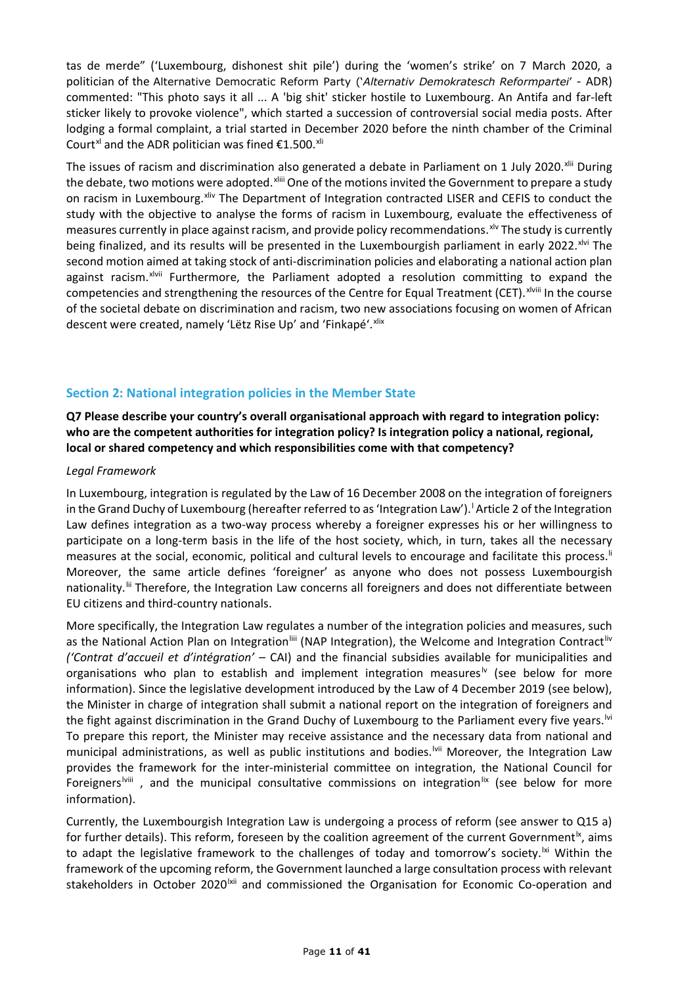tas de merde" ('Luxembourg, dishonest shit pile') during the 'women's strike' on 7 March 2020, a politician of the Alternative Democratic Reform Party ('*Alternativ Demokratesch Reformpartei*' - ADR) commented: "This photo says it all ... A 'big shit' sticker hostile to Luxembourg. An Antifa and far-left sticker likely to provoke violence", which started a succession of controversial social media posts. After lodging a formal complaint, a trial started in December 2020 before the ninth chamber of the Criminal Court<sup>[xl](#page-22-3)</sup> and the ADR politician was fined  $£1.500$ .<sup>[xli](#page-22-4)</sup>

The issues of racism and discrimination also generated a debate in Parliament on 1 July 2020. Xili During the debate, two motions were adopted. Xliii [O](#page-22-6)ne of the motions invited the Government to prepare a study against racism. XIvii Furthermore, the Parliament adopted a resolution committing to expand the competenc[i](#page-22-11)es and strengthening the resources of the Centre for Equal Treatment (CET). XIVIII In the course on racism in Luxembourg. Xily The Department of Integration contracted LISER and CEFIS to conduct the study with the objective to analyse the forms of racism in Luxembourg, evaluate the effectiveness of measures currently in place against racism, and provide policy recommendations.<sup>xly</sup> The study is currently being finalized, and its results will be presented in the Luxembourgish parliament in early 2022.<sup>[xlvi](#page-22-9)</sup> The second motion ai[m](#page-22-10)ed at taking stock of anti-discrimination policies and elaborating a national action plan of the societal debate on discrimination and racism, two new associations focusing on women of African descent were created, namely 'Lëtz Rise Up' and 'Finkapé'. [xlix](#page-22-12)

#### **Section 2: National integration policies in the Member State**

**Q7 Please describe your country's overall organisational approach with regard to integration policy: who are the competent authorities for integration policy? Is integration policy a national, regional, local or shared competency and which responsibilities come with that competency?** 

#### *Legal Framework*

In Luxembourg, integration is regulated by the Law of 16 December 2008 on the integration of foreigners in the Grand Duchy of Luxembourg (hereafter referred to as 'Integration Law'). Artic[l](#page-22-13)e 2 of the Integration Law defines integration as a two-way process whereby a foreigner expresses his or her willingness to participate on a long-term basis in the life of the host society, which, in turn, takes all the necessary measures at the social, economic, po[li](#page-22-14)tical and cultural levels to encourage and facilitate this process.<sup>ii</sup> Moreover, the same article defines 'foreigner' as anyone who does not possess Luxembourgish nationality.<sup>III</sup> Therefore, the Integration Law concerns all foreigners and does not differentiate between EU citizens and third-country nationals.

More specifically, the Integration Law regulates a number of the integration policies and measures, such as the National Action Plan on Integration<sup>|iii</sup> (NAP Integration), the Welcome and Integration Contract<sup>[liv](#page-23-1)</sup> Fore[i](#page-23-5)gners<sup>Iviii</sup>, and the municipal consultative commissions on integration<sup>[lix](#page-23-6)</sup> (see below for more *('Contrat d'accueil et d'intégration'* – CAI) and the financial subsidies available for municipalities and organisations who plan to establish and implement integration measures<sup> $\alpha$ </sup> (see below for more information). Since the legislative development introduced by the Law of 4 December 2019 (see below), the Minister in charge of integration shall submit a national report on the integration of foreigners and the fight against discrimination in the Grand Duchy of Luxembourg to the Parliament every five years.<sup>Ivi</sup> To prepare this report, the Minister may receive assistance and the necessary data from national and municipal administrations, as well as public institutions and bodies.<sup>Ivii</sup> Moreover, the Integration Law provides the framework for the inter-ministerial committee on integration, the National Council for information).

Currently, the Luxembourgish Integration Law is undergoing a process of reform (see answer to Q15 a) for further details). This reform, foreseen by the coalition agreement of the current Government<sup>1x</sup>, aims to adapt the legislative framework to the challenges of today and tomorrow's society. <sup>|xi</sup> Within the framework of the upcoming reform, the Government launched a large consultation process with relevant stakeholders in October 2020<sup>kii</sup> and commissioned the Organisation for Economic Co-operation and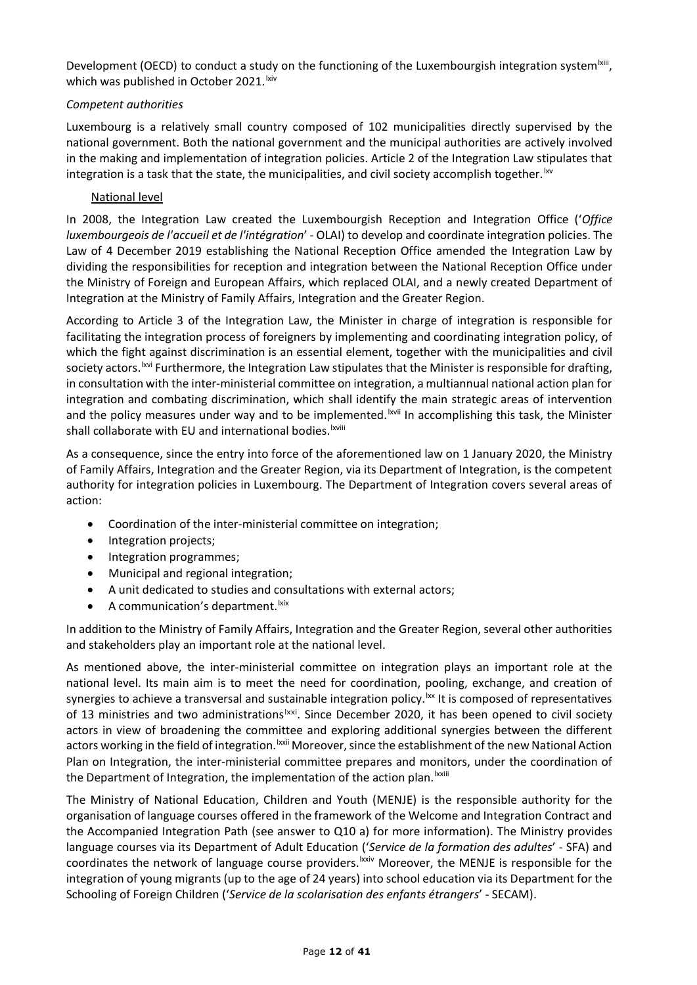Development (OECD) to conduct a study on the functioning of the Luxembourgish integration system xiii, which was published in October 2021. <sup>Ixiv</sup>

## *Competent authorities*

Luxembourg is a relatively small country composed of 102 municipalities directly supervised by the national government. Both the national government and the municipal authorities are actively involved in the making and implementation of integration policies. Article 2 of the Integration Law stipulates that integration is a task that the state, the municipalities, and civil society accomplish together.  $\frac{N}{N}$ 

#### National level

In 2008, the Integration Law created the Luxembourgish Reception and Integration Office ('*Office luxembourgeois de l'accueil et de l'intégration*' - OLAI) to develop and coordinate integration policies. The Law of 4 December 2019 establishing the National Reception Office amended the Integration Law by dividing the responsibilities for reception and integration between the National Reception Office under the Ministry of Foreign and European Affairs, which replaced OLAI, and a newly created Department of Integration at the Ministry of Family Affairs, Integration and the Greater Region.

According to Article 3 of the Integration Law, the Minister in charge of integration is responsible for facilitating the integration process of foreigners by implementing and coordinating integration policy, of which the fight against discrimination is an essential element, together with the municipalities and civil society actors. <sup>kvi</sup> Furthermore, the Integration Law stipulates that the Minister is responsible for drafting, and the policy measures under way and to be implemented. <sup>Ixvii</sup> In accomplishing this task, the Minister shallcollaborate with EU and international bodies. **KYIII** in consultation with the inter-ministerial committee on integration, a multiannual national action plan for integration and combating discrimination, which shall identify [t](#page-23-14)he main strategic areas of intervention

As a consequence, since the entry into force of the aforementioned law on 1 January 2020, the Ministry of Family Affairs, Integration and the Greater Region, via its Department of Integration, is the competent authority for integration policies in Luxembourg. The Department of Integration covers several areas of action:

- Coordination of the inter-ministerial committee on integration;
- Integration projects;
- Integration programmes;
- Municipal and regional integration;
- A unit dedicated to studies and consultations with external actors;
- $\bullet$  A communication's department.  $k$ ixix

In addition to the Ministry of Family Affairs, Integration and the Greater Region, several other authorities and stakeholders play an important role at the national level.

As mentioned above, the inter-ministerial committee on integration plays an important role at the national level. Its main aim is to meet the need for coordination, pooling, exchange, and creation of synergies to achieve a transversal and sustainable integration policy.<sup>1xx</sup> It is composed of representatives actors working in the field of integration. <sup>Ixxii</sup> [M](#page-23-19)oreover, since the establishment of the new National Action the Department of Integration, the implementation of the action plan. <sup>Ixxiii</sup> of 13 ministries and two administrations<sup>1xxi</sup>. Since December 2020, it has been opened to civil society actors in view of broadening the committee and exploring additional synergies between the different Plan on Integration, the inter-ministerial committee prepares and monitors, under the coordination of

The Ministry of National Education, Children and Youth (MENJE) is the responsible authority for the organisation of language courses offered in the framework of the Welcome and Integration Contract and the Accompanied Integration Path (see answer to Q10 a) for more information). The Ministry provides language courses via its Department of Adult Education ('*Service de la formation des adultes*' - SFA) and coordinates the network of language course providers.lxxiv Moreover, the MENJE is responsible for the integration of young migrants (up to the age of 24 years) into school education via its Department for the Schooling of Foreign Children ('*Service de la scolarisation des enfants étrangers*' - SECAM).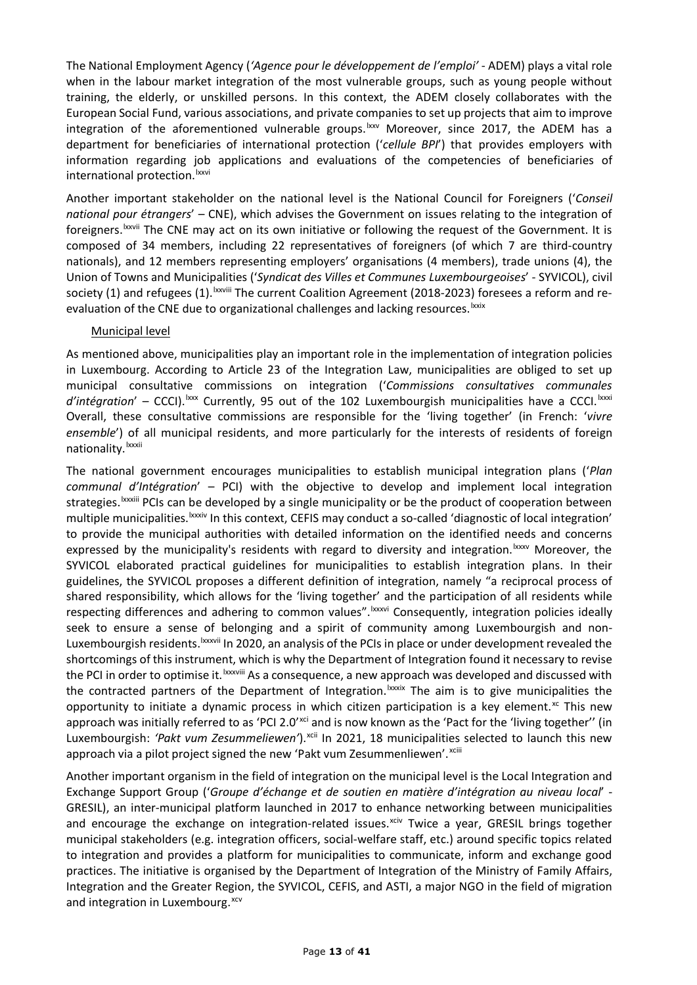The National Employment Agency (*'Agence pour le développement de l'emploi'* - ADEM) plays a vital role when in the labour market integration of the most vulnerable groups, such as young people without training, the elderly, or unskilled persons. In this context, the ADEM closely collaborates with the European Social Fund, various associations, and private companies to set up projects that aim to improve integration of the aforementioned vulnerable groups. **KXXV** Moreover, since 2017, the ADEM has a international protection. Ixxvi department for beneficiaries of international protection ('*cellule BPI*') that provides employers with information regarding job applications and evaluations of the competencies of beneficiaries of

Another important stakeholder on the national level is the National Council for Foreigners ('*Conseil national pour étrangers*' – CNE), which advises the Government on issues relating to the integration of fore[i](#page-24-0)gners. <sup>Ixxvii</sup> The CNE may act on its own initiative or following the request of the Government. It is soc[i](#page-24-1)ety (1) and refugees (1). <sup>Ixxviii</sup> The current Coalition Agreement (2018-2023) foresees a reform and reevaluationof the CNE due to organizational challenges and lacking resources. Ixxix composed of 34 members, including 22 representatives of foreigners (of which 7 are third-country nationals), and 12 members representing employers' organisations (4 members), trade unions (4), the Union of Towns and Municipalities ('*Syndicat des Villes et Communes Luxembourgeoises*' - SYVICOL), civil

#### Municipal level

As mentioned above, municipalities play an important role in the implementation of integration policies in Luxembourg. According to Article 23 of the Integration Law, municipalities are obliged to set up municipal consultative commissions on integration ('*Commissions consultatives communales*  d'[i](#page-24-4)ntégration' - CCCI). <sup>Ixxx</sup> Currently, 95 out of the 102 Luxembourgish municipalities have a CCCI. <sup>Ixxxi</sup> nationality.<sup>Ixxxii</sup> Overall, these consultative commissions are responsible for the 'living together' (in French: '*vivre ensemble*') of all municipal residents, and more particularly for the interests of residents of foreign

The national government encourages municipalities to establish municipal integration plans ('*Plan communal d'Intégration*' – PCI) with the objective to develop and implement local integration strateg[i](#page-24-6)es. <sup>Ixxxiii</sup> PCIs can be [d](#page-24-7)eveloped by a single municipality or be the product of cooperation between multiple municipalities. <sup>Ixxxiv</sup> In this context, CEFIS may conduct a so-called 'diagnostic of local integration' expressed by the municipality's residents with regard to di[v](#page-24-8)ersity and integration. Moreover, the respect[i](#page-24-9)ng differences and adhering to common values". XXXVI Consequently, integration policies ideally Luxembourgish residents. **[I](#page-24-10)xxxvii In 2020, an analysis of the PCIs in place or under development revealed the** the PCI in order to optimise it. **Ixxxviii [A](#page-24-11)s a consequence, a new approach** was developed and discussed with the contracted partners of the Department of Integration. E[x](#page-24-12)xix The aim is to give municipalities the approach via a pilot project signed the new 'Pakt vum Zesummenliewen'. xciii to provide the municipal authorities with detailed information on the identified needs and concerns SYVICOL elaborated practical guidelines for municipalities to establish integration plans. In their guidelines, the SYVICOL proposes a different definition of integration, namely "a reciprocal process of shared responsibility, which allows for the 'living together' and the participation of all residents while seek to ensure a sense of belonging and a spirit of community among Luxembourgish and nonshortcomings of this instrument, which is why the Department of Integration found it necessary to revise opportunity to initiate a dynamic process in which citizen participation is a key element.<sup>[xc](#page-24-13)</sup> This new approach was initially referred to as 'PCI 2.0'<sup>[xci](#page-24-14)</sup> and is now known as the 'Pact for the 'living together'' (in Luxembourgish: 'Pakt vum Zesummeliewen').<sup>[xcii](#page-24-15)</sup> In 2021, 18 municipalities selected to launch this new

Another important organism in the field of integration on the municipal level is the Local Integration and Exchange Support Group ('*Groupe d'échange et de soutien en matière d'intégration au niveau local*' - GRESIL), an inter-municipal platform launched in 2017 to enhance networking between municipalities and encourage the exchange on integration-related issues. Xciv Twice a year, GRESIL brings together municipal stakeholders (e.g. integration officers, social-welfare staff, etc.) around specific topics related to integration and provides a platform for municipalities to communicate, inform and exchange good practices. The initiative is organised by the Department of Integration of the Ministry of Family Affairs, Integration and the Greater Region, the SYVICOL, CEFIS, and ASTI, a major NGO in the field of migration and integration in Luxembourg.<sup>[xcv](#page-25-0)</sup>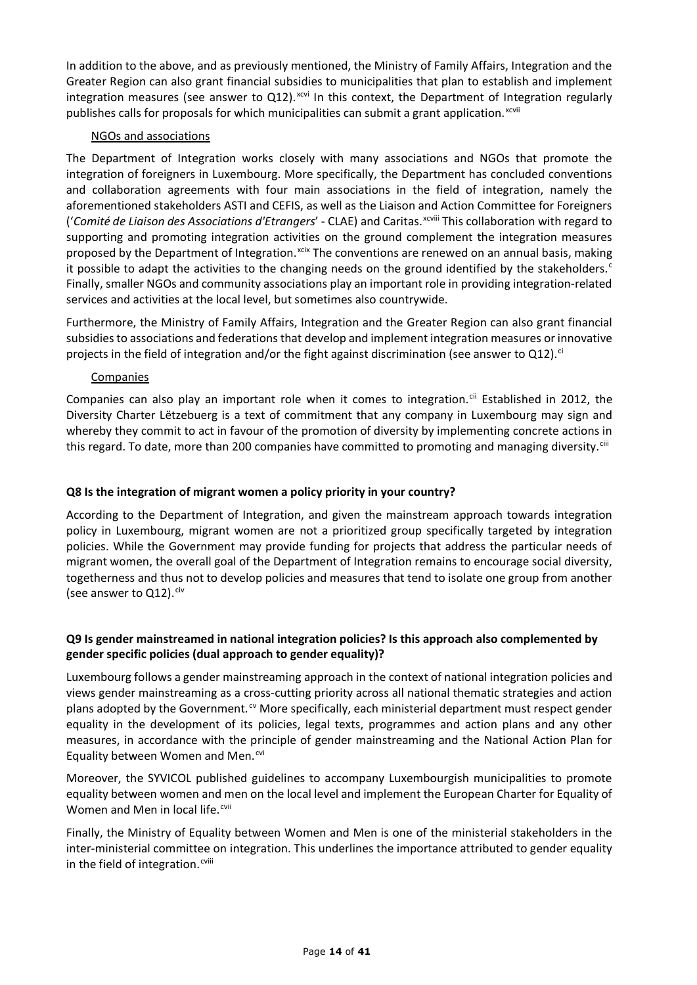In addition to the above, and as previously mentioned, the Ministry of Family Affairs, Integration and the Greater Region can also grant financial subsidies to municipalities that plan to establish and implement integration measures (see answer to  $Q12$ ). <sup>[xcvi](#page-25-1)</sup> In this context, the Department of Integration regularly publ[i](#page-25-2)shes calls for proposals for which municipalities can submit a grant application.<sup>xcvii</sup>

## NGOs and associations

The Department of Integration works closely with many associations and NGOs that promote the integration of foreigners in Luxembourg. More specifically, the Department has concluded conventions and collaboration agreements with four main associations in the field of integration, namely the aforementioned stakeholders ASTI and CEFIS, as well as the Liaison and Action Committee for Foreigners ('*Comité de Liaison des Associations d'Etrangers*' - CLAE) and Caritas.xcviii [T](#page-25-3)his collaboration with regard to supporting and promoting integration activities on the ground complement the integration measures proposed by the Department of Integration.<sup>[xcix](#page-25-4)</sup> The conventions are renewed on an annual basis, making it possible to adapt the a[c](#page-25-5)tivities to the changing needs on the ground identified by the stakeholders. $c$ Finally, smaller NGOs and community associations play an important role in providing integration-related services and activities at the local level, but sometimes also countrywide.

Furthermore, the Ministry of Family Affairs, Integration and the Greater Region can also grant financial subsidies to associations and federations that develop and implement integration measures or innovative projects in the field of integration and/or the fight against discrimination (see answer to Q12).<sup>[ci](#page-25-6)</sup>

#### **Companies**

Companies can also play an important role when it comes to integration.<sup>[cii](#page-25-7)</sup> Established in 2012, the Diversity Charter Lëtzebuerg is a text of commitment that any company in Luxembourg may sign and whereby they commit to act in favour of the promotion of diversity by implementing concrete actions in this regard. To date, more than 200 companies have committed to promoting and managing diversity.<sup>[ciii](#page-25-8)</sup>

#### **Q8 Is the integration of migrant women a policy priority in your country?**

According to the Department of Integration, and given the mainstream approach towards integration policy in Luxembourg, migrant women are not a prioritized group specifically targeted by integration policies. While the Government may provide funding for projects that address the particular needs of migrant women, the overall goal of the Department of Integration remains to encourage social diversity, togetherness and thus not to develop policies and measures that tend to isolate one group from another (see answer to Q12).<sup>[civ](#page-25-9)</sup>

#### **Q9 Is gender mainstreamed in national integration policies? Is this approach also complemented by gender specific policies (dual approach to gender equality)?**

Luxembourg follows a gender mainstreaming approach in the context of national integration policies and views gender mainstreaming as a cross-cutting priority across all national thematic strategies and action plans adopted by the Government.<sup>[cv](#page-25-10)</sup> More specifically, each ministerial department must respect gender equality in the development of its policies, legal texts, programmes and action plans and any other measures, in accordance with the principle of gender mainstreaming and the National Action Plan for Equality between Women and Men.<sup>[cvi](#page-25-11)</sup>

Moreover, the SYVICOL published guidelines to accompany Luxembourgish municipalities to promote equality between women and men on the local level and implement the European Charter for Equality of Women and Men in local life.<sup>[cvii](#page-25-12)</sup>

Finally, the Ministry of Equality between Women and Men is one of the ministerial stakeholders in the inter-ministerial committee on integration. This underlines the importance attributed to gender equality [i](#page-25-13)n the field of integration.<sup>cviii</sup>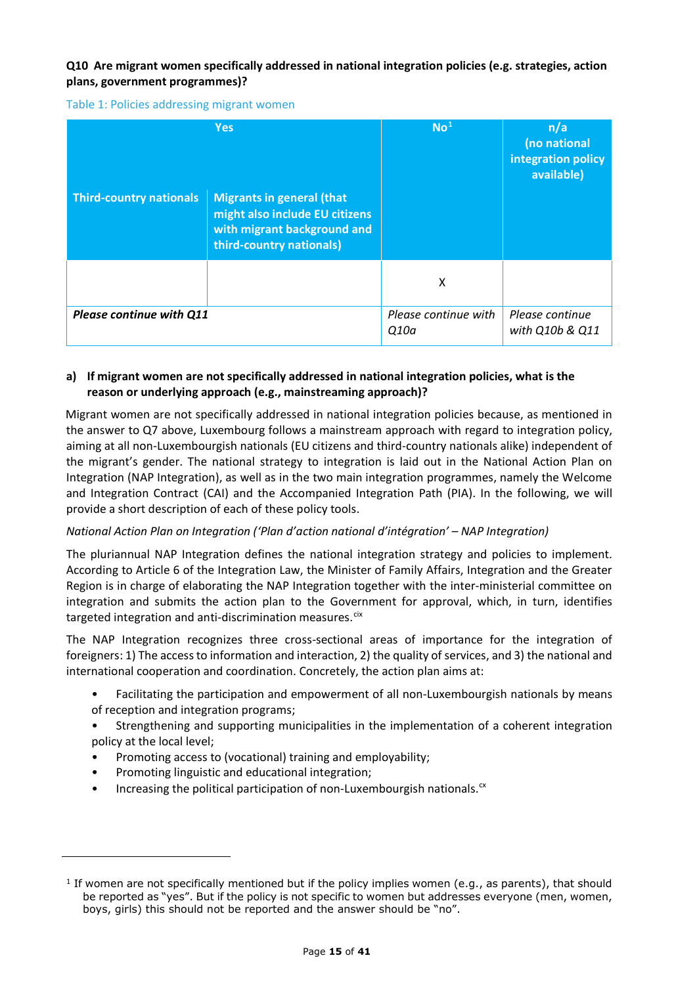### **Q10 Are migrant women specifically addressed in national integration policies (e.g. strategies, action plans, government programmes)?**

Table 1: Policies addressing migrant women

|                                | <b>Yes</b>                                                                                                                    | No <sup>1</sup>              | n/a<br>(no national<br>integration policy<br>available) |
|--------------------------------|-------------------------------------------------------------------------------------------------------------------------------|------------------------------|---------------------------------------------------------|
| <b>Third-country nationals</b> | <b>Migrants in general (that</b><br>might also include EU citizens<br>with migrant background and<br>third-country nationals) |                              |                                                         |
|                                |                                                                                                                               | X                            |                                                         |
| Please continue with Q11       |                                                                                                                               | Please continue with<br>Q10a | Please continue<br>with Q10b & Q11                      |

## **a) If migrant women are not specifically addressed in national integration policies, what is the reason or underlying approach (e.g., mainstreaming approach)?**

Migrant women are not specifically addressed in national integration policies because, as mentioned in the answer to Q7 above, Luxembourg follows a mainstream approach with regard to integration policy, aiming at all non-Luxembourgish nationals (EU citizens and third-country nationals alike) independent of the migrant's gender. The national strategy to integration is laid out in the National Action Plan on Integration (NAP Integration), as well as in the two main integration programmes, namely the Welcome and Integration Contract (CAI) and the Accompanied Integration Path (PIA). In the following, we will provide a short description of each of these policy tools.

## *National Action Plan on Integration ('Plan d'action national d'intégration' – NAP Integration)*

The pluriannual NAP Integration defines the national integration strategy and policies to implement. According to Article 6 of the Integration Law, the Minister of Family Affairs, Integration and the Greater Region is in charge of elaborating the NAP Integration together with the inter-ministerial committee on integration and submits the action plan to the Government for approval, which, in turn, identifies targeted integration and anti-discrimination measures.<sup>[cix](#page-25-14)</sup>

The NAP Integration recognizes three cross-sectional areas of importance for the integration of foreigners: 1) The access to information and interaction, 2) the quality of services, and 3) the national and international cooperation and coordination. Concretely, the action plan aims at:

- Facilitating the participation and empowerment of all non-Luxembourgish nationals by means of reception and integration programs;
- Strengthening and supporting municipalities in the implementation of a coherent integration policy at the local level;
- Promoting access to (vocational) training and employability;
- Promoting linguistic and educational integration;

-

Increasing the political participation of non-Luxembourgish nationals. $\alpha$ 

<span id="page-15-0"></span><sup>&</sup>lt;sup>1</sup> If women are not specifically mentioned but if the policy implies women (e.g., as parents), that should be reported as "yes". But if the policy is not specific to women but addresses everyone (men, women, boys, girls) this should not be reported and the answer should be "no".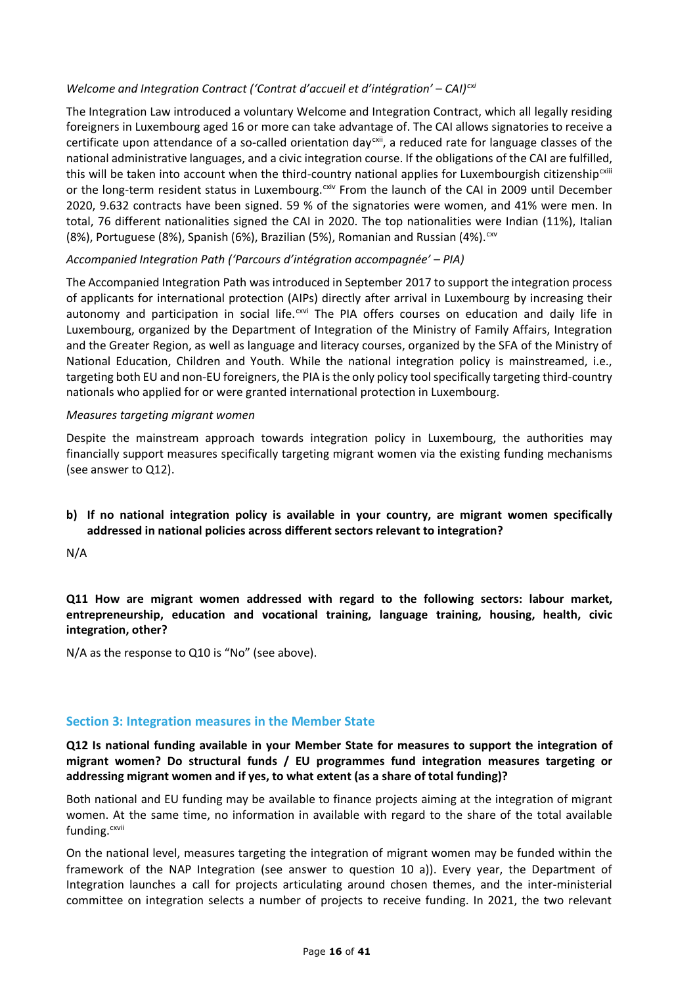## *Welcome and Integration Contract ('Contrat d'accueil et d'intégration' – CAI)[cxi](#page-25-16)*

The Integration Law introduced a voluntary Welcome and Integration Contract, which all legally residing foreigners in Luxembourg aged 16 or more can take advantage of. The CAI allows signatories to receive a certificate upon attendance of a so-called orientation day<sup>[cxii](#page-25-17)</sup>, a reduced rate for language classes of the th[i](#page-25-18)s will be taken into account when the third-country national applies for Luxembourgish citizenship<sup>cxiii</sup> national administrative languages, and a civic integration course. If the obligations of the CAI are fulfilled, or the long-term resident status in Luxembourg. $c_{x}^{x}$  From the launch of the CAI in 2009 until December 2020, 9.632 contracts have been signed. 59 % of the signatories were women, and 41% were men. In total, 76 different nationalities signed the CAI in 2020. The top nationalities were Indian (11%), Italian (8%), Portuguese (8%), Spanish (6%), Brazilian (5%), Romanian and Russian (4%). $\frac{cw}{c}$ 

## *Accompanied Integration Path ('Parcours d'intégration accompagnée' – PIA)*

The Accompanied Integration Path was introduced in September 2017 to support the integration process of applicants for international protection (AIPs) directly after arrival in Luxembourg by increasing their autonomy and participation in social life.<sup>[cxvi](#page-25-21)</sup> The PIA offers courses on education and daily life in Luxembourg, organized by the Department of Integration of the Ministry of Family Affairs, Integration and the Greater Region, as well as language and literacy courses, organized by the SFA of the Ministry of National Education, Children and Youth. While the national integration policy is mainstreamed, i.e., targeting both EU and non-EU foreigners, the PIA is the only policy tool specifically targeting third-country nationals who applied for or were granted international protection in Luxembourg.

#### *Measures targeting migrant women*

Despite the mainstream approach towards integration policy in Luxembourg, the authorities may financially support measures specifically targeting migrant women via the existing funding mechanisms (see answer to Q12).

## **b) If no national integration policy is available in your country, are migrant women specifically addressed in national policies across different sectors relevant to integration?**

N/A

**Q11 How are migrant women addressed with regard to the following sectors: labour market, entrepreneurship, education and vocational training, language training, housing, health, civic integration, other?**

N/A as the response to Q10 is "No" (see above).

## **Section 3: Integration measures in the Member State**

**Q12 Is national funding available in your Member State for measures to support the integration of migrant women? Do structural funds / EU programmes fund integration measures targeting or addressing migrant women and if yes, to what extent (as a share of total funding)?**

Both national and EU funding may be available to finance projects aiming at the integration of migrant women. At the same time, no information in available with regard to the share of the total available fund[i](#page-25-22)ng.<sup>cxvii</sup>

On the national level, measures targeting the integration of migrant women may be funded within the framework of the NAP Integration (see answer to question 10 a)). Every year, the Department of Integration launches a call for projects articulating around chosen themes, and the inter-ministerial committee on integration selects a number of projects to receive funding. In 2021, the two relevant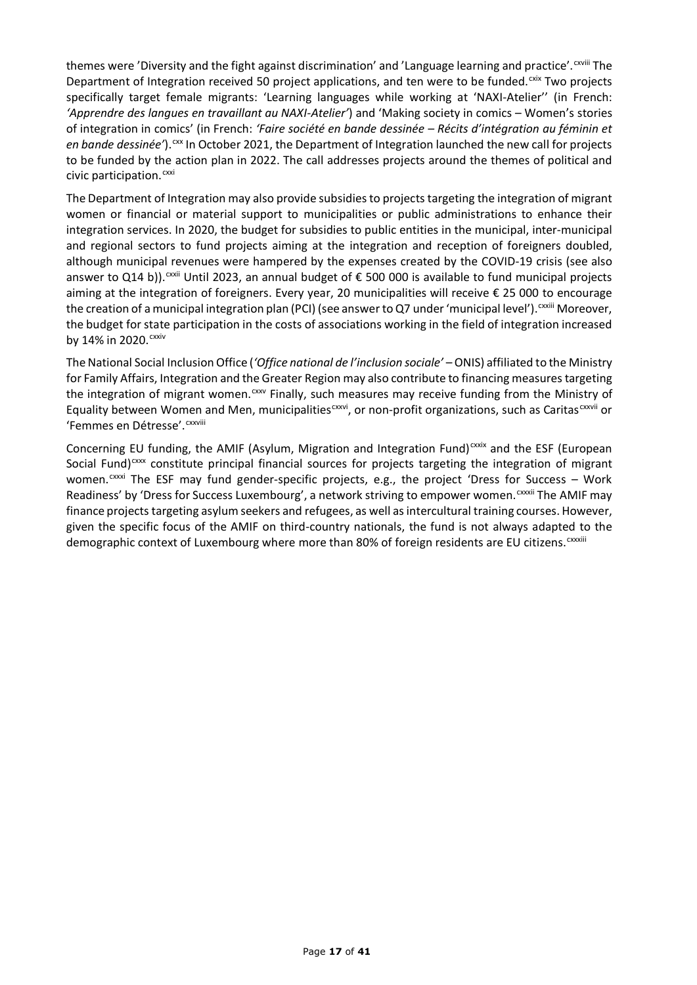themes were 'Diversity and the fight against discrimination' and 'Language learning and practice'.<sup>cxviii</sup> [T](#page-25-23)he Department of Integration received 50 project applications, and ten were to be funded.<sup>[cxix](#page-25-24)</sup> Two projects specifically target female migrants: 'Learning languages while working at 'NAXI-Atelier'' (in French: *'Apprendre des langues en travaillant au NAXI-Atelier'*) and 'Making society in comics – Women's stories of integration in comics' (in French: *'Faire société en bande dessinée – Récits d'intégration au féminin et*  en bande dessinée').<sup>[cxx](#page-26-0)</sup> In October 2021, the Department of Integration launched the new call for projects to be funded by the action plan in 2022. The call addresses projects around the themes of political and civic participation.<sup>[cxxi](#page-26-1)</sup>

The Department of Integration may also provide subsidies to projects targeting the integration of migrant women or financial or material support to municipalities or public administrations to enhance their integration services. In 2020, the budget for subsidies to public entities in the municipal, inter-municipal and regional sectors to fund projects aiming at the integration and reception of foreigners doubled, although municipal r[ev](#page-26-2)enues were hampered by the expenses created by the COVID-19 crisis (see also answer to Q14 b)).<sup>cxxii</sup> Until 2023, an annual budget of € 500 000 is available to fund municipal projects the creation of a municipal integration plan (PCI) (see answer to Q7 under 'municipal level'). CXXIII [M](#page-26-3)oreover, by14% in 2020. CXXIV aiming at the integration of foreigners. Every year, 20 municipalities will receive € 25 000 to encourage the budget for state participation in the costs of associations working in the field of integration increased

The National Social Inclusion Office (*'Office national de l'inclusion sociale'* – ONIS) affiliated to the Ministry for Family Affairs, Integration and the Greater Region may also contribute to financing measures targeting the integration of migrant women.<sup>[cxxv](#page-26-5)</sup> Finally, such measures may receive funding from the Ministry of Equality between Women and Men, municipalities<sup> CXXVI</sup>, or non[-p](#page-26-6)rofitorganizations, such as Caritas CXXVII or 'Femmes en Détresse'.<sup>CXXVIII</sup>

Concerning EU funding, the AMIF (Asylum, Migration and Integration Fund)<sup>cxxix</sup> and the ESF (European women.<sup>cxxx[i](#page-26-9)</sup> The ESF may fund gender-specific projects, e.g., the project 'Dress for Success - Work Readiness' by 'Dress for Success Luxembourg', a network striving to empower women. CXXXII [T](#page-26-10)he AMIF may demographiccontext of Luxembourg where more than 80% of foreign residents are EU citizens. CXXXIII Social Fund)<sup>[cxxx](#page-26-8)</sup> constitute principal financial sources for projects targeting the integration of migrant finance projects targeting asylum seekers and refugees, as well as intercultural training courses. However, given the specific focus of the AMIF on third-country nationals, the fund is not always adapted to the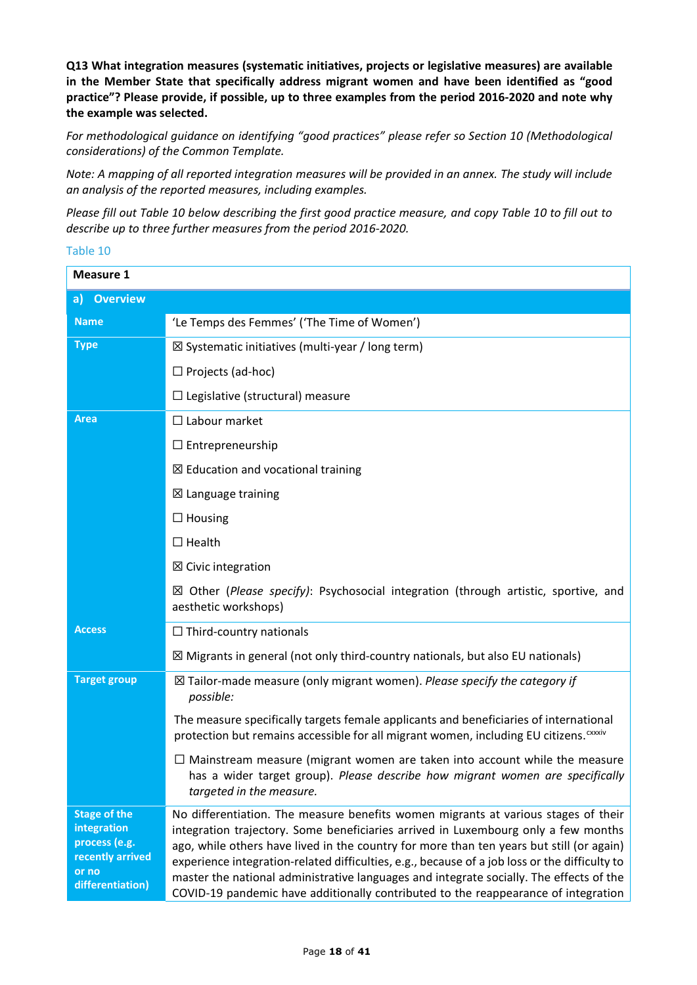**Q13 What integration measures (systematic initiatives, projects or legislative measures) are available in the Member State that specifically address migrant women and have been identified as "good practice"? Please provide, if possible, up to three examples from the period 2016-2020 and note why the example was selected.**

*For methodological guidance on identifying "good practices" please refer so Section 10 (Methodological considerations) of the Common Template.* 

*Note: A mapping of all reported integration measures will be provided in an annex. The study will include an analysis of the reported measures, including examples.*

*Please fill out Table 10 below describing the first good practice measure, and copy Table 10 to fill out to describe up to three further measures from the period 2016-2020.*

#### Table 10

| <b>Measure 1</b>                                                                                     |                                                                                                                                                                                                                                                                                                                                                                                                                                                                                                                                                        |
|------------------------------------------------------------------------------------------------------|--------------------------------------------------------------------------------------------------------------------------------------------------------------------------------------------------------------------------------------------------------------------------------------------------------------------------------------------------------------------------------------------------------------------------------------------------------------------------------------------------------------------------------------------------------|
| a) Overview                                                                                          |                                                                                                                                                                                                                                                                                                                                                                                                                                                                                                                                                        |
| <b>Name</b>                                                                                          | 'Le Temps des Femmes' ('The Time of Women')                                                                                                                                                                                                                                                                                                                                                                                                                                                                                                            |
| <b>Type</b>                                                                                          | $\boxtimes$ Systematic initiatives (multi-year / long term)                                                                                                                                                                                                                                                                                                                                                                                                                                                                                            |
|                                                                                                      | $\Box$ Projects (ad-hoc)                                                                                                                                                                                                                                                                                                                                                                                                                                                                                                                               |
|                                                                                                      | $\Box$ Legislative (structural) measure                                                                                                                                                                                                                                                                                                                                                                                                                                                                                                                |
| Area                                                                                                 | $\Box$ Labour market                                                                                                                                                                                                                                                                                                                                                                                                                                                                                                                                   |
|                                                                                                      | $\Box$ Entrepreneurship                                                                                                                                                                                                                                                                                                                                                                                                                                                                                                                                |
|                                                                                                      | $\boxtimes$ Education and vocational training                                                                                                                                                                                                                                                                                                                                                                                                                                                                                                          |
|                                                                                                      | $\boxtimes$ Language training                                                                                                                                                                                                                                                                                                                                                                                                                                                                                                                          |
|                                                                                                      | $\Box$ Housing                                                                                                                                                                                                                                                                                                                                                                                                                                                                                                                                         |
|                                                                                                      | $\Box$ Health                                                                                                                                                                                                                                                                                                                                                                                                                                                                                                                                          |
|                                                                                                      | $\boxtimes$ Civic integration                                                                                                                                                                                                                                                                                                                                                                                                                                                                                                                          |
|                                                                                                      | $\boxtimes$ Other (Please specify): Psychosocial integration (through artistic, sportive, and<br>aesthetic workshops)                                                                                                                                                                                                                                                                                                                                                                                                                                  |
| <b>Access</b>                                                                                        | $\Box$ Third-country nationals                                                                                                                                                                                                                                                                                                                                                                                                                                                                                                                         |
|                                                                                                      | $\boxtimes$ Migrants in general (not only third-country nationals, but also EU nationals)                                                                                                                                                                                                                                                                                                                                                                                                                                                              |
| <b>Target group</b>                                                                                  | $\boxtimes$ Tailor-made measure (only migrant women). Please specify the category if<br>possible:                                                                                                                                                                                                                                                                                                                                                                                                                                                      |
|                                                                                                      | The measure specifically targets female applicants and beneficiaries of international<br>protection but remains accessible for all migrant women, including EU citizens. CXXXIV                                                                                                                                                                                                                                                                                                                                                                        |
|                                                                                                      | $\Box$ Mainstream measure (migrant women are taken into account while the measure<br>has a wider target group). Please describe how migrant women are specifically<br>targeted in the measure.                                                                                                                                                                                                                                                                                                                                                         |
| <b>Stage of the</b><br>integration<br>process (e.g.<br>recently arrived<br>or no<br>differentiation) | No differentiation. The measure benefits women migrants at various stages of their<br>integration trajectory. Some beneficiaries arrived in Luxembourg only a few months<br>ago, while others have lived in the country for more than ten years but still (or again)<br>experience integration-related difficulties, e.g., because of a job loss or the difficulty to<br>master the national administrative languages and integrate socially. The effects of the<br>COVID-19 pandemic have additionally contributed to the reappearance of integration |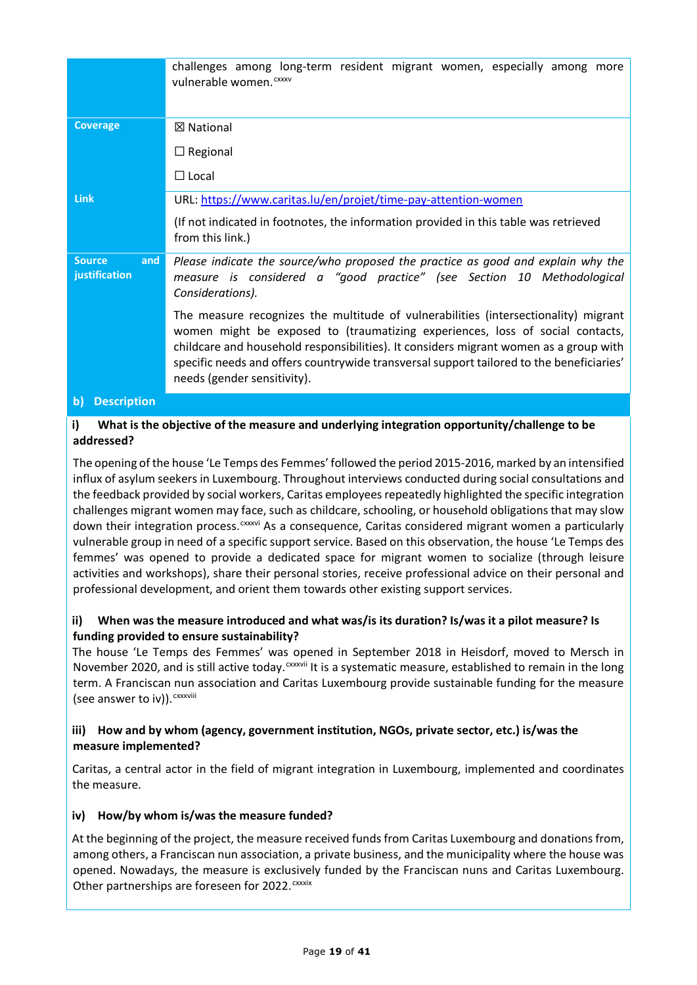|                                       | challenges among long-term resident migrant women, especially among more<br>vulnerable women. CXXXV                                                                                                                                                                                                                                                                                      |
|---------------------------------------|------------------------------------------------------------------------------------------------------------------------------------------------------------------------------------------------------------------------------------------------------------------------------------------------------------------------------------------------------------------------------------------|
| <b>Coverage</b>                       | ⊠ National                                                                                                                                                                                                                                                                                                                                                                               |
|                                       | $\Box$ Regional                                                                                                                                                                                                                                                                                                                                                                          |
|                                       | $\Box$ Local                                                                                                                                                                                                                                                                                                                                                                             |
| <b>Link</b>                           | URL: https://www.caritas.lu/en/projet/time-pay-attention-women                                                                                                                                                                                                                                                                                                                           |
|                                       | (If not indicated in footnotes, the information provided in this table was retrieved<br>from this link.)                                                                                                                                                                                                                                                                                 |
| <b>Source</b><br>and<br>justification | Please indicate the source/who proposed the practice as good and explain why the<br>measure is considered a "good practice" (see Section 10 Methodological<br>Considerations).                                                                                                                                                                                                           |
|                                       | The measure recognizes the multitude of vulnerabilities (intersectionality) migrant<br>women might be exposed to (traumatizing experiences, loss of social contacts,<br>childcare and household responsibilities). It considers migrant women as a group with<br>specific needs and offers countrywide transversal support tailored to the beneficiaries'<br>needs (gender sensitivity). |

#### **b) Description**

#### **i) What is the objective of the measure and underlying integration opportunity/challenge to be addressed?**

The opening of the house 'Le Temps des Femmes' followed the period 2015-2016, marked by an intensified influx of asylum seekers in Luxembourg. Throughout interviews conducted during social consultations and the feedback provided by social workers, Caritas employees repeatedly highlighted the specific integration challenges migrant women may face, such as childcare, schooling, or household obligations that may slow down the[i](#page-26-14)r integration process.<sup>cxxxvi</sup> As a consequence, Caritas considered migrant women a particularly vulnerable group in need of a specific support service. Based on this observation, the house 'Le Temps des femmes' was opened to provide a dedicated space for migrant women to socialize (through leisure activities and workshops), share their personal stories, receive professional advice on their personal and professional development, and orient them towards other existing support services.

## **ii) When was the measure introduced and what was/is its duration? Is/was it a pilot measure? Is funding provided to ensure sustainability?**

The house 'Le Temps des Femmes' was opened in September 2018 in Heisdorf, moved to Mersch in November 2020, and is still active today.<sup>cxxxvii</sup> It is a systematic measure, established to remain in the long (see answer to [i](#page-26-15)v)). CXXXVIII term. A Franciscan nun association and Caritas Luxembourg provide sustainable funding for the measure

#### **iii) How and by whom (agency, government institution, NGOs, private sector, etc.) is/was the measure implemented?**

Caritas, a central actor in the field of migrant integration in Luxembourg, implemented and coordinates the measure.

#### **iv) How/by whom is/was the measure funded?**

At the beginning of the project, the measure received funds from Caritas Luxembourg and donations from, among others, a Franciscan nun association, a private business, and the municipality where the house was opened. Nowadays, the measure is exclusively funded by the Franciscan nuns and Caritas Luxembourg. Other partnerships are foreseen for 2022. CXXXIX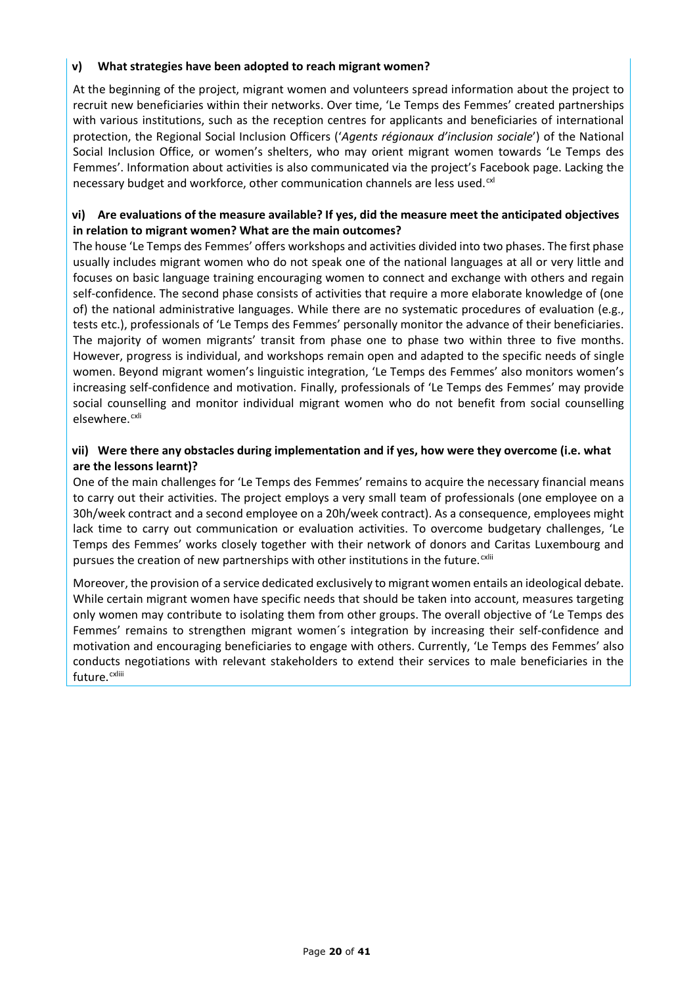#### **v) What strategies have been adopted to reach migrant women?**

<span id="page-20-1"></span><span id="page-20-0"></span>At the beginning of the project, migrant women and volunteers spread information about the project to recruit new beneficiaries within their networks. Over time, 'Le Temps des Femmes' created partnerships with various institutions, such as the reception centres for applicants and beneficiaries of international protection, the Regional Social Inclusion Officers ('*Agents régionaux d'inclusion sociale*') of the National Social Inclusion Office, or women's shelters, who may orient migrant women towards 'Le Temps des Femmes'. Information about activities is also communicated via the project's Facebook page. Lacking the necessary budget and workforce, other communication channels are less used.<sup>[cxl](#page-26-17)</sup>

## <span id="page-20-5"></span><span id="page-20-4"></span><span id="page-20-3"></span><span id="page-20-2"></span>**vi) Are evaluations of the measure available? If yes, did the measure meet the anticipated objectives in relation to migrant women? What are the main outcomes?**

<span id="page-20-7"></span><span id="page-20-6"></span>The house 'Le Temps des Femmes' offers workshops and activities divided into two phases. The first phase usually includes migrant women who do not speak one of the national languages at all or very little and focuses on basic language training encouraging women to connect and exchange with others and regain self-confidence. The second phase consists of activities that require a more elaborate knowledge of (one of) the national administrative languages. While there are no systematic procedures of evaluation (e.g., tests etc.), professionals of 'Le Temps des Femmes' personally monitor the advance of their beneficiaries. The majority of women migrants' transit from phase one to phase two within three to five months. However, progress is individual, and workshops remain open and adapted to the specific needs of single women. Beyond migrant women's linguistic integration, 'Le Temps des Femmes' also monitors women's increasing self-confidence and motivation. Finally, professionals of 'Le Temps des Femmes' may provide social counselling and monitor individual migrant women who do not benefit from social counselling elsewhere <sup>[cxli](#page-26-18)</sup>

## **vii) Were there any obstacles during implementation and if yes, how were they overcome (i.e. what are the lessons learnt)?**

<span id="page-20-8"></span>One of the main challenges for 'Le Temps des Femmes' remains to acquire the necessary financial means to carry out their activities. The project employs a very small team of professionals (one employee on a 30h/week contract and a second employee on a 20h/week contract). As a consequence, employees might lack time to carry out communication or evaluation activities. To overcome budgetary challenges, 'Le Temps des Femmes' works closely together with their network of donors and [C](#page-26-19)aritas Luxembourg and pursues the creation of new partnerships with other institutions in the future. $\alpha$ lii

<span id="page-20-14"></span><span id="page-20-13"></span><span id="page-20-12"></span><span id="page-20-11"></span><span id="page-20-10"></span><span id="page-20-9"></span>Moreover, the provision of a service dedicated exclusively to migrant women entails an ideological debate. While certain migrant women have specific needs that should be taken into account, measures targeting only women may contribute to isolating them from other groups. The overall objective of 'Le Temps des Femmes' remains to strengthen migrant women´s integration by increasing their self-confidence and motivation and encouraging beneficiaries to engage with others. Currently, 'Le Temps des Femmes' also conducts negotiations with relevant stakeholders to extend their services to male beneficiaries in the future.<sup>cxliii</sup>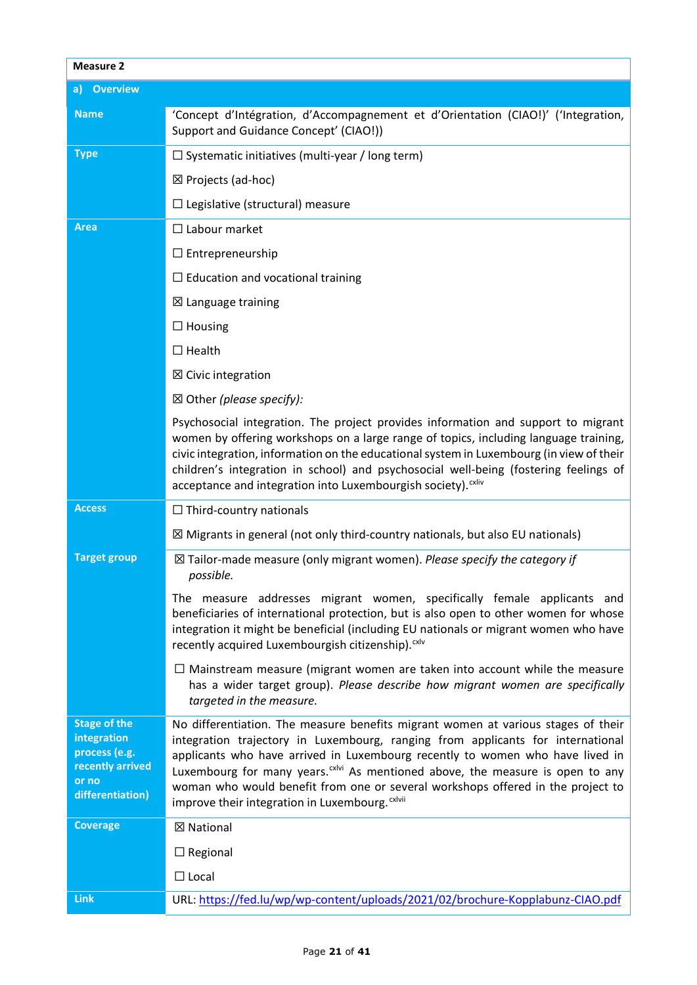<span id="page-21-13"></span><span id="page-21-12"></span><span id="page-21-11"></span><span id="page-21-10"></span><span id="page-21-9"></span><span id="page-21-8"></span><span id="page-21-7"></span><span id="page-21-6"></span><span id="page-21-5"></span><span id="page-21-4"></span><span id="page-21-3"></span><span id="page-21-2"></span><span id="page-21-1"></span><span id="page-21-0"></span>

| <b>Measure 2</b>                                                                                     |                                                                                                                                                                                                                                                                                                                                                                                                                                                                                           |
|------------------------------------------------------------------------------------------------------|-------------------------------------------------------------------------------------------------------------------------------------------------------------------------------------------------------------------------------------------------------------------------------------------------------------------------------------------------------------------------------------------------------------------------------------------------------------------------------------------|
| a) Overview                                                                                          |                                                                                                                                                                                                                                                                                                                                                                                                                                                                                           |
| <b>Name</b>                                                                                          | 'Concept d'Intégration, d'Accompagnement et d'Orientation (CIAO!)' ('Integration,<br>Support and Guidance Concept' (CIAO!))                                                                                                                                                                                                                                                                                                                                                               |
| <b>Type</b>                                                                                          | $\Box$ Systematic initiatives (multi-year / long term)                                                                                                                                                                                                                                                                                                                                                                                                                                    |
|                                                                                                      | ⊠ Projects (ad-hoc)                                                                                                                                                                                                                                                                                                                                                                                                                                                                       |
|                                                                                                      | $\Box$ Legislative (structural) measure                                                                                                                                                                                                                                                                                                                                                                                                                                                   |
| <b>Area</b>                                                                                          | $\Box$ Labour market                                                                                                                                                                                                                                                                                                                                                                                                                                                                      |
|                                                                                                      | $\Box$ Entrepreneurship                                                                                                                                                                                                                                                                                                                                                                                                                                                                   |
|                                                                                                      | $\Box$ Education and vocational training                                                                                                                                                                                                                                                                                                                                                                                                                                                  |
|                                                                                                      | ⊠ Language training                                                                                                                                                                                                                                                                                                                                                                                                                                                                       |
|                                                                                                      | $\Box$ Housing                                                                                                                                                                                                                                                                                                                                                                                                                                                                            |
|                                                                                                      | $\Box$ Health                                                                                                                                                                                                                                                                                                                                                                                                                                                                             |
|                                                                                                      | $\boxtimes$ Civic integration                                                                                                                                                                                                                                                                                                                                                                                                                                                             |
|                                                                                                      | $\boxtimes$ Other (please specify):                                                                                                                                                                                                                                                                                                                                                                                                                                                       |
|                                                                                                      | Psychosocial integration. The project provides information and support to migrant<br>women by offering workshops on a large range of topics, including language training,<br>civic integration, information on the educational system in Luxembourg (in view of their<br>children's integration in school) and psychosocial well-being (fostering feelings of<br>acceptance and integration into Luxembourgish society). CXIIV                                                            |
| <b>Access</b>                                                                                        | $\Box$ Third-country nationals                                                                                                                                                                                                                                                                                                                                                                                                                                                            |
|                                                                                                      | $\boxtimes$ Migrants in general (not only third-country nationals, but also EU nationals)                                                                                                                                                                                                                                                                                                                                                                                                 |
| <b>Target group</b>                                                                                  | $\boxtimes$ Tailor-made measure (only migrant women). Please specify the category if<br>possible.                                                                                                                                                                                                                                                                                                                                                                                         |
|                                                                                                      | The measure addresses migrant women, specifically female applicants and<br>beneficiaries of international protection, but is also open to other women for whose<br>integration it might be beneficial (including EU nationals or migrant women who have<br>recently acquired Luxembourgish citizenship). Cxlv                                                                                                                                                                             |
|                                                                                                      | $\Box$ Mainstream measure (migrant women are taken into account while the measure<br>has a wider target group). Please describe how migrant women are specifically<br>targeted in the measure.                                                                                                                                                                                                                                                                                            |
| <b>Stage of the</b><br>integration<br>process (e.g.<br>recently arrived<br>or no<br>differentiation) | No differentiation. The measure benefits migrant women at various stages of their<br>integration trajectory in Luxembourg, ranging from applicants for international<br>applicants who have arrived in Luxembourg recently to women who have lived in<br>Luxembourg for many years. <sup>cxlvi</sup> As mentioned above, the measure is open to any<br>woman who would benefit from one or several workshops offered in the project to<br>improve their integration in Luxembourg. CXIVII |
| <b>Coverage</b>                                                                                      | ⊠ National                                                                                                                                                                                                                                                                                                                                                                                                                                                                                |
|                                                                                                      | $\Box$ Regional                                                                                                                                                                                                                                                                                                                                                                                                                                                                           |
|                                                                                                      | $\Box$ Local                                                                                                                                                                                                                                                                                                                                                                                                                                                                              |
| <b>Link</b>                                                                                          | URL: https://fed.lu/wp/wp-content/uploads/2021/02/brochure-Kopplabunz-CIAO.pdf                                                                                                                                                                                                                                                                                                                                                                                                            |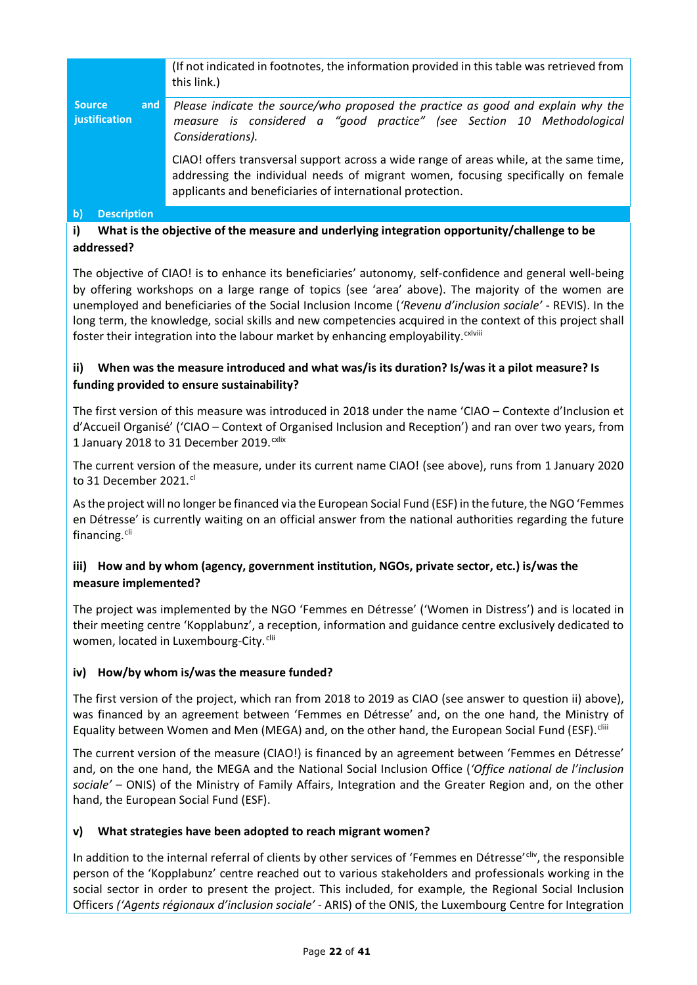<span id="page-22-1"></span><span id="page-22-0"></span>

|                                       | (If not indicated in footnotes, the information provided in this table was retrieved from<br>this link.)                                                                                                                                 |
|---------------------------------------|------------------------------------------------------------------------------------------------------------------------------------------------------------------------------------------------------------------------------------------|
| <b>Source</b><br>and<br>justification | Please indicate the source/who proposed the practice as good and explain why the<br>measure is considered a "good practice" (see Section 10 Methodological<br>Considerations).                                                           |
|                                       | CIAO! offers transversal support across a wide range of areas while, at the same time,<br>addressing the individual needs of migrant women, focusing specifically on female<br>applicants and beneficiaries of international protection. |

#### **b) Description**

## **i) What is the objective of the measure and underlying integration opportunity/challenge to be addressed?**

The objective of CIAO! is to enhance its beneficiaries' autonomy, self-confidence and general well-being by offering workshops on a large range of topics (see 'area' above). The majority of the women are unemployed and beneficiaries of the Social Inclusion Income (*'Revenu d'inclusion sociale'* - REVIS). In the long term, the knowledge, social skills and new competencies acquired in the context of this project shall foster the[i](#page-26-24)r integration into the labour market by enhancing employability.<sup>cxlviii</sup>

## <span id="page-22-3"></span><span id="page-22-2"></span>**ii) When was the measure introduced and what was/is its duration? Is/was it a pilot measure? Is funding provided to ensure sustainability?**

The first version of this measure was introduced in 2018 under the name 'CIAO – Contexte d'Inclusion et d'Accueil Organisé' ('CIAO – Context of Organised Inclusion and Reception') and ran over two years, from 1 January 2018 to 31 December 2019. C[x](#page-26-25)lix

<span id="page-22-4"></span>The current version of the measure, under its current name CIAO! (see above), runs from 1 January 2020 to 31 December 2021.<sup>[cl](#page-26-26)</sup>

<span id="page-22-6"></span><span id="page-22-5"></span>As the project will no longer be financed via the European Social Fund (ESF) in the future, the NGO 'Femmes en Détresse' is currently waiting on an official answer from the national authorities regarding the future financing.<sup>[cli](#page-26-27)</sup>

## <span id="page-22-8"></span><span id="page-22-7"></span>**iii) How and by whom (agency, government institution, NGOs, private sector, etc.) is/was the measure implemented?**

<span id="page-22-9"></span>The project was implemented by the NGO 'Femmes en Détresse' ('Women in Distress') and is located in their meeting centre 'Kopplabunz', a reception, information and guidance centre exclusively dedicated to women, located in Luxembourg-City. [clii](#page-26-28)

## <span id="page-22-10"></span>**iv) How/by whom is/was the measure funded?**

<span id="page-22-12"></span><span id="page-22-11"></span>The first version of the project, which ran from 2018 to 2019 as CIAO (see answer to question ii) above), was financed by an agreement between 'Femmes en Détresse' and, on the one hand, the Ministry of Equality between Women and Men (MEGA) and, on the other hand, the European Social Fund (ESF).<sup>cliii</sup>

<span id="page-22-13"></span>The current version of the measure (CIAO!) is financed by an agreement between 'Femmes en Détresse' and, on the one hand, the MEGA and the National Social Inclusion Office (*'Office national de l'inclusion sociale'* – ONIS) of the Ministry of Family Affairs, Integration and the Greater Region and, on the other hand, the European Social Fund (ESF).

## **v) What strategies have been adopted to reach migrant women?**

<span id="page-22-15"></span><span id="page-22-14"></span>In addition to the internal referral of clients by other services of 'Femmes en Détresse'[cliv](#page-26-29), the responsible person of the 'Kopplabunz' centre reached out to various stakeholders and professionals working in the social sector in order to present the project. This included, for example, the Regional Social Inclusion Officers *('Agents régionaux d'inclusion sociale'* - ARIS) of the ONIS, the Luxembourg Centre for Integration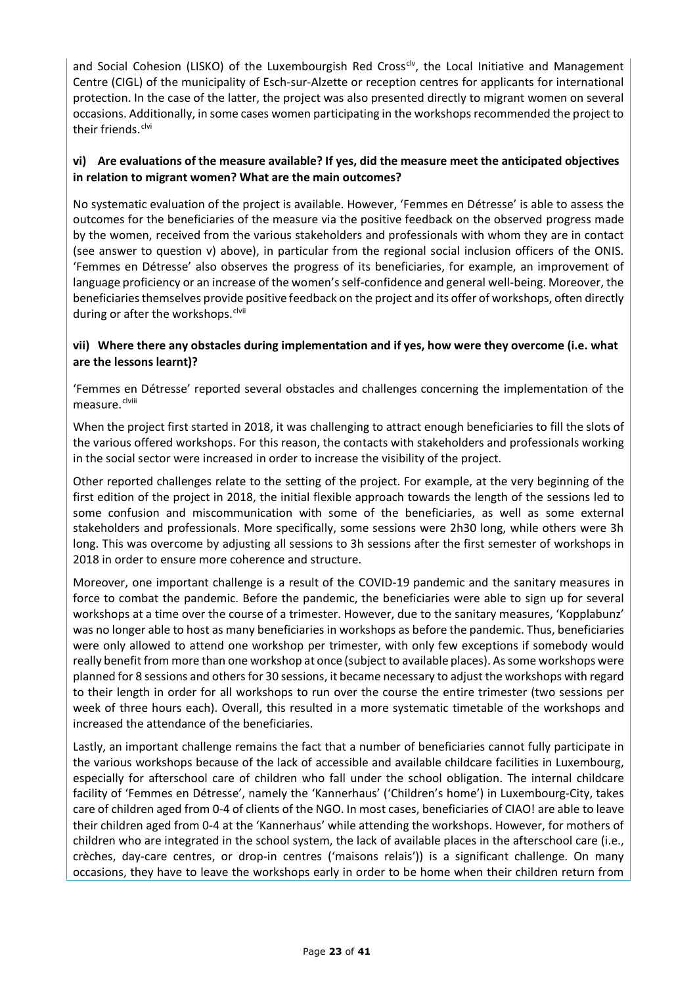<span id="page-23-1"></span><span id="page-23-0"></span>and Social Cohesion (LISKO) of the Luxembourgish Red Cross<sup>[clv](#page-27-0)</sup>, the Local Initiative and Management Centre (CIGL) of the municipality of Esch-sur-Alzette or reception centres for applicants for international protection. In the case of the latter, the project was also presented directly to migrant women on several occasions. Additionally, in some cases women participating in the workshops recommended the project to their friends.<sup>[clvi](#page-27-1)</sup>

## <span id="page-23-5"></span><span id="page-23-4"></span><span id="page-23-3"></span><span id="page-23-2"></span>**vi) Are evaluations of the measure available? If yes, did the measure meet the anticipated objectives in relation to migrant women? What are the main outcomes?**

<span id="page-23-7"></span><span id="page-23-6"></span>No systematic evaluation of the project is available. However, 'Femmes en Détresse' is able to assess the outcomes for the beneficiaries of the measure via the positive feedback on the observed progress made by the women, received from the various stakeholders and professionals with whom they are in contact (see answer to question v) above), in particular from the regional social inclusion officers of the ONIS. 'Femmes en Détresse' also observes the progress of its beneficiaries, for example, an improvement of language proficiency or an increase of the women's self-confidence and general well-being. Moreover, the beneficiaries themselves provide positive feedback on the project and its offer of workshops, often directly dur[i](#page-27-2)ng or after the workshops.<sup>clvii</sup>

## <span id="page-23-9"></span><span id="page-23-8"></span>**vii) Where there any obstacles during implementation and if yes, how were they overcome (i.e. what are the lessons learnt)?**

'Femmes en Détresse' reported several obstacles and challenges concerning the implementation of the measure.<sup>clviii</sup>

<span id="page-23-11"></span><span id="page-23-10"></span>When the project first started in 2018, it was challenging to attract enough beneficiaries to fill the slots of the various offered workshops. For this reason, the contacts with stakeholders and professionals working in the social sector were increased in order to increase the visibility of the project.

<span id="page-23-14"></span><span id="page-23-13"></span><span id="page-23-12"></span>Other reported challenges relate to the setting of the project. For example, at the very beginning of the first edition of the project in 2018, the initial flexible approach towards the length of the sessions led to some confusion and miscommunication with some of the beneficiaries, as well as some external stakeholders and professionals. More specifically, some sessions were 2h30 long, while others were 3h long. This was overcome by adjusting all sessions to 3h sessions after the first semester of workshops in 2018 in order to ensure more coherence and structure.

<span id="page-23-17"></span><span id="page-23-16"></span><span id="page-23-15"></span>Moreover, one important challenge is a result of the COVID-19 pandemic and the sanitary measures in force to combat the pandemic. Before the pandemic, the beneficiaries were able to sign up for several workshops at a time over the course of a trimester. However, due to the sanitary measures, 'Kopplabunz' was no longer able to host as many beneficiaries in workshops as before the pandemic. Thus, beneficiaries were only allowed to attend one workshop per trimester, with only few exceptions if somebody would really benefit from more than one workshop at once (subject to available places). As some workshops were planned for 8 sessions and others for 30 sessions, it became necessary to adjust the workshops with regard to their length in order for all workshops to run over the course the entire trimester (two sessions per week of three hours each). Overall, this resulted in a more systematic timetable of the workshops and increased the attendance of the beneficiaries.

<span id="page-23-20"></span><span id="page-23-19"></span><span id="page-23-18"></span>Lastly, an important challenge remains the fact that a number of beneficiaries cannot fully participate in the various workshops because of the lack of accessible and available childcare facilities in Luxembourg, especially for afterschool care of children who fall under the school obligation. The internal childcare facility of 'Femmes en Détresse', namely the 'Kannerhaus' ('Children's home') in Luxembourg-City, takes care of children aged from 0-4 of clients of the NGO. In most cases, beneficiaries of CIAO! are able to leave their children aged from 0-4 at the 'Kannerhaus' while attending the workshops. However, for mothers of children who are integrated in the school system, the lack of available places in the afterschool care (i.e., crèches, day-care centres, or drop-in centres ('maisons relais')) is a significant challenge. On many occasions, they have to leave the workshops early in order to be home when their children return from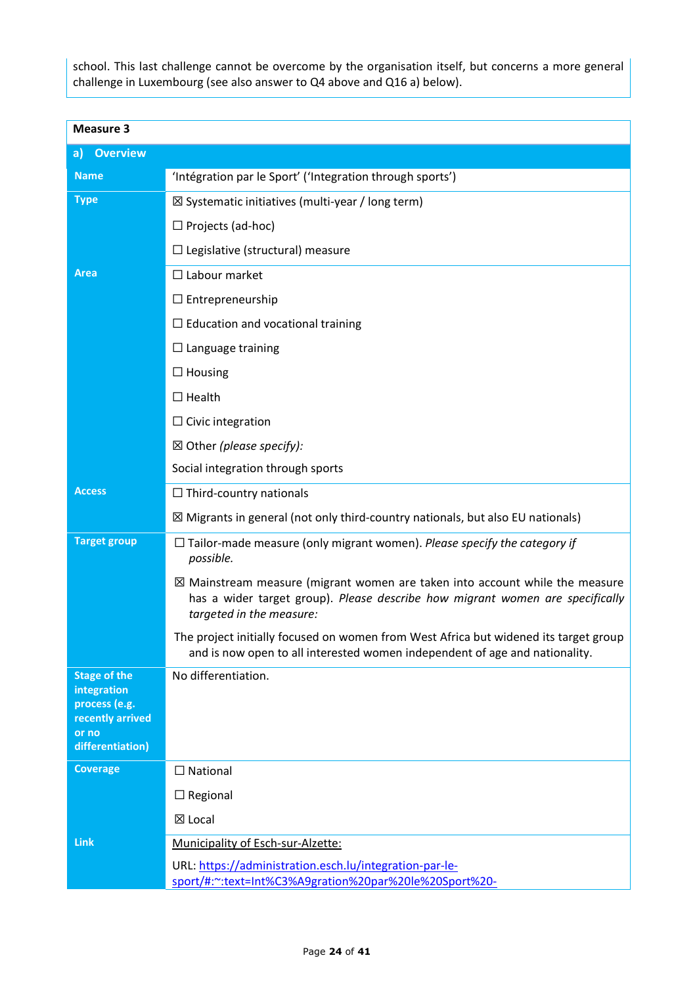school. This last challenge cannot be overcome by the organisation itself, but concerns a more general challenge in Luxembourg (see also answer to Q4 above and Q16 a) below).

<span id="page-24-16"></span><span id="page-24-15"></span><span id="page-24-14"></span><span id="page-24-13"></span><span id="page-24-12"></span><span id="page-24-11"></span><span id="page-24-10"></span><span id="page-24-9"></span><span id="page-24-8"></span><span id="page-24-7"></span><span id="page-24-6"></span><span id="page-24-5"></span><span id="page-24-4"></span><span id="page-24-3"></span><span id="page-24-2"></span><span id="page-24-1"></span><span id="page-24-0"></span>

| <b>Measure 3</b>                                                                                     |                                                                                                                                                                                                     |
|------------------------------------------------------------------------------------------------------|-----------------------------------------------------------------------------------------------------------------------------------------------------------------------------------------------------|
| <b>Overview</b><br>a)                                                                                |                                                                                                                                                                                                     |
| <b>Name</b>                                                                                          | 'Intégration par le Sport' ('Integration through sports')                                                                                                                                           |
| <b>Type</b>                                                                                          | $\boxtimes$ Systematic initiatives (multi-year / long term)                                                                                                                                         |
|                                                                                                      | $\Box$ Projects (ad-hoc)                                                                                                                                                                            |
|                                                                                                      | $\Box$ Legislative (structural) measure                                                                                                                                                             |
| Area                                                                                                 | $\Box$ Labour market                                                                                                                                                                                |
|                                                                                                      | $\Box$ Entrepreneurship                                                                                                                                                                             |
|                                                                                                      | $\Box$ Education and vocational training                                                                                                                                                            |
|                                                                                                      | $\Box$ Language training                                                                                                                                                                            |
|                                                                                                      | $\Box$ Housing                                                                                                                                                                                      |
|                                                                                                      | $\square$ Health                                                                                                                                                                                    |
|                                                                                                      | $\Box$ Civic integration                                                                                                                                                                            |
|                                                                                                      | $\boxtimes$ Other (please specify):                                                                                                                                                                 |
|                                                                                                      | Social integration through sports                                                                                                                                                                   |
| <b>Access</b>                                                                                        | $\Box$ Third-country nationals                                                                                                                                                                      |
|                                                                                                      | $\boxtimes$ Migrants in general (not only third-country nationals, but also EU nationals)                                                                                                           |
| <b>Target group</b>                                                                                  | $\Box$ Tailor-made measure (only migrant women). Please specify the category if<br>possible.                                                                                                        |
|                                                                                                      | $\boxtimes$ Mainstream measure (migrant women are taken into account while the measure<br>has a wider target group). Please describe how migrant women are specifically<br>targeted in the measure: |
|                                                                                                      | The project initially focused on women from West Africa but widened its target group<br>and is now open to all interested women independent of age and nationality.                                 |
| <b>Stage of the</b><br>integration<br>process (e.g.<br>recently arrived<br>or no<br>differentiation) | No differentiation.                                                                                                                                                                                 |
| <b>Coverage</b>                                                                                      | $\Box$ National                                                                                                                                                                                     |
|                                                                                                      | $\Box$ Regional                                                                                                                                                                                     |
|                                                                                                      | ⊠ Local                                                                                                                                                                                             |
| Link                                                                                                 | Municipality of Esch-sur-Alzette:                                                                                                                                                                   |
|                                                                                                      | URL: https://administration.esch.lu/integration-par-le-<br>sport/#:~:text=Int%C3%A9gration%20par%20le%20Sport%20-                                                                                   |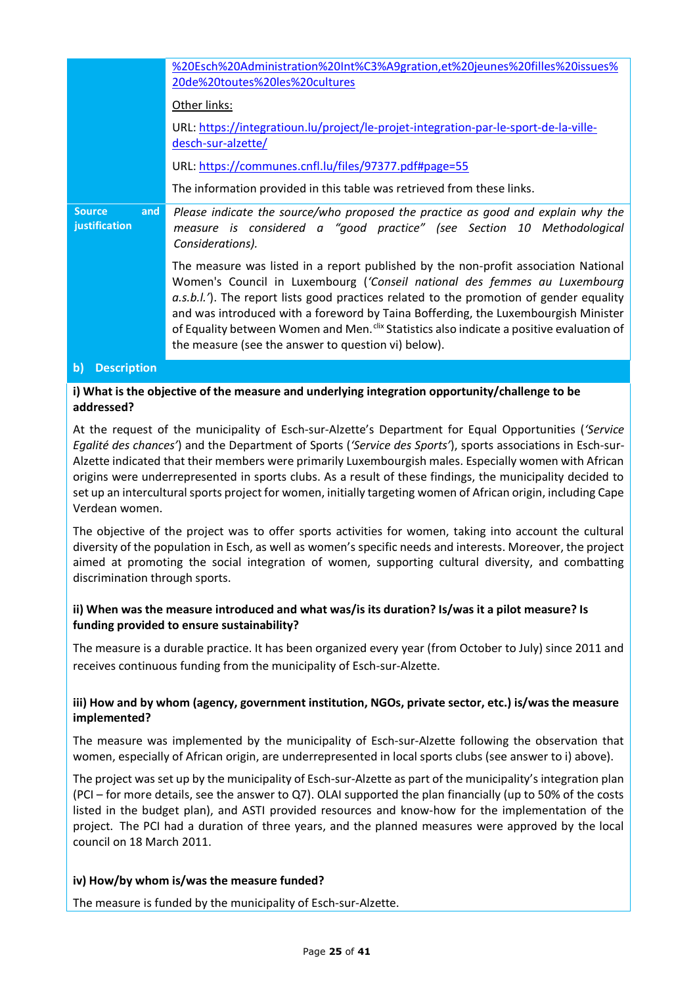<span id="page-25-4"></span><span id="page-25-3"></span><span id="page-25-2"></span><span id="page-25-1"></span><span id="page-25-0"></span>

|                                       | %20Esch%20Administration%20Int%C3%A9gration,et%20jeunes%20filles%20issues%<br>20de%20toutes%20les%20cultures<br>Other links:<br>URL: https://integratioun.lu/project/le-projet-integration-par-le-sport-de-la-ville-<br>desch-sur-alzette/<br>URL: https://communes.cnfl.lu/files/97377.pdf#page=55                                                                                                                                                                                                              |
|---------------------------------------|------------------------------------------------------------------------------------------------------------------------------------------------------------------------------------------------------------------------------------------------------------------------------------------------------------------------------------------------------------------------------------------------------------------------------------------------------------------------------------------------------------------|
|                                       | The information provided in this table was retrieved from these links.                                                                                                                                                                                                                                                                                                                                                                                                                                           |
| <b>Source</b><br>and<br>justification | Please indicate the source/who proposed the practice as good and explain why the<br>measure is considered a "good practice" (see Section 10 Methodological<br>Considerations).                                                                                                                                                                                                                                                                                                                                   |
|                                       | The measure was listed in a report published by the non-profit association National<br>Women's Council in Luxembourg ('Conseil national des femmes au Luxembourg<br>a.s.b.l.'). The report lists good practices related to the promotion of gender equality<br>and was introduced with a foreword by Taina Bofferding, the Luxembourgish Minister<br>of Equality between Women and Men. <sup>clix</sup> Statistics also indicate a positive evaluation of<br>the measure (see the answer to question vi) below). |
| $\mathbf{b}$<br><b>Description</b>    |                                                                                                                                                                                                                                                                                                                                                                                                                                                                                                                  |

## <span id="page-25-10"></span><span id="page-25-9"></span><span id="page-25-8"></span><span id="page-25-7"></span><span id="page-25-6"></span><span id="page-25-5"></span>**i) What is the objective of the measure and underlying integration opportunity/challenge to be addressed?**

<span id="page-25-12"></span><span id="page-25-11"></span>At the request of the municipality of Esch-sur-Alzette's Department for Equal Opportunities (*'Service Egalité des chances'*) and the Department of Sports (*'Service des Sports'*), sports associations in Esch-sur-Alzette indicated that their members were primarily Luxembourgish males. Especially women with African origins were underrepresented in sports clubs. As a result of these findings, the municipality decided to set up an intercultural sports project for women, initially targeting women of African origin, including Cape Verdean women.

<span id="page-25-15"></span><span id="page-25-14"></span><span id="page-25-13"></span>The objective of the project was to offer sports activities for women, taking into account the cultural diversity of the population in Esch, as well as women's specific needs and interests. Moreover, the project aimed at promoting the social integration of women, supporting cultural diversity, and combatting discrimination through sports.

## <span id="page-25-17"></span><span id="page-25-16"></span>**ii) When was the measure introduced and what was/is its duration? Is/was it a pilot measure? Is funding provided to ensure sustainability?**

<span id="page-25-18"></span>The measure is a durable practice. It has been organized every year (from October to July) since 2011 and receives continuous funding from the municipality of Esch-sur-Alzette.

#### **iii) How and by whom (agency, government institution, NGOs, private sector, etc.) is/was the measure implemented?**

<span id="page-25-19"></span>The measure was implemented by the municipality of Esch-sur-Alzette following the observation that women, especially of African origin, are underrepresented in local sports clubs (see answer to i) above).

<span id="page-25-21"></span><span id="page-25-20"></span>The project was set up by the municipality of Esch-sur-Alzette as part of the municipality's integration plan (PCI – for more details, see the answer to Q7). OLAI supported the plan financially (up to 50% of the costs listed in the budget plan), and ASTI provided resources and know-how for the implementation of the project. The PCI had a duration of three years, and the planned measures were approved by the local council on 18 March 2011.

## <span id="page-25-23"></span><span id="page-25-22"></span>**iv) How/by whom is/was the measure funded?**

<span id="page-25-24"></span>The measure is funded by the municipality of Esch-sur-Alzette.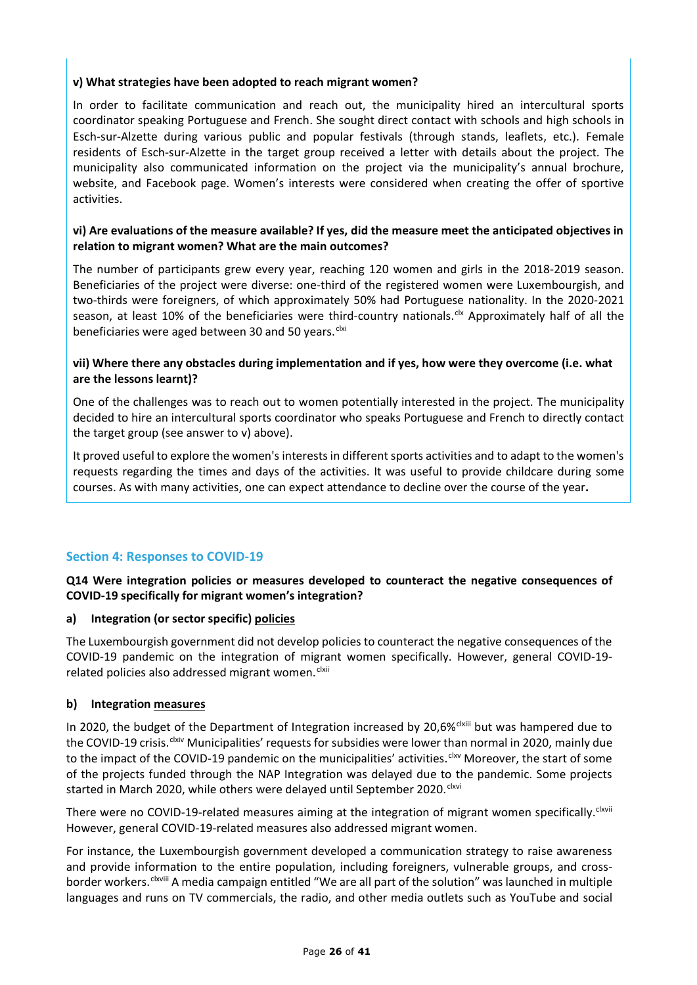## <span id="page-26-0"></span>**v) What strategies have been adopted to reach migrant women?**

<span id="page-26-2"></span><span id="page-26-1"></span>In order to facilitate communication and reach out, the municipality hired an intercultural sports coordinator speaking Portuguese and French. She sought direct contact with schools and high schools in Esch-sur-Alzette during various public and popular festivals (through stands, leaflets, etc.). Female residents of Esch-sur-Alzette in the target group received a letter with details about the project. The municipality also communicated information on the project via the municipality's annual brochure, website, and Facebook page. Women's interests were considered when creating the offer of sportive activities.

## <span id="page-26-7"></span><span id="page-26-6"></span><span id="page-26-5"></span><span id="page-26-4"></span><span id="page-26-3"></span>**vi) Are evaluations of the measure available? If yes, did the measure meet the anticipated objectives in relation to migrant women? What are the main outcomes?**

The number of participants grew every year, reaching 120 women and girls in the 2018-2019 season. Beneficiaries of the project were diverse: one-third of the registered women were Luxembourgish, and two-thirds were foreigners, of which approximately 50% had Portuguese nationality. In the 2020-2021 season, at least 10% of the beneficiaries were third-country nationals.<sup>ck</sup> Approximately half of all the beneficiaries were aged between 30 and 50 years.<sup>[clxi](#page-27-6)</sup>

## <span id="page-26-9"></span><span id="page-26-8"></span>**vii) Where there any obstacles during implementation and if yes, how were they overcome (i.e. what are the lessons learnt)?**

<span id="page-26-10"></span>One of the challenges was to reach out to women potentially interested in the project. The municipality decided to hire an intercultural sports coordinator who speaks Portuguese and French to directly contact the target group (see answer to v) above).

<span id="page-26-13"></span><span id="page-26-12"></span><span id="page-26-11"></span>It proved useful to explore the women's interests in different sports activities and to adapt to the women's requests regarding the times and days of the activities. It was useful to provide childcare during some courses. As with many activities, one can expect attendance to decline over the course of the year**.** 

## <span id="page-26-16"></span><span id="page-26-15"></span><span id="page-26-14"></span>**Section 4: Responses to COVID-19**

#### <span id="page-26-18"></span><span id="page-26-17"></span>**Q14 Were integration policies or measures developed to counteract the negative consequences of COVID-19 specifically for migrant women's integration?**

#### <span id="page-26-20"></span><span id="page-26-19"></span>**a) Integration (or sector specific) policies**

<span id="page-26-22"></span><span id="page-26-21"></span>The Luxembourgish government did not develop policies to counteract the negative consequences of the COVID-19 pandemic on the integration of migrant women specifically. However, general COVID-19 related pol[i](#page-27-7)cies also addressed migrant women.clxii

#### <span id="page-26-23"></span>**b) Integration measures**

<span id="page-26-25"></span><span id="page-26-24"></span>In 2020, the budget of the Department of Integrat[i](#page-27-8)on increased by 20,6%<sup>clxiii</sup> but was hampered due to the COVID-19 crisis. Clxiv [M](#page-27-9)unicipalities' requests for subsidies were lower than normal in 2020, mainly due started [i](#page-27-11)n March 2020, while others were delayed until September 2020. Clxvi to the impact of the COVID-19 pandemic on the municipalities' activities.<sup>[clxv](#page-27-10)</sup> Moreover, the start of some of the projects funded through the NAP Integration was delayed due to the pandemic. Some projects

<span id="page-26-26"></span>There were no COVID-19-related measures a[i](#page-27-12)ming at the integration of migrant women specifically.<sup>clxvii</sup> However, general COVID-19-related measures also addressed migrant women.

<span id="page-26-29"></span><span id="page-26-28"></span><span id="page-26-27"></span>For instance, the Luxembourgish government developed a communication strategy to raise awareness and provide information to the entire population, including foreigners, vulnerable groups, and cross-border workers.<sup>clxviii</sup> [A](#page-27-13) media campaign entitled "We are all part of the solution" was launched in multiple languages and runs on TV commercials, the radio, and other media outlets such as YouTube and social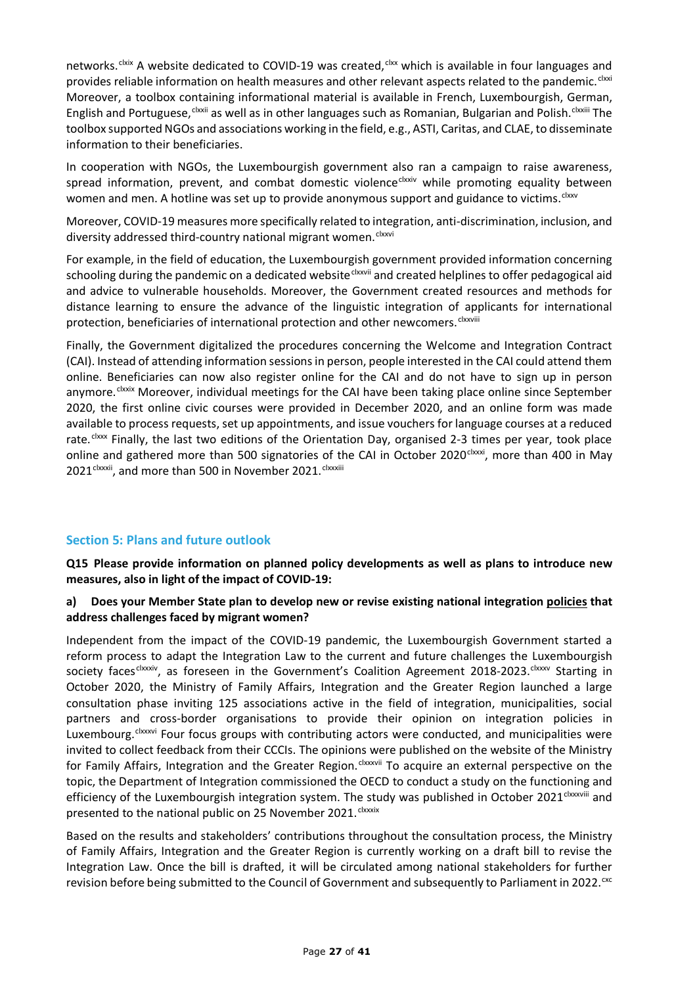<span id="page-27-0"></span>networks.<sup>ckix</sup> A website dedicated to COVID-19 was created, <sup>ckx</sup> which is available in four languages and prov[i](#page-27-15)des reliable information on health measures and other relevant aspects related to the pandemic.<sup>clxxi</sup> Engl[i](#page-27-16)sh and Portuguese, clxxii as well as in other languages such as Romanian, Bulgarian and Polish. Clxxiii The Moreover, a toolbox containing informational material is available in French, Luxembourgish, German, toolbox supported NGOs and associations working in the field, e.g., ASTI, Caritas, and CLAE, to disseminate information to their beneficiaries.

<span id="page-27-4"></span><span id="page-27-3"></span><span id="page-27-2"></span><span id="page-27-1"></span>In cooperation with NGOs, the Luxembourgish government also ran a campaign to raise awareness, spread information, prevent, and combat domestic violence<sup>clxxiv</sup> while promoting equality between women and men. A hotline was set up to provide anonymous support and guidance to victims.<sup>clxxv</sup>

<span id="page-27-5"></span>Moreover, COVID-19 measures more specifically related to integration, anti-discrimination, inclusion, and diversity addressed third-country national migrant women. Clxxvi

<span id="page-27-7"></span><span id="page-27-6"></span>For example, in the field of education, the Luxembourgish government provided information concerning schooling during the p[a](#page-27-17)ndemic on a dedicated website<sup>clxxvii</sup> and created helplines to offer pedagogical aid protect[i](#page-27-18)on, beneficiaries of international protection and other newcomers. Clxxviii and advice to vulnerable households. Moreover, the Government created resources and methods for distance learning to ensure the advance of the linguistic integration of applicants for international

<span id="page-27-12"></span><span id="page-27-11"></span><span id="page-27-10"></span><span id="page-27-9"></span><span id="page-27-8"></span>Finally, the Government digitalized the procedures concerning the Welcome and Integration Contract (CAI). Instead of attending information sessions in person, people interested in the CAI could attend them online. Beneficiaries can now also register online for the CAI and do not have to sign up in person anymore.<sup>cl[x](#page-27-19)xix</sup> Moreover, individual meetings for the CAI have been taking place online since September rate.<sup>clxxx</sup> Finally, the last two editions of the Orientation Day, organised 2-3 times per year, took place online and gathered more than 500 signatories of the CAI in October 2020<sup>clxxxi</sup>, more than 400 in May  $2021$  $2021$ <sup>clxxxii</sup>, and more than 500 in November 2021. Clxxxiii 2020, the first online civic courses were provided in December 2020, and an online form was made available to process requests, set up appointments, and issue vouchers for language courses at a reduced

## <span id="page-27-14"></span><span id="page-27-13"></span>**Section 5: Plans and future outlook**

<span id="page-27-15"></span>**Q15 Please provide information on planned policy developments as well as plans to introduce new measures, also in light of the impact of COVID-19:**

#### <span id="page-27-16"></span>**a) Does your Member State plan to develop new or revise existing national integration policies that address challenges faced by migrant women?**

<span id="page-27-18"></span><span id="page-27-17"></span>Independent from the impact of the COVID-19 pandemic, the Luxembourgish Government started a reform process to adapt the Integration Law to the current and future challenges the Luxembourgish society faces<sup>clxxxi[v](#page-28-1)</sup>, as foreseen in the Government's Coalition Agreement 2018[-2](#page-28-0)023.<sup>clxxxv</sup> Starting in Luxembourg. Clxxxvi Four focus groups with contributing actors were conducted, and municipalities were for Fam[i](#page-28-3)ly Affairs, Integration and the Greater Region. Clxxxvii To acquire an external perspective on the eff[i](#page-28-4)ciency of the Luxembourgish integration system. The study was published in October 2021<sup>clxxxviii</sup> and presentedto the national public on 25 November 2021. Clxxxix October 2020, the Ministry of Family Affairs, Integration and the Greater Region launched a large consultation phase inviting 125 associations active in the field of integration, municipalities, social partners and c[r](#page-28-2)oss-border organisations to provide their opinion on integration policies in invited to collect feedback from their CCCIs. The opinions were published on the website of the Ministry topic, the Department of Integration commissioned the OECD to conduct a study on the functioning and

<span id="page-27-20"></span><span id="page-27-19"></span>Based on the results and stakeholders' contributions throughout the consultation process, the Ministry of Family Affairs, Integration and the Greater Region is currently working on a draft bill to revise the Integration Law. Once the bill is drafted, it will be circulated among national stakeholders for further revision before being submitted to the Council of Government and subsequently to Parliament in 2022.<sup>[cxc](#page-28-6)</sup>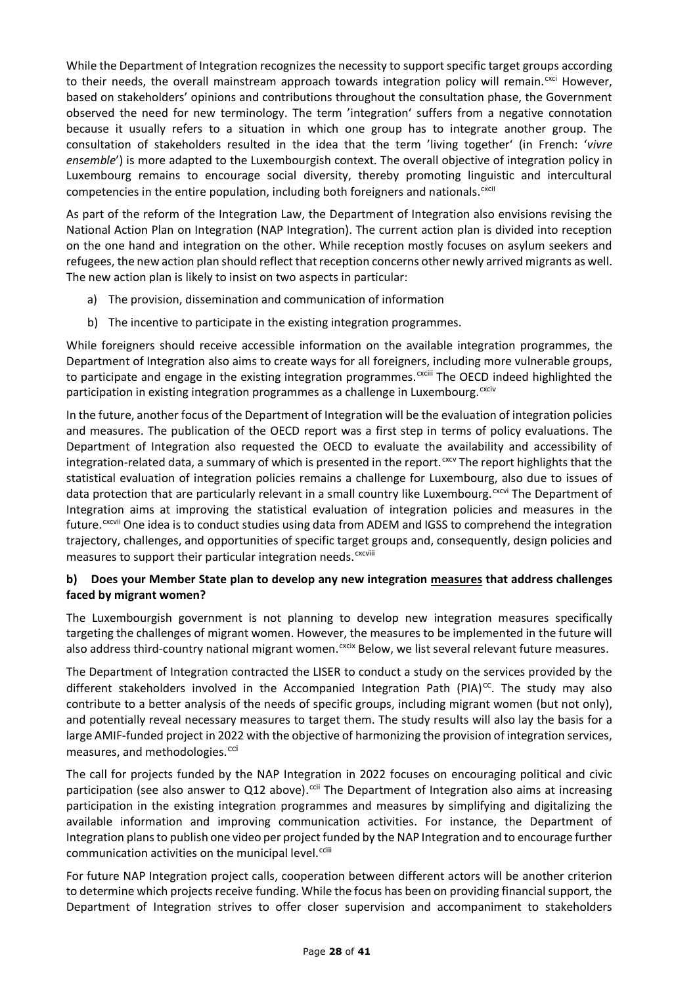While the Department of Integration recognizes the necessity to support specific target groups according to their needs, the overall mainstream approach towards integration policy will remain.<sup>[cxci](#page-28-7)</sup> However, competenc[i](#page-28-8)es in the entire population, including both foreigners and nationals.<sup>cxcii</sup> based on stakeholders' opinions and contributions throughout the consultation phase, the Government observed the need for new terminology. The term 'integration' suffers from a negative connotation because it usually refers to a situation in which one group has to integrate another group. The consultation of stakeholders resulted in the idea that the term 'living together' (in French: '*vivre ensemble*') is more adapted to the Luxembourgish context. The overall objective of integration policy in Luxembourg remains to encourage social diversity, thereby promoting linguistic and intercultural

<span id="page-28-1"></span><span id="page-28-0"></span>As part of the reform of the Integration Law, the Department of Integration also envisions revising the National Action Plan on Integration (NAP Integration). The current action plan is divided into reception on the one hand and integration on the other. While reception mostly focuses on asylum seekers and refugees, the new action plan should reflect that reception concerns other newly arrived migrants as well. The new action plan is likely to insist on two aspects in particular:

- <span id="page-28-2"></span>a) The provision, dissemination and communication of information
- b) The incentive to participate in the existing integration programmes.

<span id="page-28-5"></span><span id="page-28-4"></span><span id="page-28-3"></span>While foreigners should receive accessible information on the available integration programmes, the Department of Integration also aims to create ways for all foreigners, [i](#page-28-9)ncluding more vulnerable groups, to participate and engage in the existing integration programmes.<sup>cxciii</sup> The OECD indeed highlighted the participation in existing integration programmes as a challenge in Luxembourg.<sup>cxciv</sup>

<span id="page-28-9"></span><span id="page-28-8"></span><span id="page-28-7"></span><span id="page-28-6"></span>In the future, another focus of the Department of Integration will be the evaluation of integration policies and measures. The publication of the OECD report was a first step in terms of policy evaluations. The Department of Integration also requested the OECD to evaluate the availability and accessibility of integration-related data, a summary of which is presented in the report.<sup>[cxcv](#page-28-10)</sup> The report highlights that the data protection that are particularly relevant in a small country like Luxembourg. CXCVi The Department of future.<sup>CXCVII</sup> [O](#page-28-12)ne idea is to conduct studies using data from ADEM and IGSS to comprehend the integration measures to support the[i](#page-28-13)r particular integration needs. CXCVIII statistical evaluation of integration policies remains a challenge for Luxembourg, a[ls](#page-28-11)o due to issues of Integration aims at improving the statistical evaluation of integration policies and measures in the trajectory, challenges, and opportunities of specific target groups and, consequently, design policies and

## <span id="page-28-11"></span><span id="page-28-10"></span>**b) Does your Member State plan to develop any new integration measures that address challenges faced by migrant women?**

<span id="page-28-12"></span>The Luxembourgish government is not planning to develop new integration measures specifically targeting the challenges of migrant women. However, t[h](#page-28-14)e measures to be implemented in the future will also address third-country national migrant women.<sup>cxcix</sup> Below, we list several relevant future measures.

<span id="page-28-15"></span><span id="page-28-14"></span><span id="page-28-13"></span>The Department of Integration contracted the LISER to conduct a study on the services provided by the different stakeholders involved in the A[cc](#page-28-15)ompanied Integration Path (PIA)<sup>cc</sup>. The study may also contribute to a better analysis of the needs of specific groups, including migrant women (but not only), and potentially reveal necessary measures to target them. The study results will also lay the basis for a large AMIF-funded project in 2022 with the objective of harmonizing the provision of integration services, measures, and methodologies.<sup>[cci](#page-28-16)</sup>

<span id="page-28-17"></span><span id="page-28-16"></span>The call for projects funded by the NAP Integration in 2022 focuses on encouraging political and civic participation (see also answer to Q12 above).<sup>[ccii](#page-28-17)</sup> The Department of Integration also aims at increasing communicationactivities on the municipal level.<sup>cciii</sup> participation in the existing integration programmes and measures by simplifying and digitalizing the available information and improving communication activities. For instance, the Department of Integration plans to publish one video per project funded by the NAP Integration and to encourage further

<span id="page-28-20"></span><span id="page-28-19"></span><span id="page-28-18"></span>For future NAP Integration project calls, cooperation between different actors will be another criterion to determine which projects receive funding. While the focus has been on providing financial support, the Department of Integration strives to offer closer supervision and accompaniment to stakeholders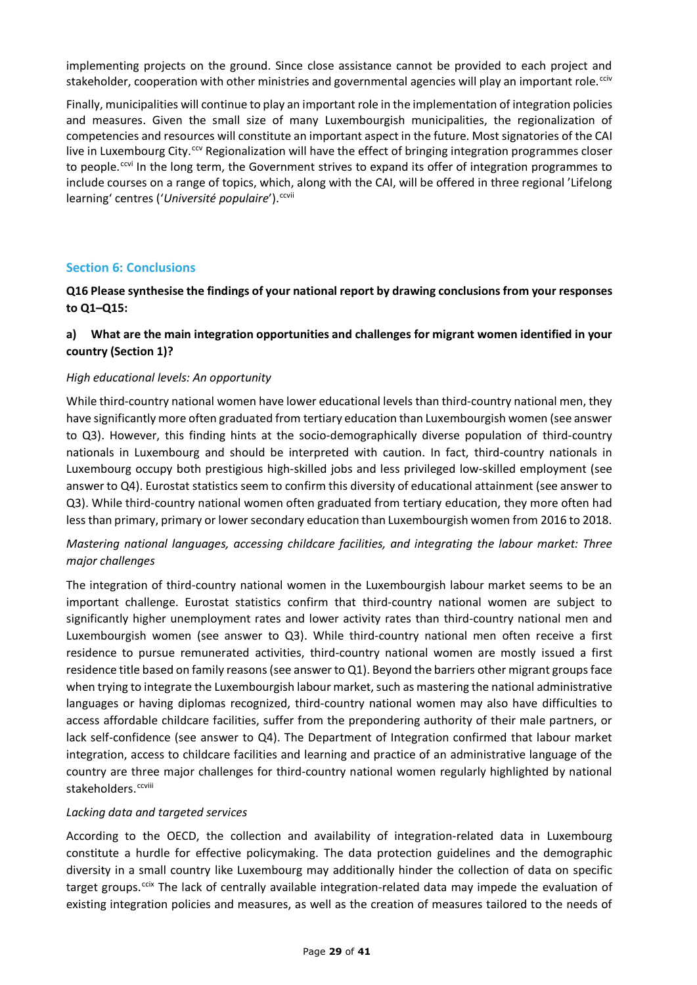implementing projects on the ground. Since close assistance cannot be provided to each project and stakeholder, cooperation with other ministries and governmental agencies will play an important role.<sup>[cciv](#page-28-19)</sup>

<span id="page-29-3"></span><span id="page-29-2"></span><span id="page-29-1"></span><span id="page-29-0"></span>Finally, municipalities will continue to play an important role in the implementation of integration policies and measures. Given the small size of many Luxembourgish municipalities, the regionalization of competencies and resources will constitute an important aspect in the future. Most signatories of the CAI live in Luxembourg City.<sup>[ccv](#page-28-20)</sup> Regionalization will have the effect of bringing integration programmes closer learn[i](#page-29-1)ng' centres ('Université populaire').<sup>ccvii</sup> to people.<sup>[ccvi](#page-29-0)</sup> In the long term, the Government strives to expand its offer of integration programmes to include courses on a range of topics, which, along with the CAI, will be offered in three regional 'Lifelong

#### **Section 6: Conclusions**

**Q16 Please synthesise the findings of your national report by drawing conclusions from your responses to Q1–Q15:**

## **a) What are the main integration opportunities and challenges for migrant women identified in your country (Section 1)?**

#### *High educational levels: An opportunity*

While third-country national women have lower educational levels than third-country national men, they have significantly more often graduated from tertiary education than Luxembourgish women (see answer to Q3). However, this finding hints at the socio-demographically diverse population of third-country nationals in Luxembourg and should be interpreted with caution. In fact, third-country nationals in Luxembourg occupy both prestigious high-skilled jobs and less privileged low-skilled employment (see answer to Q4). Eurostat statistics seem to confirm this diversity of educational attainment (see answer to Q3). While third-country national women often graduated from tertiary education, they more often had less than primary, primary or lower secondary education than Luxembourgish women from 2016 to 2018.

## *Mastering national languages, accessing childcare facilities, and integrating the labour market: Three major challenges*

The integration of third-country national women in the Luxembourgish labour market seems to be an important challenge. Eurostat statistics confirm that third-country national women are subject to significantly higher unemployment rates and lower activity rates than third-country national men and Luxembourgish women (see answer to Q3). While third-country national men often receive a first residence to pursue remunerated activities, third-country national women are mostly issued a first residence title based on family reasons (see answer to Q1). Beyond the barriers other migrant groups face when trying to integrate the Luxembourgish labour market, such as mastering the national administrative languages or having diplomas recognized, third-country national women may also have difficulties to access affordable childcare facilities, suffer from the prepondering authority of their male partners, or lack self-confidence (see answer to Q4). The Department of Integration confirmed that labour market integration, access to childcare facilities and learning and practice of an administrative language of the country are three major challenges for third-country national women regularly highlighted by national stakeholders.<sup>ccv[i](#page-29-2)ii</sup>

#### *Lacking data and targeted services*

According to the OECD, the collection and availability of integration-related data in Luxembourg constitute a hurdle for effective policymaking. The data protection guidelines and the demographic diversity in a small country like Luxembourg may additionally hinder the collection of data on specific target groups.<sup>[ccix](#page-29-3)</sup> The lack of centrally available integration-related data may impede the evaluation of existing integration policies and measures, as well as the creation of measures tailored to the needs of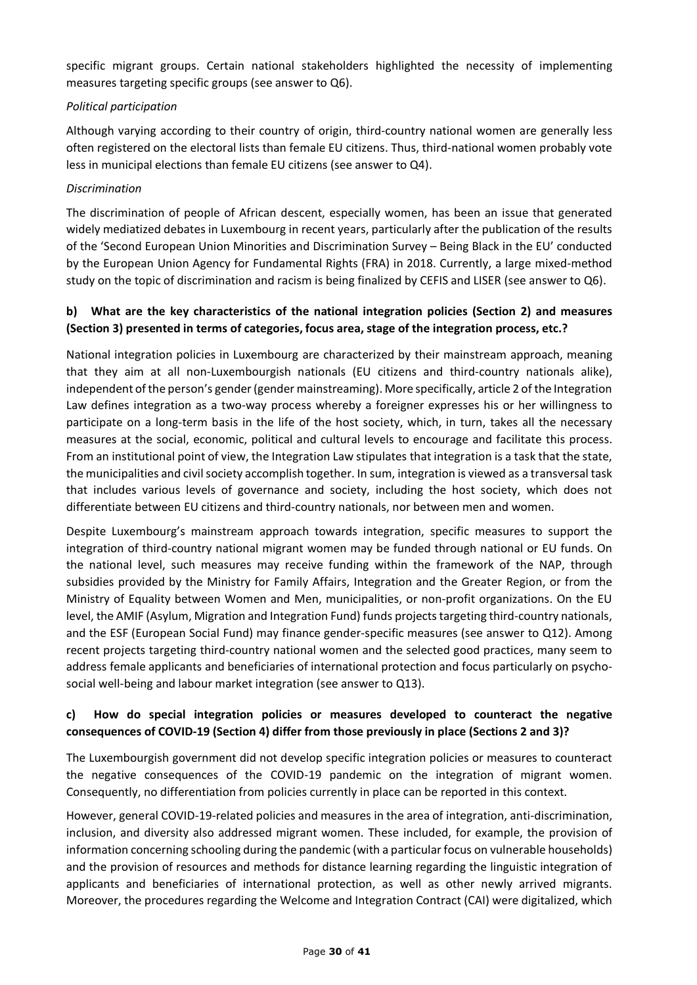specific migrant groups. Certain national stakeholders highlighted the necessity of implementing measures targeting specific groups (see answer to Q6).

## *Political participation*

Although varying according to their country of origin, third-country national women are generally less often registered on the electoral lists than female EU citizens. Thus, third-national women probably vote less in municipal elections than female EU citizens (see answer to Q4).

## *Discrimination*

The discrimination of people of African descent, especially women, has been an issue that generated widely mediatized debates in Luxembourg in recent years, particularly after the publication of the results of the 'Second European Union Minorities and Discrimination Survey – Being Black in the EU' conducted by the European Union Agency for Fundamental Rights (FRA) in 2018. Currently, a large mixed-method study on the topic of discrimination and racism is being finalized by CEFIS and LISER (see answer to Q6).

## **b) What are the key characteristics of the national integration policies (Section 2) and measures (Section 3) presented in terms of categories, focus area, stage of the integration process, etc.?**

National integration policies in Luxembourg are characterized by their mainstream approach, meaning that they aim at all non-Luxembourgish nationals (EU citizens and third-country nationals alike), independent of the person's gender (gender mainstreaming). More specifically, article 2 of the Integration Law defines integration as a two-way process whereby a foreigner expresses his or her willingness to participate on a long-term basis in the life of the host society, which, in turn, takes all the necessary measures at the social, economic, political and cultural levels to encourage and facilitate this process. From an institutional point of view, the Integration Law stipulates that integration is a task that the state, the municipalities and civil society accomplish together. In sum, integration is viewed as a transversal task that includes various levels of governance and society, including the host society, which does not differentiate between EU citizens and third-country nationals, nor between men and women.

Despite Luxembourg's mainstream approach towards integration, specific measures to support the integration of third-country national migrant women may be funded through national or EU funds. On the national level, such measures may receive funding within the framework of the NAP, through subsidies provided by the Ministry for Family Affairs, Integration and the Greater Region, or from the Ministry of Equality between Women and Men, municipalities, or non-profit organizations. On the EU level, the AMIF (Asylum, Migration and Integration Fund) funds projects targeting third-country nationals, and the ESF (European Social Fund) may finance gender-specific measures (see answer to Q12). Among recent projects targeting third-country national women and the selected good practices, many seem to address female applicants and beneficiaries of international protection and focus particularly on psychosocial well-being and labour market integration (see answer to Q13).

## **c) How do special integration policies or measures developed to counteract the negative consequences of COVID-19 (Section 4) differ from those previously in place (Sections 2 and 3)?**

The Luxembourgish government did not develop specific integration policies or measures to counteract the negative consequences of the COVID-19 pandemic on the integration of migrant women. Consequently, no differentiation from policies currently in place can be reported in this context.

However, general COVID-19-related policies and measures in the area of integration, anti-discrimination, inclusion, and diversity also addressed migrant women. These included, for example, the provision of information concerning schooling during the pandemic (with a particular focus on vulnerable households) and the provision of resources and methods for distance learning regarding the linguistic integration of applicants and beneficiaries of international protection, as well as other newly arrived migrants. Moreover, the procedures regarding the Welcome and Integration Contract (CAI) were digitalized, which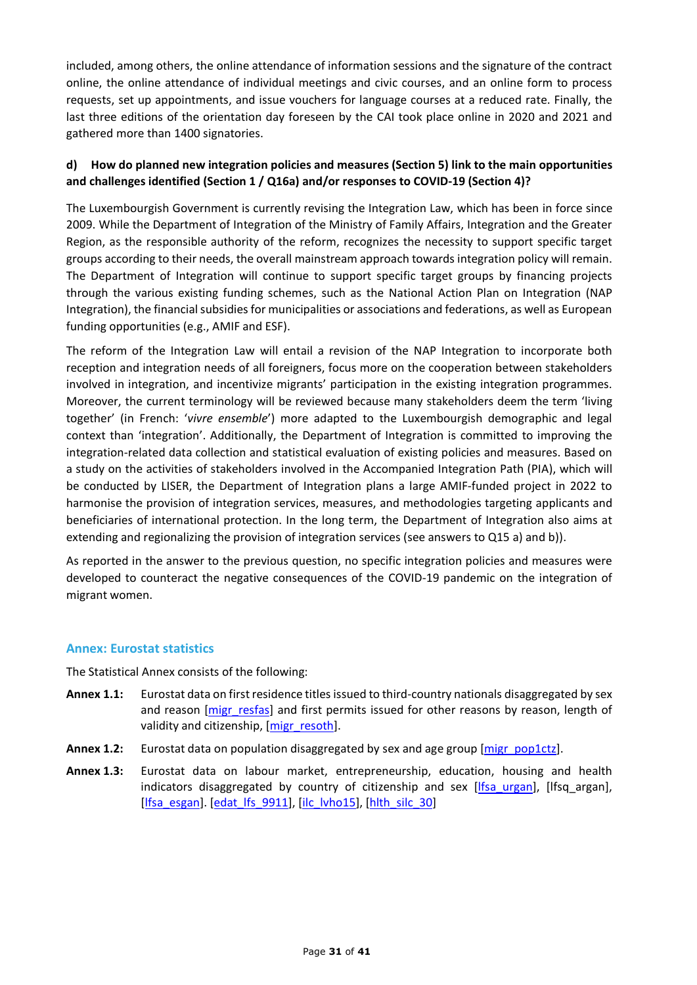included, among others, the online attendance of information sessions and the signature of the contract online, the online attendance of individual meetings and civic courses, and an online form to process requests, set up appointments, and issue vouchers for language courses at a reduced rate. Finally, the last three editions of the orientation day foreseen by the CAI took place online in 2020 and 2021 and gathered more than 1400 signatories.

## **d) How do planned new integration policies and measures (Section 5) link to the main opportunities and challenges identified (Section 1 / Q16a) and/or responses to COVID-19 (Section 4)?**

The Luxembourgish Government is currently revising the Integration Law, which has been in force since 2009. While the Department of Integration of the Ministry of Family Affairs, Integration and the Greater Region, as the responsible authority of the reform, recognizes the necessity to support specific target groups according to their needs, the overall mainstream approach towards integration policy will remain. The Department of Integration will continue to support specific target groups by financing projects through the various existing funding schemes, such as the National Action Plan on Integration (NAP Integration), the financial subsidies for municipalities or associations and federations, as well as European funding opportunities (e.g., AMIF and ESF).

The reform of the Integration Law will entail a revision of the NAP Integration to incorporate both reception and integration needs of all foreigners, focus more on the cooperation between stakeholders involved in integration, and incentivize migrants' participation in the existing integration programmes. Moreover, the current terminology will be reviewed because many stakeholders deem the term 'living together' (in French: '*vivre ensemble*') more adapted to the Luxembourgish demographic and legal context than 'integration'. Additionally, the Department of Integration is committed to improving the integration-related data collection and statistical evaluation of existing policies and measures. Based on a study on the activities of stakeholders involved in the Accompanied Integration Path (PIA), which will be conducted by LISER, the Department of Integration plans a large AMIF-funded project in 2022 to harmonise the provision of integration services, measures, and methodologies targeting applicants and beneficiaries of international protection. In the long term, the Department of Integration also aims at extending and regionalizing the provision of integration services (see answers to Q15 a) and b)).

As reported in the answer to the previous question, no specific integration policies and measures were developed to counteract the negative consequences of the COVID-19 pandemic on the integration of migrant women.

#### **Annex: Eurostat statistics**

The Statistical Annex consists of the following:

- **Annex 1.1:** Eurostat data on first residence titles issued to third-country nationals disaggregated by sex and reason [\[migr\\_resfas\]](https://ec.europa.eu/eurostat/web/products-datasets/-/migr_resfas) and first permits issued for other reasons by reason, length of validity and citizenship, [\[migr\\_resoth\]](https://ec.europa.eu/eurostat/web/products-datasets/-/migr_resoth).
- Annex 1.2: Eurostat data on population disaggregated by sex and age group [\[migr\\_pop1ctz\]](https://ec.europa.eu/eurostat/en/web/products-datasets/-/MIGR_POP1CTZ).
- **Annex 1.3:** Eurostat data on labour market, entrepreneurship, education, housing and health indicators disaggregated by country of citizenship and sex [Ifsa\_urgan], [Ifsq\_argan], [Ifsa\_esgan]. [\[edat\\_lfs\\_9911\]](https://ec.europa.eu/eurostat/web/products-datasets/-/edat_lfs_9911), [\[ilc\\_lvho15\]](https://ec.europa.eu/eurostat/web/products-datasets/-/ilc_lvho15), [\[hlth\\_silc\\_30\]](https://ec.europa.eu/eurostat/web/products-datasets/-/hlth_silc_30)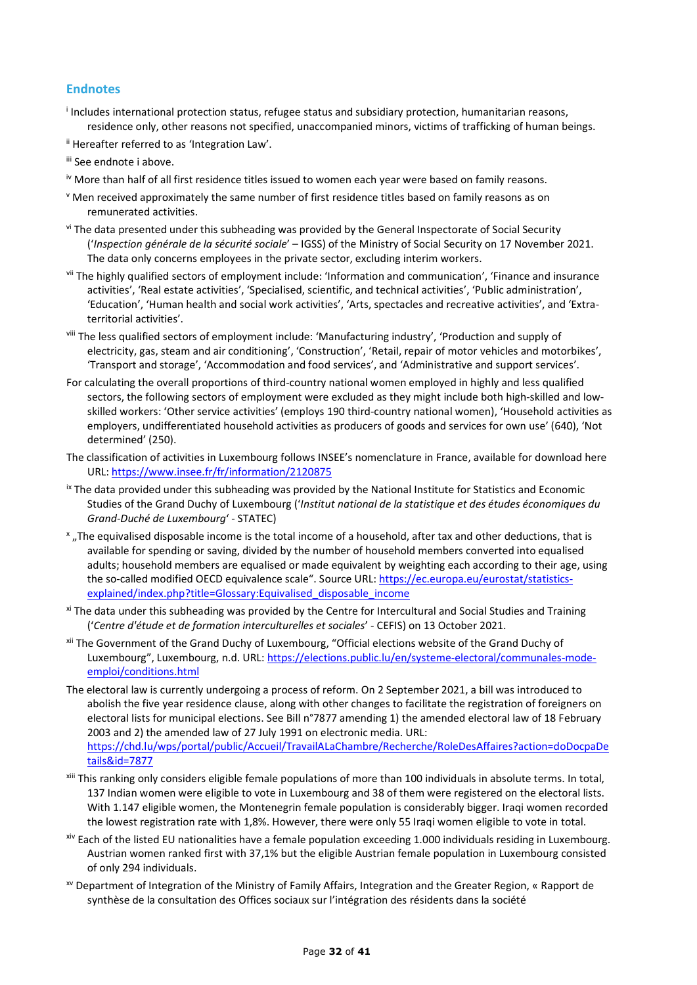## **Endnotes**

- i Includes international protection status, refugee status and subsidiary protection, humanitarian reasons, residence only, other reasons not specified, unaccompanied minors, victims of trafficking of human beings.
- ii Hereafter referred to as 'Integration Law'.
- iii See endnote i above.
- iv More than half of all first residence titles issued to women each year were based on family reasons.
- <sup>v</sup> Men received approximately the same number of first residence titles based on family reasons as on remunerated activities.
- vi The data presented under this subheading was provided by the General Inspectorate of Social Security ('*Inspection générale de la sécurité sociale*' – IGSS) of the Ministry of Social Security on 17 November 2021. The data only concerns employees in the private sector, excluding interim workers.
- vii The highly qualified sectors of employment include: 'Information and communication', 'Finance and insurance activities', 'Real estate activities', 'Specialised, scientific, and technical activities', 'Public administration', 'Education', 'Human health and social work activities', 'Arts, spectacles and recreative activities', and 'Extraterritorial activities'.
- viii The less qualified sectors of employment include: 'Manufacturing industry', 'Production and supply of electricity, gas, steam and air conditioning', 'Construction', 'Retail, repair of motor vehicles and motorbikes', 'Transport and storage', 'Accommodation and food services', and 'Administrative and support services'.
- For calculating the overall proportions of third-country national women employed in highly and less qualified sectors, the following sectors of employment were excluded as they might include both high-skilled and lowskilled workers: 'Other service activities' (employs 190 third-country national women), 'Household activities as employers, undifferentiated household activities as producers of goods and services for own use' (640), 'Not determined' (250).
- The classification of activities in Luxembourg follows INSEE's nomenclature in France, available for download here URL[: https://www.insee.fr/fr/information/2120875](https://www.insee.fr/fr/information/2120875)
- <sup>ix</sup> The data provided under this subheading was provided by the National Institute for Statistics and Economic Studies of the Grand Duchy of Luxembourg ('*Institut national de la statistique et des études économiques du Grand-Duché de Luxembourg*' - STATEC)
- x "The equivalised disposable income is the total income of a household, after tax and other deductions, that is available for spending or saving, divided by the number of household members converted into equalised adults; household members are equalised or made equivalent by weighting each according to their age, using the so-called modified OECD equivalence scale". Source URL: [https://ec.europa.eu/eurostat/statistics](https://ec.europa.eu/eurostat/statistics-explained/index.php?title=Glossary:Equivalised_disposable_income)[explained/index.php?title=Glossary:Equivalised\\_disposable\\_income](https://ec.europa.eu/eurostat/statistics-explained/index.php?title=Glossary:Equivalised_disposable_income)
- xi The data under this subheading was provided by the Centre for Intercultural and Social Studies and Training ('*Centre d'étude et de formation interculturelles et sociales*' - CEFIS) on 13 October 2021.
- xii The Government of the Grand Duchy of Luxembourg, "Official elections website of the Grand Duchy of Luxembourg", Luxembourg, n.d. URL[: https://elections.public.lu/en/systeme-electoral/communales-mode](https://elections.public.lu/en/systeme-electoral/communales-mode-emploi/conditions.html)[emploi/conditions.html](https://elections.public.lu/en/systeme-electoral/communales-mode-emploi/conditions.html)
- The electoral law is currently undergoing a process of reform. On 2 September 2021, a bill was introduced to abolish the five year residence clause, along with other changes to facilitate the registration of foreigners on electoral lists for municipal elections. See Bill n°7877 amending 1) the amended electoral law of 18 February 2003 and 2) the amended law of 27 July 1991 on electronic media. URL: [https://chd.lu/wps/portal/public/Accueil/TravailALaChambre/Recherche/RoleDesAffaires?action=doDocpaDe](https://chd.lu/wps/portal/public/Accueil/TravailALaChambre/Recherche/RoleDesAffaires?action=doDocpaDetails&id=7877) [tails&id=7877](https://chd.lu/wps/portal/public/Accueil/TravailALaChambre/Recherche/RoleDesAffaires?action=doDocpaDetails&id=7877)
- xiii This ranking only considers eligible female populations of more than 100 individuals in absolute terms. In total, 137 Indian women were eligible to vote in Luxembourg and 38 of them were registered on the electoral lists. With 1.147 eligible women, the Montenegrin female population is considerably bigger. Iraqi women recorded the lowest registration rate with 1,8%. However, there were only 55 Iraqi women eligible to vote in total.
- xiv Each of the listed EU nationalities have a female population exceeding 1.000 individuals residing in Luxembourg. Austrian women ranked first with 37,1% but the eligible Austrian female population in Luxembourg consisted of only 294 individuals.
- xv Department of Integration of the Ministry of Family Affairs, Integration and the Greater Region, « Rapport de synthèse de la consultation des Offices sociaux sur l'intégration des résidents dans la société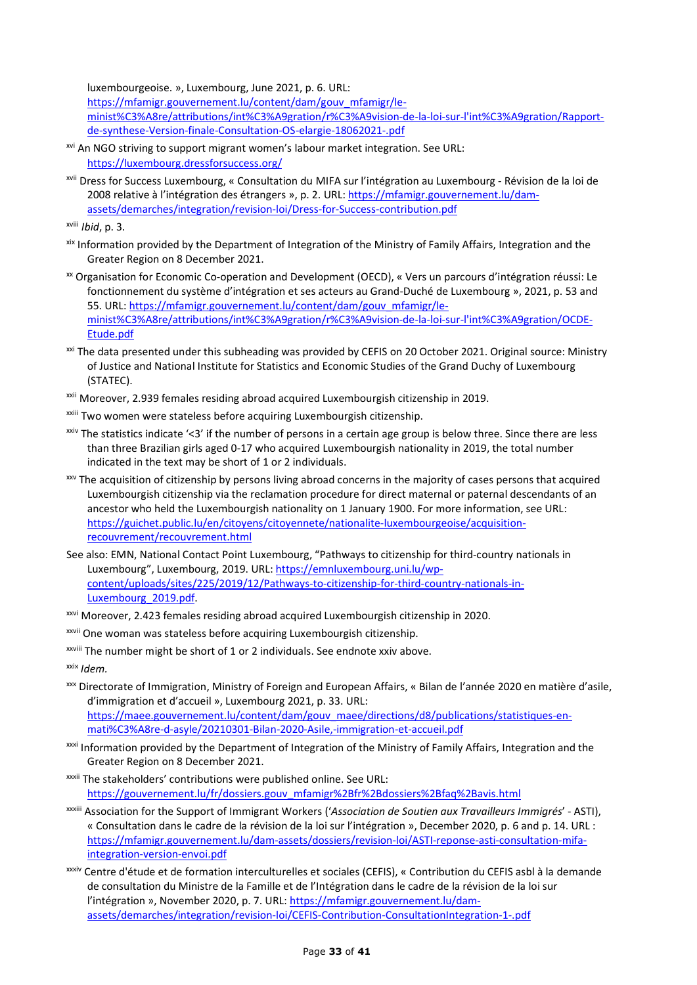luxembourgeoise. », Luxembourg, June 2021, p. 6. URL:

[https://mfamigr.gouvernement.lu/content/dam/gouv\\_mfamigr/le](https://mfamigr.gouvernement.lu/content/dam/gouv_mfamigr/le-minist%C3%A8re/attributions/int%C3%A9gration/r%C3%A9vision-de-la-loi-sur-l)[minist%C3%A8re/attributions/int%C3%A9gration/r%C3%A9vision-de-la-loi-sur-l'int%C3%A9gration/Rapport](https://mfamigr.gouvernement.lu/content/dam/gouv_mfamigr/le-minist%C3%A8re/attributions/int%C3%A9gration/r%C3%A9vision-de-la-loi-sur-l)[de-synthese-Version-finale-Consultation-OS-elargie-18062021-.pdf](https://mfamigr.gouvernement.lu/content/dam/gouv_mfamigr/le-minist%C3%A8re/attributions/int%C3%A9gration/r%C3%A9vision-de-la-loi-sur-l)

- xvi An NGO striving to support migrant women's labour market integration. See URL: <https://luxembourg.dressforsuccess.org/>
- xvii Dress for Success Luxembourg, « Consultation du MIFA sur l'intégration au Luxembourg Révision de la loi de 2008 relative à l'intégration des étrangers », p. 2. URL[: https://mfamigr.gouvernement.lu/dam](https://mfamigr.gouvernement.lu/dam-assets/demarches/integration/revision-loi/Dress-for-Success-contribution.pdf)[assets/demarches/integration/revision-loi/Dress-for-Success-contribution.pdf](https://mfamigr.gouvernement.lu/dam-assets/demarches/integration/revision-loi/Dress-for-Success-contribution.pdf)

- xix Information provided by the Department of Integration of the Ministry of Family Affairs, Integration and the Greater Region on 8 December 2021.
- xx Organisation for Economic Co-operation and Development (OECD), « Vers un parcours d'intégration réussi: Le fonctionnement du système d'intégration et ses acteurs au Grand-Duché de Luxembourg », 2021, p. 53 and 55. URL[: https://mfamigr.gouvernement.lu/content/dam/gouv\\_mfamigr/le](https://mfamigr.gouvernement.lu/content/dam/gouv_mfamigr/le-minist%C3%A8re/attributions/int%C3%A9gration/r%C3%A9vision-de-la-loi-sur-l)[minist%C3%A8re/attributions/int%C3%A9gration/r%C3%A9vision-de-la-loi-sur-l'int%C3%A9gration/OCDE-](https://mfamigr.gouvernement.lu/content/dam/gouv_mfamigr/le-minist%C3%A8re/attributions/int%C3%A9gration/r%C3%A9vision-de-la-loi-sur-l)[Etude.pdf](https://mfamigr.gouvernement.lu/content/dam/gouv_mfamigr/le-minist%C3%A8re/attributions/int%C3%A9gration/r%C3%A9vision-de-la-loi-sur-l)
- <sup>xxi</sup> The data presented under this subheading was provided by CEFIS on 20 October 2021. Original source: Ministry of Justice and National Institute for Statistics and Economic Studies of the Grand Duchy of Luxembourg (STATEC).
- xxii Moreover, 2.939 females residing abroad acquired Luxembourgish citizenship in 2019.
- xxiii Two women were stateless before acquiring Luxembourgish citizenship.
- $x_{xx}$  The statistics indicate '<3' if the number of persons in a certain age group is below three. Since there are less than three Brazilian girls aged 0-17 who acquired Luxembourgish nationality in 2019, the total number indicated in the text may be short of 1 or 2 individuals.
- xxv The acquisition of citizenship by persons living abroad concerns in the majority of cases persons that acquired Luxembourgish citizenship via the reclamation procedure for direct maternal or paternal descendants of an ancestor who held the Luxembourgish nationality on 1 January 1900. For more information, see URL: [https://guichet.public.lu/en/citoyens/citoyennete/nationalite-luxembourgeoise/acquisition](https://guichet.public.lu/en/citoyens/citoyennete/nationalite-luxembourgeoise/acquisition-recouvrement/recouvrement.html)[recouvrement/recouvrement.html](https://guichet.public.lu/en/citoyens/citoyennete/nationalite-luxembourgeoise/acquisition-recouvrement/recouvrement.html)
- See also: EMN, National Contact Point Luxembourg, "Pathways to citizenship for third-country nationals in Luxembourg", Luxembourg, 2019. URL: [https://emnluxembourg.uni.lu/wp](https://emnluxembourg.uni.lu/wp-content/uploads/sites/225/2019/12/Pathways-to-citizenship-for-third-country-nationals-in-Luxembourg_2019.pdf)[content/uploads/sites/225/2019/12/Pathways-to-citizenship-for-third-country-nationals-in-](https://emnluxembourg.uni.lu/wp-content/uploads/sites/225/2019/12/Pathways-to-citizenship-for-third-country-nationals-in-Luxembourg_2019.pdf)[Luxembourg\\_2019.pdf.](https://emnluxembourg.uni.lu/wp-content/uploads/sites/225/2019/12/Pathways-to-citizenship-for-third-country-nationals-in-Luxembourg_2019.pdf)
- xxvi Moreover, 2.423 females residing abroad acquired Luxembourgish citizenship in 2020.
- xxvii One woman was stateless before acquiring Luxembourgish citizenship.
- xxviii The number might be short of 1 or 2 individuals. See endnote xxiv above.

xxix *Idem.*

- xxx Directorate of Immigration, Ministry of Foreign and European Affairs, « Bilan de l'année 2020 en matière d'asile, d'immigration et d'accueil », Luxembourg 2021, p. 33. URL: [https://maee.gouvernement.lu/content/dam/gouv\\_maee/directions/d8/publications/statistiques-en](https://maee.gouvernement.lu/content/dam/gouv_maee/directions/d8/publications/statistiques-en-mati%C3%A8re-d-asyle/20210301-Bilan-2020-Asile,-immigration-et-accueil.pdf)[mati%C3%A8re-d-asyle/20210301-Bilan-2020-Asile,-immigration-et-accueil.pdf](https://maee.gouvernement.lu/content/dam/gouv_maee/directions/d8/publications/statistiques-en-mati%C3%A8re-d-asyle/20210301-Bilan-2020-Asile,-immigration-et-accueil.pdf)
- xxxi Information provided by the Department of Integration of the Ministry of Family Affairs, Integration and the Greater Region on 8 December 2021.
- xxxii The stakeholders' contributions were published online. See URL: [https://gouvernement.lu/fr/dossiers.gouv\\_mfamigr%2Bfr%2Bdossiers%2Bfaq%2Bavis.html](https://gouvernement.lu/fr/dossiers.gouv_mfamigr%2Bfr%2Bdossiers%2Bfaq%2Bavis.html)
- xxxiii Association for the Support of Immigrant Workers ('*Association de Soutien aux Travailleurs Immigrés*' ASTI), « Consultation dans le cadre de la révision de la loi sur l'intégration », December 2020, p. 6 and p. 14. URL : [https://mfamigr.gouvernement.lu/dam-assets/dossiers/revision-loi/ASTI-reponse-asti-consultation-mifa](https://mfamigr.gouvernement.lu/dam-assets/dossiers/revision-loi/ASTI-reponse-asti-consultation-mifa-integration-version-envoi.pdf)[integration-version-envoi.pdf](https://mfamigr.gouvernement.lu/dam-assets/dossiers/revision-loi/ASTI-reponse-asti-consultation-mifa-integration-version-envoi.pdf)
- xxxiv Centre d'étude et de formation interculturelles et sociales (CEFIS), « Contribution du CEFIS asbl à la demande de consultation du Ministre de la Famille et de l'Intégration dans le cadre de la révision de la loi sur l'intégration », November 2020, p. 7. URL: [https://mfamigr.gouvernement.lu/dam](https://mfamigr.gouvernement.lu/dam-assets/demarches/integration/revision-loi/CEFIS-Contribution-ConsultationIntegration-1-.pdf)[assets/demarches/integration/revision-loi/CEFIS-Contribution-ConsultationIntegration-1-.pdf](https://mfamigr.gouvernement.lu/dam-assets/demarches/integration/revision-loi/CEFIS-Contribution-ConsultationIntegration-1-.pdf)

xviii *Ibid*, p. 3.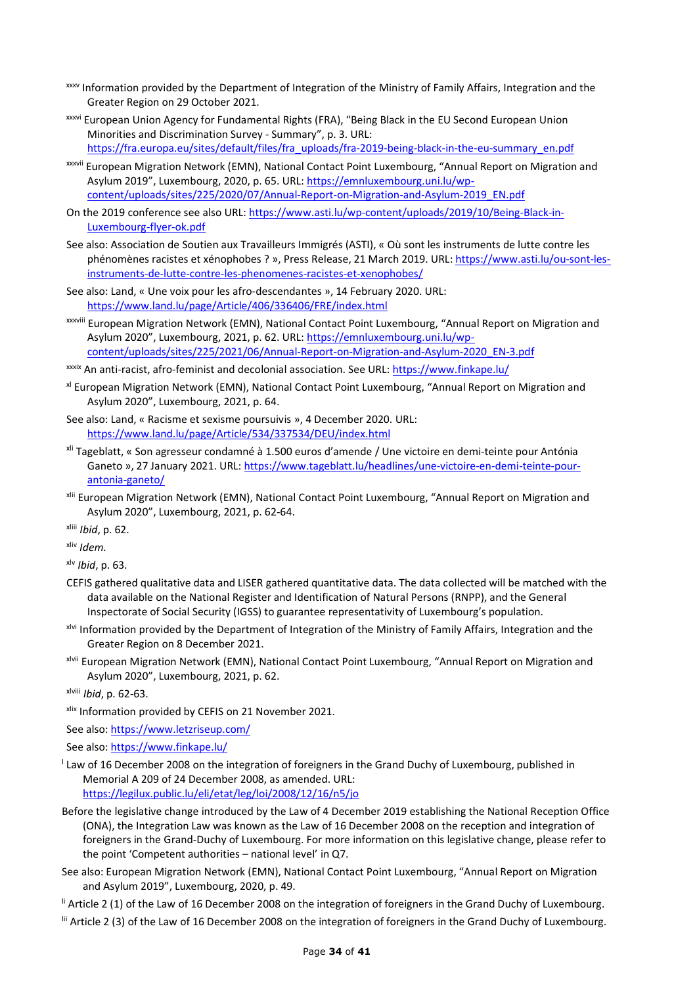- xxxv Information provided by the Department of Integration of the Ministry of Family Affairs, Integration and the Greater Region on 29 October 2021.
- xxxvi European Union Agency for Fundamental Rights (FRA), "Being Black in the EU Second European Union Minorities and Discrimination Survey - Summary", p. 3. URL: https://fra.europa.eu/sites/default/files/fra\_uploads/fra-2019-being-black-in-the-eu-summary\_en.pdf
- xxxvii European Migration Network (EMN), National Contact Point Luxembourg, "Annual Report on Migration and Asylum 2019", Luxembourg, 2020, p. 65. URL: [https://emnluxembourg.uni.lu/wp](https://emnluxembourg.uni.lu/wp-content/uploads/sites/225/2020/07/Annual-Report-on-Migration-and-Asylum-2019_EN.pdf)[content/uploads/sites/225/2020/07/Annual-Report-on-Migration-and-Asylum-2019\\_EN.pdf](https://emnluxembourg.uni.lu/wp-content/uploads/sites/225/2020/07/Annual-Report-on-Migration-and-Asylum-2019_EN.pdf)
- On the 2019 conference see also URL: [https://www.asti.lu/wp-content/uploads/2019/10/Being-Black-in-](https://www.asti.lu/wp-content/uploads/2019/10/Being-Black-in-Luxembourg-flyer-ok.pdf)[Luxembourg-flyer-ok.pdf](https://www.asti.lu/wp-content/uploads/2019/10/Being-Black-in-Luxembourg-flyer-ok.pdf)
- See also: Association de Soutien aux Travailleurs Immigrés (ASTI), « Où sont les instruments de lutte contre les phénomènes racistes et xénophobes ? », Press Release, 21 March 2019. URL[: https://www.asti.lu/ou-sont-les](https://www.asti.lu/ou-sont-les-instruments-de-lutte-contre-les-phenomenes-racistes-et-xenophobes/)[instruments-de-lutte-contre-les-phenomenes-racistes-et-xenophobes/](https://www.asti.lu/ou-sont-les-instruments-de-lutte-contre-les-phenomenes-racistes-et-xenophobes/)
- See also: Land, « Une voix pour les afro-descendantes », 14 February 2020. URL: <https://www.land.lu/page/Article/406/336406/FRE/index.html>
- xxxviii European Migration Network (EMN), National Contact Point Luxembourg, "Annual Report on Migration and Asylum 2020", Luxembourg, 2021, p. 62. URL: [https://emnluxembourg.uni.lu/wp](https://emnluxembourg.uni.lu/wp-content/uploads/sites/225/2021/06/Annual-Report-on-Migration-and-Asylum-2020_EN-3.pdf)[content/uploads/sites/225/2021/06/Annual-Report-on-Migration-and-Asylum-2020\\_EN-3.pdf](https://emnluxembourg.uni.lu/wp-content/uploads/sites/225/2021/06/Annual-Report-on-Migration-and-Asylum-2020_EN-3.pdf)
- xxxix An anti-racist, afro-feminist and decolonial association. See URL: https://www.finkape.lu/
- xl European Migration Network (EMN), National Contact Point Luxembourg, "Annual Report on Migration and Asylum 2020", Luxembourg, 2021, p. 64.
- See also: Land, « Racisme et sexisme poursuivis », 4 December 2020. URL: <https://www.land.lu/page/Article/534/337534/DEU/index.html>
- xli Tageblatt, « Son agresseur condamné à 1.500 euros d'amende / Une victoire en demi-teinte pour Antónia Ganeto », 27 January 2021. URL: [https://www.tageblatt.lu/headlines/une-victoire-en-demi-teinte-pour](https://www.tageblatt.lu/headlines/une-victoire-en-demi-teinte-pour-antonia-ganeto/)[antonia-ganeto/](https://www.tageblatt.lu/headlines/une-victoire-en-demi-teinte-pour-antonia-ganeto/)
- xlii European Migration Network (EMN), National Contact Point Luxembourg, "Annual Report on Migration and Asylum 2020", Luxembourg, 2021, p. 62-64.
- xliii *Ibid*, p. 62.
- xliv *Idem.*
- xlv *Ibid*, p. 63.
- CEFIS gathered qualitative data and LISER gathered quantitative data. The data collected will be matched with the data available on the National Register and Identification of Natural Persons (RNPP), and the General Inspectorate of Social Security (IGSS) to guarantee representativity of Luxembourg's population.
- xlvi Information provided by the Department of Integration of the Ministry of Family Affairs, Integration and the Greater Region on 8 December 2021.
- xlvii European Migration Network (EMN), National Contact Point Luxembourg, "Annual Report on Migration and Asylum 2020", Luxembourg, 2021, p. 62.

xlviii *Ibid*, p. 62-63.

xlix Information provided by CEFIS on 21 November 2021.

See also:<https://www.letzriseup.com/>

See also:<https://www.finkape.lu/>

- Law of 16 December 2008 on the integration of foreigners in the Grand Duchy of Luxembourg, published in Memorial A 209 of 24 December 2008, as amended. URL: <https://legilux.public.lu/eli/etat/leg/loi/2008/12/16/n5/jo>
- Before the legislative change introduced by the Law of 4 December 2019 establishing the National Reception Office (ONA), the Integration Law was known as the Law of 16 December 2008 on the reception and integration of foreigners in the Grand-Duchy of Luxembourg. For more information on this legislative change, please refer to the point 'Competent authorities – national level' in Q7.
- See also: European Migration Network (EMN), National Contact Point Luxembourg, "Annual Report on Migration and Asylum 2019", Luxembourg, 2020, p. 49.

 $\frac{1}{1}$  Article 2 (1) of the Law of 16 December 2008 on the integration of foreigners in the Grand Duchy of Luxembourg.

lii Article 2 (3) of the Law of 16 December 2008 on the integration of foreigners in the Grand Duchy of Luxembourg.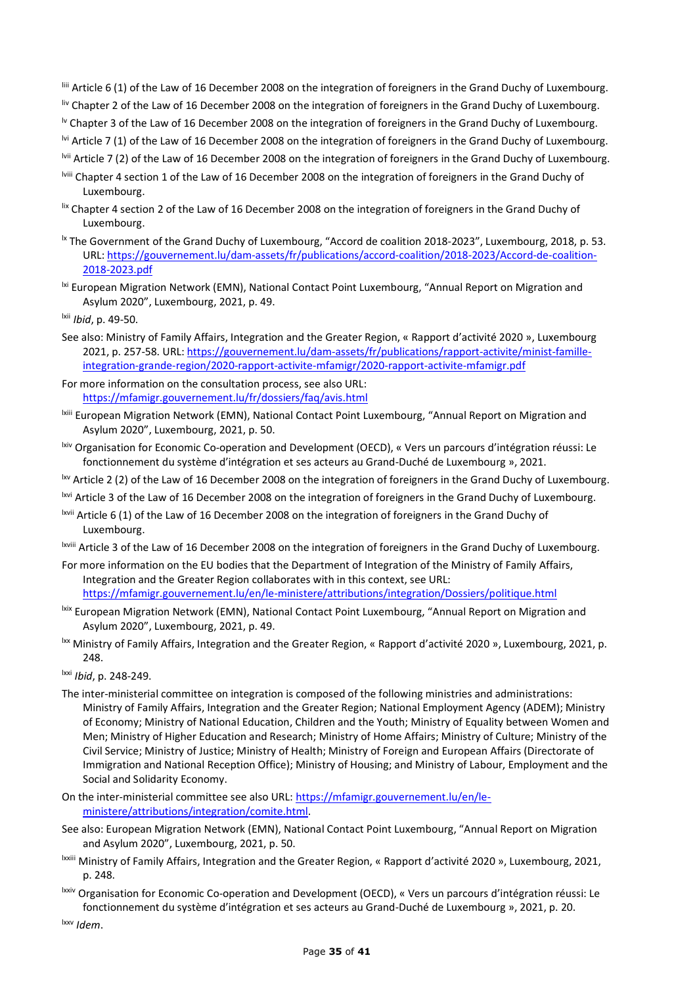- liii Article 6 (1) of the Law of 16 December 2008 on the integration of foreigners in the Grand Duchy of Luxembourg.
- liv Chapter 2 of the Law of 16 December 2008 on the integration of foreigners in the Grand Duchy of Luxembourg.
- lv Chapter 3 of the Law of 16 December 2008 on the integration of foreigners in the Grand Duchy of Luxembourg.
- lvi Article 7 (1) of the Law of 16 December 2008 on the integration of foreigners in the Grand Duchy of Luxembourg.
- lvii Article 7 (2) of the Law of 16 December 2008 on the integration of foreigners in the Grand Duchy of Luxembourg.
- lviii Chapter 4 section 1 of the Law of 16 December 2008 on the integration of foreigners in the Grand Duchy of Luxembourg.
- lix Chapter 4 section 2 of the Law of 16 December 2008 on the integration of foreigners in the Grand Duchy of Luxembourg.
- <sup>1x</sup> The Government of the Grand Duchy of Luxembourg, "Accord de coalition 2018-2023", Luxembourg, 2018, p. 53. URL: [https://gouvernement.lu/dam-assets/fr/publications/accord-coalition/2018-2023/Accord-de-coalition-](https://gouvernement.lu/dam-assets/fr/publications/accord-coalition/2018-2023/Accord-de-coalition-2018-2023.pdf)[2018-2023.pdf](https://gouvernement.lu/dam-assets/fr/publications/accord-coalition/2018-2023/Accord-de-coalition-2018-2023.pdf)
- <sup>Ixi</sup> European Migration Network (EMN), National Contact Point Luxembourg, "Annual Report on Migration and Asylum 2020", Luxembourg, 2021, p. 49.

- See also: Ministry of Family Affairs, Integration and the Greater Region, « Rapport d'activité 2020 », Luxembourg 2021, p. 257-58. URL: [https://gouvernement.lu/dam-assets/fr/publications/rapport-activite/minist-famille](https://gouvernement.lu/dam-assets/fr/publications/rapport-activite/minist-famille-integration-grande-region/2020-rapport-activite-mfamigr/2020-rapport-activite-mfamigr.pdf)[integration-grande-region/2020-rapport-activite-mfamigr/2020-rapport-activite-mfamigr.pdf](https://gouvernement.lu/dam-assets/fr/publications/rapport-activite/minist-famille-integration-grande-region/2020-rapport-activite-mfamigr/2020-rapport-activite-mfamigr.pdf)
- For more information on the consultation process, see also URL: <https://mfamigr.gouvernement.lu/fr/dossiers/faq/avis.html>
- lxiii European Migration Network (EMN), National Contact Point Luxembourg, "Annual Report on Migration and Asylum 2020", Luxembourg, 2021, p. 50.
- lxiv Organisation for Economic Co-operation and Development (OECD), « Vers un parcours d'intégration réussi: Le fonctionnement du système d'intégration et ses acteurs au Grand-Duché de Luxembourg », 2021.
- $\frac{1}{x}$  Article 2 (2) of the Law of 16 December 2008 on the integration of foreigners in the Grand Duchy of Luxembourg.
- lxvi Article 3 of the Law of 16 December 2008 on the integration of foreigners in the Grand Duchy of Luxembourg.
- lxvii Article 6 (1) of the Law of 16 December 2008 on the integration of foreigners in the Grand Duchy of Luxembourg.
- lxviii Article 3 of the Law of 16 December 2008 on the integration of foreigners in the Grand Duchy of Luxembourg.
- For more information on the EU bodies that the Department of Integration of the Ministry of Family Affairs, Integration and the Greater Region collaborates with in this context, see URL: <https://mfamigr.gouvernement.lu/en/le-ministere/attributions/integration/Dossiers/politique.html>
- <sup>Ixix</sup> European Migration Network (EMN), National Contact Point Luxembourg, "Annual Report on Migration and Asylum 2020", Luxembourg, 2021, p. 49.
- lxx Ministry of Family Affairs, Integration and the Greater Region, « Rapport d'activité 2020 », Luxembourg, 2021, p. 248.
- lxxi *Ibid*, p. 248-249.
- The inter-ministerial committee on integration is composed of the following ministries and administrations: Ministry of Family Affairs, Integration and the Greater Region; National Employment Agency (ADEM); Ministry of Economy; Ministry of National Education, Children and the Youth; Ministry of Equality between Women and Men; Ministry of Higher Education and Research; Ministry of Home Affairs; Ministry of Culture; Ministry of the Civil Service; Ministry of Justice; Ministry of Health; Ministry of Foreign and European Affairs (Directorate of Immigration and National Reception Office); Ministry of Housing; and Ministry of Labour, Employment and the Social and Solidarity Economy.
- On the inter-ministerial committee see also URL: [https://mfamigr.gouvernement.lu/en/le](https://mfamigr.gouvernement.lu/en/le-ministere/attributions/integration/comite.html)[ministere/attributions/integration/comite.html.](https://mfamigr.gouvernement.lu/en/le-ministere/attributions/integration/comite.html)
- See also: European Migration Network (EMN), National Contact Point Luxembourg, "Annual Report on Migration and Asylum 2020", Luxembourg, 2021, p. 50.
- lxxiii Ministry of Family Affairs, Integration and the Greater Region, « Rapport d'activité 2020 », Luxembourg, 2021, p. 248.
- lxxiv Organisation for Economic Co-operation and Development (OECD), « Vers un parcours d'intégration réussi: Le fonctionnement du système d'intégration et ses acteurs au Grand-Duché de Luxembourg », 2021, p. 20.

lxxv *Idem*.

lxii *Ibid*, p. 49-50.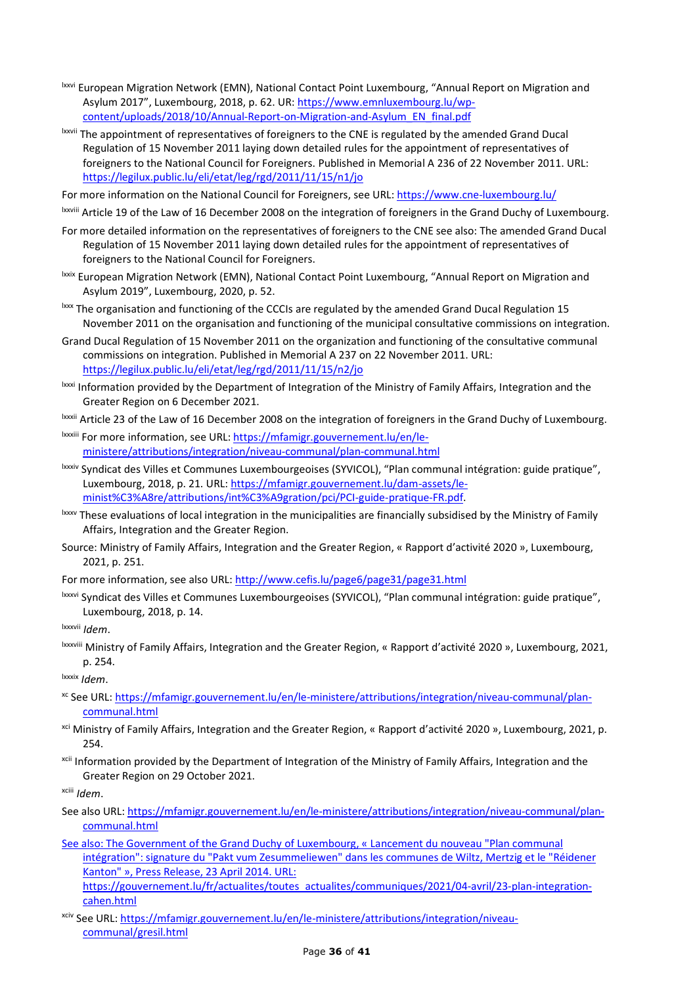- lxxvi European Migration Network (EMN), National Contact Point Luxembourg, "Annual Report on Migration and Asylum 2017", Luxembourg, 2018, p. 62. UR: [https://www.emnluxembourg.lu/wp](https://www.emnluxembourg.lu/wp-content/uploads/2018/10/Annual-Report-on-Migration-and-Asylum_EN_final.pdf)[content/uploads/2018/10/Annual-Report-on-Migration-and-Asylum\\_EN\\_final.pdf](https://www.emnluxembourg.lu/wp-content/uploads/2018/10/Annual-Report-on-Migration-and-Asylum_EN_final.pdf)
- <sup>Ixxvii</sup> The appointment of representatives of foreigners to the CNE is regulated by the amended Grand Ducal Regulation of 15 November 2011 laying down detailed rules for the appointment of representatives of foreigners to the National Council for Foreigners. Published in Memorial A 236 of 22 November 2011. URL: <https://legilux.public.lu/eli/etat/leg/rgd/2011/11/15/n1/jo>
- For more information on the National Council for Foreigners, see URL: https://www.cne-luxembourg.lu/
- Ixxviii Article 19 of the Law of 16 December 2008 on the integration of foreigners in the Grand Duchy of Luxembourg.
- For more detailed information on the representatives of foreigners to the CNE see also: The amended Grand Ducal Regulation of 15 November 2011 laying down detailed rules for the appointment of representatives of foreigners to the National Council for Foreigners.
- lxxix European Migration Network (EMN), National Contact Point Luxembourg, "Annual Report on Migration and Asylum 2019", Luxembourg, 2020, p. 52.
- lxxx The organisation and functioning of the CCCIs are regulated by the amended Grand Ducal Regulation 15 November 2011 on the organisation and functioning of the municipal consultative commissions on integration.
- Grand Ducal Regulation of 15 November 2011 on the organization and functioning of the consultative communal commissions on integration. Published in Memorial A 237 on 22 November 2011. URL: <https://legilux.public.lu/eli/etat/leg/rgd/2011/11/15/n2/jo>
- Ixxxi Information provided by the Department of Integration of the Ministry of Family Affairs, Integration and the Greater Region on 6 December 2021.
- lxxxii Article 23 of the Law of 16 December 2008 on the integration of foreigners in the Grand Duchy of Luxembourg.
- lxxxiii For more information, see URL[: https://mfamigr.gouvernement.lu/en/le](https://mfamigr.gouvernement.lu/en/le-ministere/attributions/integration/niveau-communal/plan-communal.html)[ministere/attributions/integration/niveau-communal/plan-communal.html](https://mfamigr.gouvernement.lu/en/le-ministere/attributions/integration/niveau-communal/plan-communal.html)
- lxxxiv Syndicat des Villes et Communes Luxembourgeoises (SYVICOL), "Plan communal intégration: guide pratique", Luxembourg, 2018, p. 21. URL: [https://mfamigr.gouvernement.lu/dam-assets/le](https://mfamigr.gouvernement.lu/dam-assets/le-minist%C3%A8re/attributions/int%C3%A9gration/pci/PCI-guide-pratique-FR.pdf)[minist%C3%A8re/attributions/int%C3%A9gration/pci/PCI-guide-pratique-FR.pdf.](https://mfamigr.gouvernement.lu/dam-assets/le-minist%C3%A8re/attributions/int%C3%A9gration/pci/PCI-guide-pratique-FR.pdf)
- lxxxv These evaluations of local integration in the municipalities are financially subsidised by the Ministry of Family Affairs, Integration and the Greater Region.
- Source: Ministry of Family Affairs, Integration and the Greater Region, « Rapport d'activité 2020 », Luxembourg, 2021, p. 251.
- For more information, see also URL:<http://www.cefis.lu/page6/page31/page31.html>
- Ixxxvi Syndicat des Villes et Communes Luxembourgeoises (SYVICOL), "Plan communal intégration: guide pratique", Luxembourg, 2018, p. 14.
- lxxxvii *Idem*.
- Ixxxviii Ministry of Family Affairs, Integration and the Greater Region, « Rapport d'activité 2020 », Luxembourg, 2021, p. 254.
- lxxxix *Idem*.
- xc See URL[: https://mfamigr.gouvernement.lu/en/le-ministere/attributions/integration/niveau-communal/plan](https://mfamigr.gouvernement.lu/en/le-ministere/attributions/integration/niveau-communal/plan-communal.html)[communal.html](https://mfamigr.gouvernement.lu/en/le-ministere/attributions/integration/niveau-communal/plan-communal.html)
- xci Ministry of Family Affairs, Integration and the Greater Region, « Rapport d'activité 2020 », Luxembourg, 2021, p. 254.
- <sup>xcii</sup> Information provided by the Department of Integration of the Ministry of Family Affairs, Integration and the Greater Region on 29 October 2021.

xciii *Idem*.

- See also URL: [https://mfamigr.gouvernement.lu/en/le-ministere/attributions/integration/niveau-communal/plan](https://mfamigr.gouvernement.lu/en/le-ministere/attributions/integration/niveau-communal/plan-communal.html)[communal.html](https://mfamigr.gouvernement.lu/en/le-ministere/attributions/integration/niveau-communal/plan-communal.html)
- See also: The Government of the Grand Duchy of Luxembourg, « Lancement du nouveau "Plan communal intégration": signature du "Pakt vum Zesummeliewen" dans les communes de Wiltz, Mertzig et le "Réidener Kanton" », Press Release, 23 April 2014. URL:

[https://gouvernement.lu/fr/actualites/toutes\\_actualites/communiques/2021/04-avril/23-plan-integration](https://gouvernement.lu/fr/actualites/toutes_actualites/communiques/2021/04-avril/23-plan-integration-cahen.html)[cahen.html](https://gouvernement.lu/fr/actualites/toutes_actualites/communiques/2021/04-avril/23-plan-integration-cahen.html)

xciv See URL: [https://mfamigr.gouvernement.lu/en/le-ministere/attributions/integration/niveau](https://mfamigr.gouvernement.lu/en/le-ministere/attributions/integration/niveau-communal/gresil.html)[communal/gresil.html](https://mfamigr.gouvernement.lu/en/le-ministere/attributions/integration/niveau-communal/gresil.html)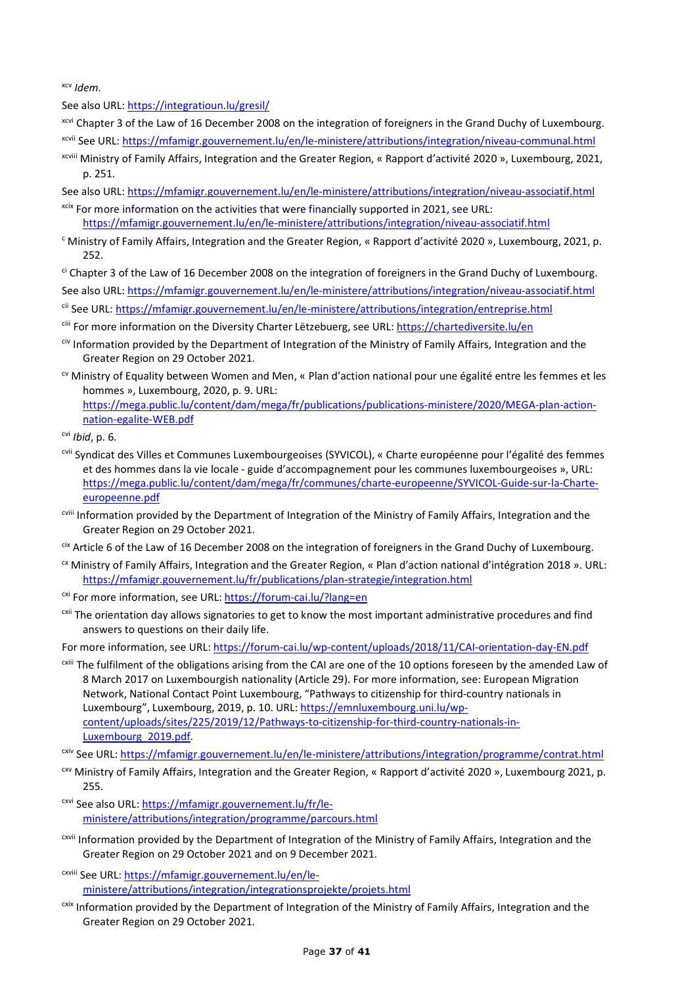xcv *Idem.*

See also URL:<https://integratioun.lu/gresil/>

<sup>xcvi</sup> Chapter 3 of the Law of 16 December 2008 on the integration of foreigners in the Grand Duchy of Luxembourg. xcvii See URL[: https://mfamigr.gouvernement.lu/en/le-ministere/attributions/integration/niveau-communal.html](https://mfamigr.gouvernement.lu/en/le-ministere/attributions/integration/niveau-communal.html) 

- xcviii Ministry of Family Affairs, Integration and the Greater Region, « Rapport d'activité 2020 », Luxembourg, 2021, p. 251.
- See also URL:<https://mfamigr.gouvernement.lu/en/le-ministere/attributions/integration/niveau-associatif.html>
- xcix For more information on the activities that were financially supported in 2021, see URL: <https://mfamigr.gouvernement.lu/en/le-ministere/attributions/integration/niveau-associatif.html>
- <sup>c</sup> Ministry of Family Affairs, Integration and the Greater Region, « Rapport d'activité 2020 », Luxembourg, 2021, p. 252.
- ci Chapter 3 of the Law of 16 December 2008 on the integration of foreigners in the Grand Duchy of Luxembourg.

See also URL:<https://mfamigr.gouvernement.lu/en/le-ministere/attributions/integration/niveau-associatif.html>

- cii See URL:<https://mfamigr.gouvernement.lu/en/le-ministere/attributions/integration/entreprise.html>
- ciii For more information on the Diversity Charter Lëtzebuerg, see URL: https://chartediversite.lu/en
- civ Information provided by the Department of Integration of the Ministry of Family Affairs, Integration and the Greater Region on 29 October 2021.
- $\alpha$  Ministry of Equality between Women and Men, « Plan d'action national pour une égalité entre les femmes et les hommes », Luxembourg, 2020, p. 9. URL:

[https://mega.public.lu/content/dam/mega/fr/publications/publications-ministere/2020/MEGA-plan-action](https://mega.public.lu/content/dam/mega/fr/publications/publications-ministere/2020/MEGA-plan-action-nation-egalite-WEB.pdf)[nation-egalite-WEB.pdf](https://mega.public.lu/content/dam/mega/fr/publications/publications-ministere/2020/MEGA-plan-action-nation-egalite-WEB.pdf) 

- cvii Syndicat des Villes et Communes Luxembourgeoises (SYVICOL), « Charte européenne pour l'égalité des femmes et des hommes dans la vie locale - guide d'accompagnement pour les communes luxembourgeoises », URL: [https://mega.public.lu/content/dam/mega/fr/communes/charte-europeenne/SYVICOL-Guide-sur-la-Charte](https://mega.public.lu/content/dam/mega/fr/communes/charte-europeenne/SYVICOL-Guide-sur-la-Charte-europeenne.pdf)[europeenne.pdf](https://mega.public.lu/content/dam/mega/fr/communes/charte-europeenne/SYVICOL-Guide-sur-la-Charte-europeenne.pdf)
- cviii Information provided by the Department of Integration of the Ministry of Family Affairs, Integration and the Greater Region on 29 October 2021.
- cix Article 6 of the Law of 16 December 2008 on the integration of foreigners in the Grand Duchy of Luxembourg.
- $\alpha$  Ministry of Family Affairs, Integration and the Greater Region, « Plan d'action national d'intégration 2018 ». URL: <https://mfamigr.gouvernement.lu/fr/publications/plan-strategie/integration.html>
- cxi For more information, see URL:<https://forum-cai.lu/?lang=en>
- <sup>cxii</sup> The orientation day allows signatories to get to know the most important administrative procedures and find answers to questions on their daily life.

For more information, see URL:<https://forum-cai.lu/wp-content/uploads/2018/11/CAI-orientation-day-EN.pdf>

- cxiii The fulfilment of the obligations arising from the CAI are one of the 10 options foreseen by the amended Law of 8 March 2017 on Luxembourgish nationality (Article 29). For more information, see: European Migration Network, National Contact Point Luxembourg, "Pathways to citizenship for third-country nationals in Luxembourg", Luxembourg, 2019, p. 10. URL: [https://emnluxembourg.uni.lu/wp](https://emnluxembourg.uni.lu/wp-content/uploads/sites/225/2019/12/Pathways-to-citizenship-for-third-country-nationals-in-Luxembourg_2019.pdf)[content/uploads/sites/225/2019/12/Pathways-to-citizenship-for-third-country-nationals-in-](https://emnluxembourg.uni.lu/wp-content/uploads/sites/225/2019/12/Pathways-to-citizenship-for-third-country-nationals-in-Luxembourg_2019.pdf)[Luxembourg\\_2019.pdf.](https://emnluxembourg.uni.lu/wp-content/uploads/sites/225/2019/12/Pathways-to-citizenship-for-third-country-nationals-in-Luxembourg_2019.pdf)
- cxiv See URL:<https://mfamigr.gouvernement.lu/en/le-ministere/attributions/integration/programme/contrat.html>
- cxv Ministry of Family Affairs, Integration and the Greater Region, « Rapport d'activité 2020 », Luxembourg 2021, p. 255.
- cxvi See also URL[: https://mfamigr.gouvernement.lu/fr/le](https://mfamigr.gouvernement.lu/fr/le-ministere/attributions/integration/programme/parcours.html)[ministere/attributions/integration/programme/parcours.html](https://mfamigr.gouvernement.lu/fr/le-ministere/attributions/integration/programme/parcours.html)
- cxvii Information provided by the Department of Integration of the Ministry of Family Affairs, Integration and the Greater Region on 29 October 2021 and on 9 December 2021.
- cxviii See URL: [https://mfamigr.gouvernement.lu/en/le](https://mfamigr.gouvernement.lu/en/le-ministere/attributions/integration/integrationsprojekte/projets.html)[ministere/attributions/integration/integrationsprojekte/projets.html](https://mfamigr.gouvernement.lu/en/le-ministere/attributions/integration/integrationsprojekte/projets.html)
- cxix Information provided by the Department of Integration of the Ministry of Family Affairs, Integration and the Greater Region on 29 October 2021.

cvi *Ibid*, p. 6.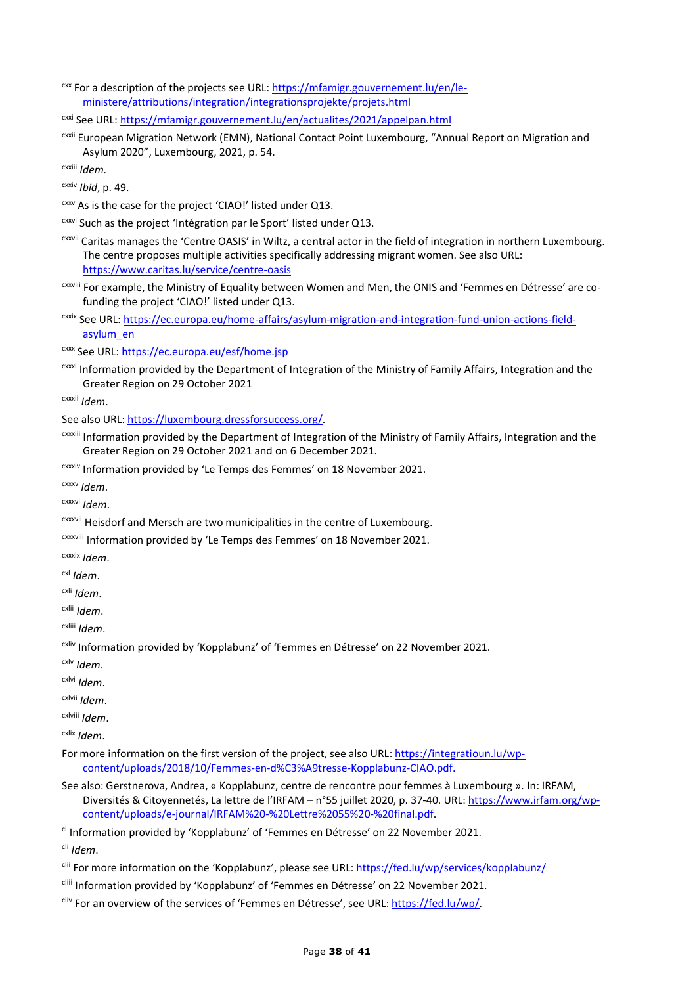$\frac{c}{x}$  For a description of the projects see URL: [https://mfamigr.gouvernement.lu/en/le](https://mfamigr.gouvernement.lu/en/le-ministere/attributions/integration/integrationsprojekte/projets.html)[ministere/attributions/integration/integrationsprojekte/projets.html](https://mfamigr.gouvernement.lu/en/le-ministere/attributions/integration/integrationsprojekte/projets.html) 

cxxi See URL:<https://mfamigr.gouvernement.lu/en/actualites/2021/appelpan.html>

cxxii European Migration Network (EMN), National Contact Point Luxembourg, "Annual Report on Migration and Asylum 2020", Luxembourg, 2021, p. 54.

cxxiii *Idem.*

cxxiv *Ibid*, p. 49.

- cxxv As is the case for the project 'CIAO!' listed under Q13.
- cxxvi Such as the project 'Intégration par le Sport' listed under Q13.
- cxxvii Caritas manages the 'Centre OASIS' in Wiltz, a central actor in the field of integration in northern Luxembourg. The centre proposes multiple activities specifically addressing migrant women. See also URL: <https://www.caritas.lu/service/centre-oasis>
- cxxviii For example, the Ministry of Equality between Women and Men, the ONIS and 'Femmes en Détresse' are cofunding the project 'CIAO!' listed under Q13.
- cxxix See URL[: https://ec.europa.eu/home-affairs/asylum-migration-and-integration-fund-union-actions-field](https://ec.europa.eu/home-affairs/asylum-migration-and-integration-fund-union-actions-field-asylum_en)[asylum\\_en](https://ec.europa.eu/home-affairs/asylum-migration-and-integration-fund-union-actions-field-asylum_en)

cxxx See URL:<https://ec.europa.eu/esf/home.jsp>

cxxxi Information provided by the Department of Integration of the Ministry of Family Affairs, Integration and the Greater Region on 29 October 2021

cxxxii *Idem*.

- See also URL: [https://luxembourg.dressforsuccess.org/.](https://luxembourg.dressforsuccess.org/)
- cxxxiii Information provided by the Department of Integration of the Ministry of Family Affairs, Integration and the Greater Region on 29 October 2021 and on 6 December 2021.

cxxxiv Information provided by 'Le Temps des Femmes' on 18 November 2021.

cxxxv *Idem*.

cxxxvi *Idem*.

cxxxvii Heisdorf and Mersch are two municipalities in the centre of Luxembourg.

cxxxviii Information provided by 'Le Temps des Femmes' on 18 November 2021.

cxxxix *Idem*.

- cxl *Idem*.
- cxli *Idem*.

cxlii *Idem*.

cxliii *Idem*.

cxliv Information provided by 'Kopplabunz' of 'Femmes en Détresse' on 22 November 2021.

cxlv *Idem*.

cxlvi *Idem*.

cxlvii *Idem*.

cxlviii *Idem*.

cxlix *Idem*.

For more information on the first version of the project, see also URL: [https://integratioun.lu/wp](https://integratioun.lu/wp-content/uploads/2018/10/Femmes-en-d%C3%A9tresse-Kopplabunz-CIAO.pdf)[content/uploads/2018/10/Femmes-en-d%C3%A9tresse-Kopplabunz-CIAO.pdf.](https://integratioun.lu/wp-content/uploads/2018/10/Femmes-en-d%C3%A9tresse-Kopplabunz-CIAO.pdf)

See also: Gerstnerova, Andrea, « Kopplabunz, centre de rencontre pour femmes à Luxembourg ». In: IRFAM, Diversités & Citoyennetés, La lettre de l'IRFAM – n°55 juillet 2020, p. 37-40. URL: [https://www.irfam.org/wp](https://www.irfam.org/wp-content/uploads/e-journal/IRFAM%20-%20Lettre%2055%20-%20final.pdf)[content/uploads/e-journal/IRFAM%20-%20Lettre%2055%20-%20final.pdf.](https://www.irfam.org/wp-content/uploads/e-journal/IRFAM%20-%20Lettre%2055%20-%20final.pdf)

 $c<sup>1</sup>$  Information provided by 'Kopplabunz' of 'Femmes en Détresse' on 22 November 2021.

cli *Idem*.

- clii For more information on the 'Kopplabunz', please see URL[: https://fed.lu/wp/services/kopplabunz/](https://fed.lu/wp/services/kopplabunz/)
- cliii Information provided by 'Kopplabunz' of 'Femmes en Détresse' on 22 November 2021.
- cliv For an overview of the services of 'Femmes en Détresse', see URL[: https://fed.lu/wp/.](https://fed.lu/wp/)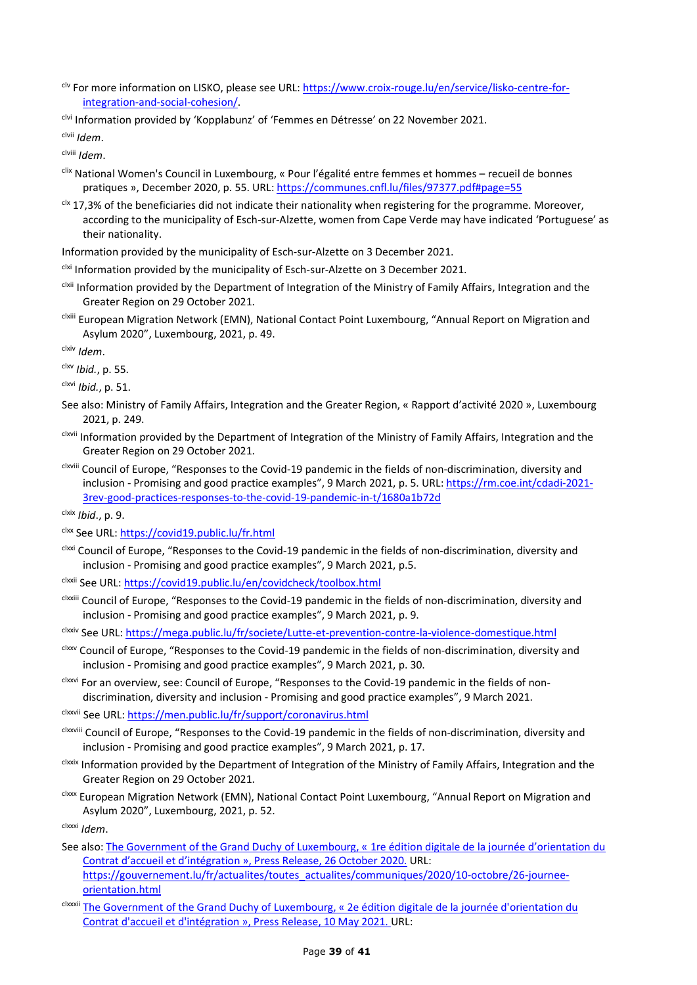- clv For more information on LISKO, please see URL: [https://www.croix-rouge.lu/en/service/lisko-centre-for](https://www.croix-rouge.lu/en/service/lisko-centre-for-integration-and-social-cohesion/)[integration-and-social-cohesion/.](https://www.croix-rouge.lu/en/service/lisko-centre-for-integration-and-social-cohesion/)
- clvi Information provided by 'Kopplabunz' of 'Femmes en Détresse' on 22 November 2021.

clvii *Idem*.

clviii *Idem*.

- clix National Women's Council in Luxembourg, « Pour l'égalité entre femmes et hommes recueil de bonnes pratiques », December 2020, p. 55. URL:<https://communes.cnfl.lu/files/97377.pdf#page=55>
- clx 17,3% of the beneficiaries did not indicate their nationality when registering for the programme. Moreover, according to the municipality of Esch-sur-Alzette, women from Cape Verde may have indicated 'Portuguese' as their nationality.

Information provided by the municipality of Esch-sur-Alzette on 3 December 2021.

- clxi Information provided by the municipality of Esch-sur-Alzette on 3 December 2021.
- clxii Information provided by the Department of Integration of the Ministry of Family Affairs, Integration and the Greater Region on 29 October 2021.
- clxiii European Migration Network (EMN), National Contact Point Luxembourg, "Annual Report on Migration and Asylum 2020", Luxembourg, 2021, p. 49.
- clxiv *Idem*.

clxv *Ibid.*, p. 55.

clxvi *Ibid.*, p. 51.

- See also: Ministry of Family Affairs, Integration and the Greater Region, « Rapport d'activité 2020 », Luxembourg 2021, p. 249.
- clxvii Information provided by the Department of Integration of the Ministry of Family Affairs, Integration and the Greater Region on 29 October 2021.
- clxviii Council of Europe, "Responses to the Covid-19 pandemic in the fields of non-discrimination, diversity and inclusion - Promising and good practice examples", 9 March 2021, p. 5. URL[: https://rm.coe.int/cdadi-2021-](https://rm.coe.int/cdadi-2021-3rev-good-practices-responses-to-the-covid-19-pandemic-in-t/1680a1b72d) [3rev-good-practices-responses-to-the-covid-19-pandemic-in-t/1680a1b72d](https://rm.coe.int/cdadi-2021-3rev-good-practices-responses-to-the-covid-19-pandemic-in-t/1680a1b72d)

clxix *Ibid*., p. 9.

- clxxi Council of Europe, "Responses to the Covid-19 pandemic in the fields of non-discrimination, diversity and inclusion - Promising and good practice examples", 9 March 2021, p.5.
- clxxii See URL: https://covid19.public.lu/en/covidcheck/toolbox.html
- clxxiii Council of Europe, "Responses to the Covid-19 pandemic in the fields of non-discrimination, diversity and inclusion - Promising and good practice examples", 9 March 2021, p. 9.
- clxxiv See URL[: https://mega.public.lu/fr/societe/Lutte-et-prevention-contre-la-violence-domestique.html](https://mega.public.lu/fr/societe/Lutte-et-prevention-contre-la-violence-domestique.html)
- clxxv Council of Europe, "Responses to the Covid-19 pandemic in the fields of non-discrimination, diversity and inclusion - Promising and good practice examples", 9 March 2021, p. 30.
- clxxvi For an overview, see: Council of Europe, "Responses to the Covid-19 pandemic in the fields of nondiscrimination, diversity and inclusion - Promising and good practice examples", 9 March 2021.
- clxxvii See URL:<https://men.public.lu/fr/support/coronavirus.html>
- clxxviii Council of Europe, "Responses to the Covid-19 pandemic in the fields of non-discrimination, diversity and inclusion - Promising and good practice examples", 9 March 2021, p. 17.
- clxxix Information provided by the Department of Integration of the Ministry of Family Affairs, Integration and the Greater Region on 29 October 2021.
- clxxx European Migration Network (EMN), National Contact Point Luxembourg, "Annual Report on Migration and Asylum 2020", Luxembourg, 2021, p. 52.

clxxxi *Idem*.

- See also: The Government of the Grand Duchy of Luxembourg, « 1re édition digitale de la journée d'orientation du Contrat d'accueil et d'intégration », Press Release, 26 October 2020. URL: [https://gouvernement.lu/fr/actualites/toutes\\_actualites/communiques/2020/10-octobre/26-journee](https://gouvernement.lu/fr/actualites/toutes_actualites/communiques/2020/10-octobre/26-journee-orientation.html)[orientation.html](https://gouvernement.lu/fr/actualites/toutes_actualites/communiques/2020/10-octobre/26-journee-orientation.html)
- clxxxii The Government of the Grand Duchy of Luxembourg, « 2e édition digitale de la journée d'orientation du Contrat d'accueil et d'intégration », Press Release, 10 May 2021. URL:

clxx See URL:<https://covid19.public.lu/fr.html>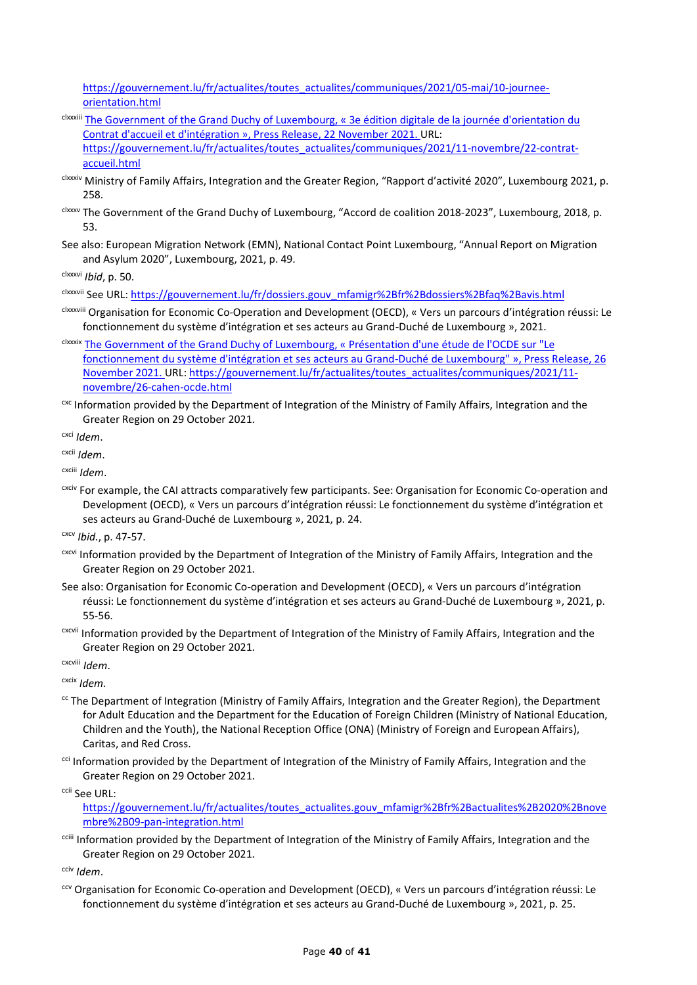[https://gouvernement.lu/fr/actualites/toutes\\_actualites/communiques/2021/05-mai/10-journee](https://gouvernement.lu/fr/actualites/toutes_actualites/communiques/2021/05-mai/10-journee-orientation.html)[orientation.html](https://gouvernement.lu/fr/actualites/toutes_actualites/communiques/2021/05-mai/10-journee-orientation.html) 

- clxxxiii The Government of the Grand Duchy of Luxembourg, « 3e édition digitale de la journée d'orientation du Contrat d'accueil et d'intégration », Press Release, 22 November 2021. URL: [https://gouvernement.lu/fr/actualites/toutes\\_actualites/communiques/2021/11-novembre/22-contrat](https://gouvernement.lu/fr/actualites/toutes_actualites/communiques/2021/11-novembre/22-contrat-accueil.html)[accueil.html](https://gouvernement.lu/fr/actualites/toutes_actualites/communiques/2021/11-novembre/22-contrat-accueil.html)
- clxxxiv Ministry of Family Affairs, Integration and the Greater Region, "Rapport d'activité 2020", Luxembourg 2021, p. 258.
- clxxxv The Government of the Grand Duchy of Luxembourg, "Accord de coalition 2018-2023", Luxembourg, 2018, p. 53.
- See also: European Migration Network (EMN), National Contact Point Luxembourg, "Annual Report on Migration and Asylum 2020", Luxembourg, 2021, p. 49.

clxxxvi *Ibid*, p. 50.

clxxxvii See URL[: https://gouvernement.lu/fr/dossiers.gouv\\_mfamigr%2Bfr%2Bdossiers%2Bfaq%2Bavis.html](https://gouvernement.lu/fr/dossiers.gouv_mfamigr%2Bfr%2Bdossiers%2Bfaq%2Bavis.html) 

- clxxxviii Organisation for Economic Co-Operation and Development (OECD), « Vers un parcours d'intégration réussi: Le fonctionnement du système d'intégration et ses acteurs au Grand-Duché de Luxembourg », 2021.
- clxxxix The Government of the Grand Duchy of Luxembourg, « Présentation d'une étude de l'OCDE sur "Le fonctionnement du système d'intégration et ses acteurs au Grand-Duché de Luxembourg" », Press Release, 26 November 2021. URL: [https://gouvernement.lu/fr/actualites/toutes\\_actualites/communiques/2021/11](https://gouvernement.lu/fr/actualites/toutes_actualites/communiques/2021/11-novembre/26-cahen-ocde.html) [novembre/26-cahen-ocde.html](https://gouvernement.lu/fr/actualites/toutes_actualites/communiques/2021/11-novembre/26-cahen-ocde.html)
- cxc Information provided by the Department of Integration of the Ministry of Family Affairs, Integration and the Greater Region on 29 October 2021.

cxci *Idem*.

cxcii *Idem*.

cxciii *Idem*.

cxciv For example, the CAI attracts comparatively few participants. See: Organisation for Economic Co-operation and Development (OECD), « Vers un parcours d'intégration réussi: Le fonctionnement du système d'intégration et ses acteurs au Grand-Duché de Luxembourg », 2021, p. 24.

cxcv *Ibid.*, p. 47-57.

- cxcvi Information provided by the Department of Integration of the Ministry of Family Affairs, Integration and the Greater Region on 29 October 2021.
- See also: Organisation for Economic Co-operation and Development (OECD), « Vers un parcours d'intégration réussi: Le fonctionnement du système d'intégration et ses acteurs au Grand-Duché de Luxembourg », 2021, p. 55-56.
- cxcvii Information provided by the Department of Integration of the Ministry of Family Affairs, Integration and the Greater Region on 29 October 2021.

cxcviii *Idem*.

cxcix *Idem.*

- $c$ <sup>cc</sup> The Department of Integration (Ministry of Family Affairs, Integration and the Greater Region), the Department for Adult Education and the Department for the Education of Foreign Children (Ministry of National Education, Children and the Youth), the National Reception Office (ONA) (Ministry of Foreign and European Affairs), Caritas, and Red Cross.
- <sup>cci</sup> Information provided by the Department of Integration of the Ministry of Family Affairs, Integration and the Greater Region on 29 October 2021.

ccii See URL:

[https://gouvernement.lu/fr/actualites/toutes\\_actualites.gouv\\_mfamigr%2Bfr%2Bactualites%2B2020%2Bnove](https://gouvernement.lu/fr/actualites/toutes_actualites.gouv_mfamigr%2Bfr%2Bactualites%2B2020%2Bnovembre%2B09-pan-integration.html) [mbre%2B09-pan-integration.html](https://gouvernement.lu/fr/actualites/toutes_actualites.gouv_mfamigr%2Bfr%2Bactualites%2B2020%2Bnovembre%2B09-pan-integration.html) 

cciii Information provided by the Department of Integration of the Ministry of Family Affairs, Integration and the Greater Region on 29 October 2021.

cciv *Idem*.

ccv Organisation for Economic Co-operation and Development (OECD), « Vers un parcours d'intégration réussi: Le fonctionnement du système d'intégration et ses acteurs au Grand-Duché de Luxembourg », 2021, p. 25.